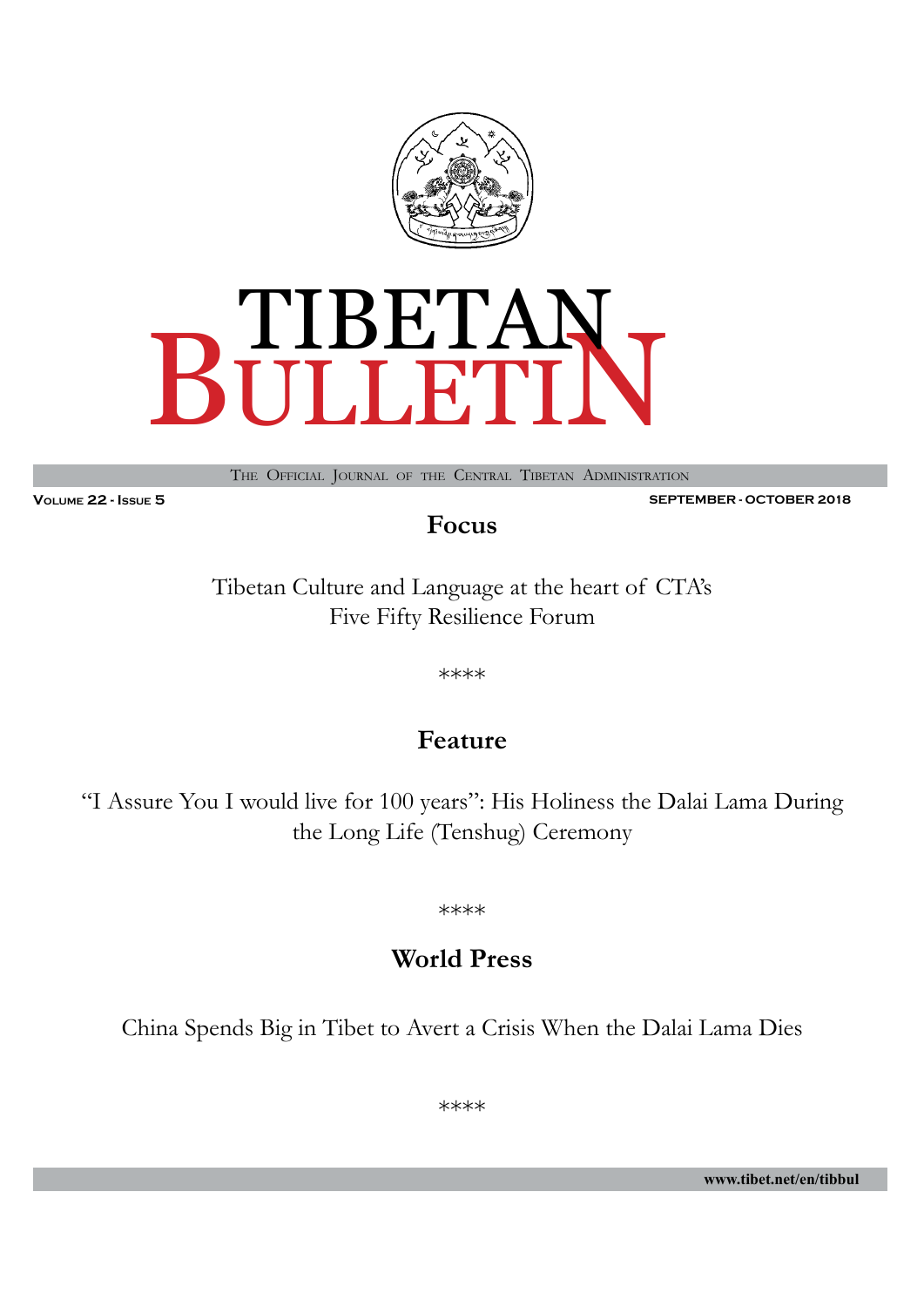



The Official Journal of the Central Tibetan Administration

**Volume 22 - Issue 5 SEPTEMBER - OCTOBER 2018**

**Focus**

Tibetan Culture and Language at the heart of CTA's Five Fifty Resilience Forum

\*\*\*\*

## **Feature**

"I Assure You I would live for 100 years": His Holiness the Dalai Lama During the Long Life (Tenshug) Ceremony

\*\*\*\*

# **World Press**

China Spends Big in Tibet to Avert a Crisis When the Dalai Lama Dies

\*\*\*\*

**www.tibet.net/en/tibbul**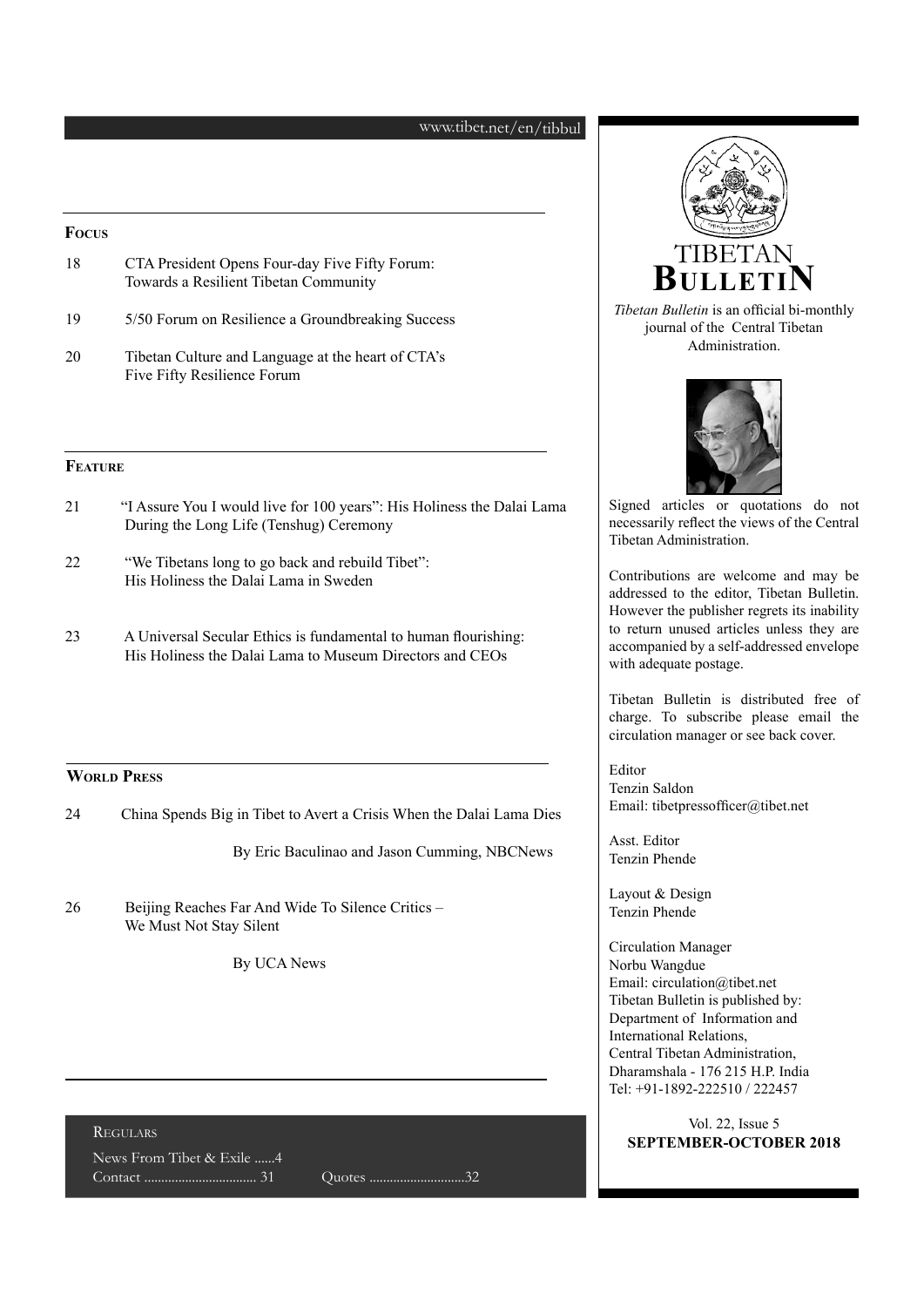#### www.tibet.net/en/tibbul

#### **Focus**

| 18 | CTA President Opens Four-day Five Fifty Forum: |  |
|----|------------------------------------------------|--|
|    | Towards a Resilient Tibetan Community          |  |

- 19 5/50 Forum on Resilience a Groundbreaking Success
- 20 Tibetan Culture and Language at the heart of CTA's Five Fifty Resilience Forum

#### **Feature**

- 21 "I Assure You I would live for 100 years": His Holiness the Dalai Lama During the Long Life (Tenshug) Ceremony
- 22 "We Tibetans long to go back and rebuild Tibet": His Holiness the Dalai Lama in Sweden
- 23 A Universal Secular Ethics is fundamental to human flourishing: His Holiness the Dalai Lama to Museum Directors and CEOs

#### **World Press**

24 China Spends Big in Tibet to Avert a Crisis When the Dalai Lama Dies

By Eric Baculinao and Jason Cumming, NBCNews

26 Beijing Reaches Far And Wide To Silence Critics – We Must Not Stay Silent

By UCA News

#### Regulars

News From Tibet & Exile ......4 Contact ................................. 31 Quotes ............................32



*Tibetan Bulletin* is an official bi-monthly journal of the Central Tibetan Administration. **BulletiN**



Signed articles or quotations do not necessarily reflect the views of the Central Tibetan Administration.

Contributions are welcome and may be addressed to the editor, Tibetan Bulletin. However the publisher regrets its inability to return unused articles unless they are accompanied by a self-addressed envelope with adequate postage.

Tibetan Bulletin is distributed free of charge. To subscribe please email the circulation manager or see back cover.

Editor Tenzin Saldon Email: tibetpressofficer@tibet.net

Asst. Editor Tenzin Phende

Layout & Design Tenzin Phende

Circulation Manager Norbu Wangdue Email: circulation@tibet.net Tibetan Bulletin is published by: Department of Information and International Relations, Central Tibetan Administration, Dharamshala - 176 215 H.P. India Tel: +91-1892-222510 / 222457

Vol. 22, Issue 5 **SEPTEMBER-OCTOBER 2018**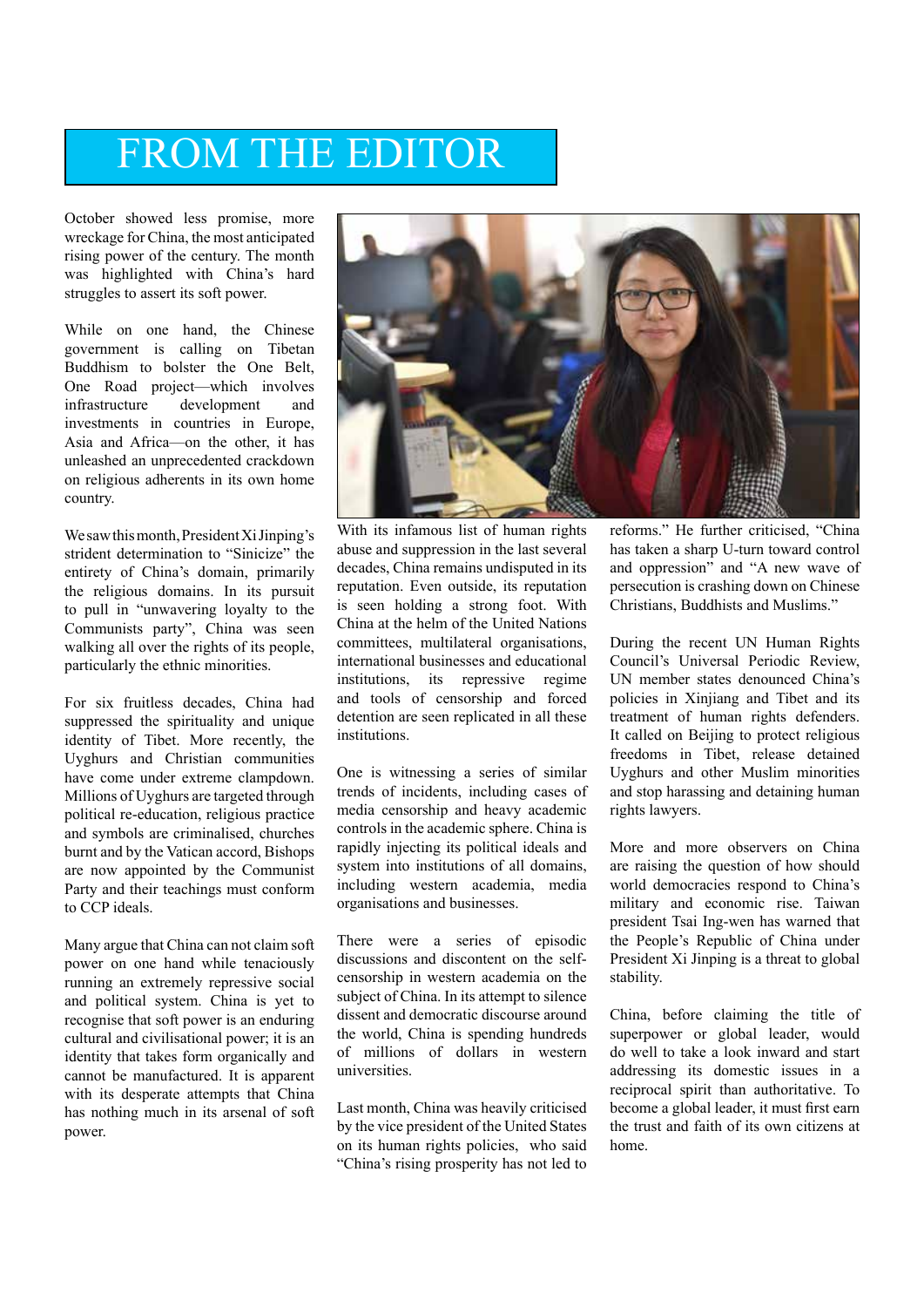# FROM THE EDITOR

October showed less promise, more wreckage for China, the most anticipated rising power of the century. The month was highlighted with China's hard struggles to assert its soft power.

While on one hand, the Chinese government is calling on Tibetan Buddhism to bolster the One Belt, One Road project—which involves infrastructure development and investments in countries in Europe. Asia and Africa—on the other, it has unleashed an unprecedented crackdown on religious adherents in its own home country.

We saw this month, President Xi Jinping's strident determination to "Sinicize" the entirety of China's domain, primarily the religious domains. In its pursuit to pull in "unwavering loyalty to the Communists party", China was seen walking all over the rights of its people, particularly the ethnic minorities.

For six fruitless decades, China had suppressed the spirituality and unique identity of Tibet. More recently, the Uyghurs and Christian communities have come under extreme clampdown. Millions of Uyghurs are targeted through political re-education, religious practice and symbols are criminalised, churches burnt and by the Vatican accord, Bishops are now appointed by the Communist Party and their teachings must conform to CCP ideals.

Many argue that China can not claim soft power on one hand while tenaciously running an extremely repressive social and political system. China is yet to recognise that soft power is an enduring cultural and civilisational power; it is an identity that takes form organically and cannot be manufactured. It is apparent with its desperate attempts that China has nothing much in its arsenal of soft power.



With its infamous list of human rights abuse and suppression in the last several decades, China remains undisputed in its reputation. Even outside, its reputation is seen holding a strong foot. With China at the helm of the United Nations committees, multilateral organisations, international businesses and educational institutions, its repressive regime and tools of censorship and forced detention are seen replicated in all these institutions.

One is witnessing a series of similar trends of incidents, including cases of media censorship and heavy academic controls in the academic sphere. China is rapidly injecting its political ideals and system into institutions of all domains, including western academia, media organisations and businesses.

There were a series of episodic discussions and discontent on the selfcensorship in western academia on the subject of China. In its attempt to silence dissent and democratic discourse around the world, China is spending hundreds of millions of dollars in western universities.

Last month, China was heavily criticised by the vice president of the United States on its human rights policies, who said "China's rising prosperity has not led to reforms." He further criticised, "China has taken a sharp U-turn toward control and oppression" and "A new wave of persecution is crashing down on Chinese Christians, Buddhists and Muslims."

During the recent UN Human Rights Council's Universal Periodic Review, UN member states denounced China's policies in Xinjiang and Tibet and its treatment of human rights defenders. It called on Beijing to protect religious freedoms in Tibet, release detained Uyghurs and other Muslim minorities and stop harassing and detaining human rights lawyers.

More and more observers on China are raising the question of how should world democracies respond to China's military and economic rise. Taiwan president Tsai Ing-wen has warned that the People's Republic of China under President Xi Jinping is a threat to global stability.

China, before claiming the title of superpower or global leader, would do well to take a look inward and start addressing its domestic issues in a reciprocal spirit than authoritative. To become a global leader, it must first earn the trust and faith of its own citizens at home.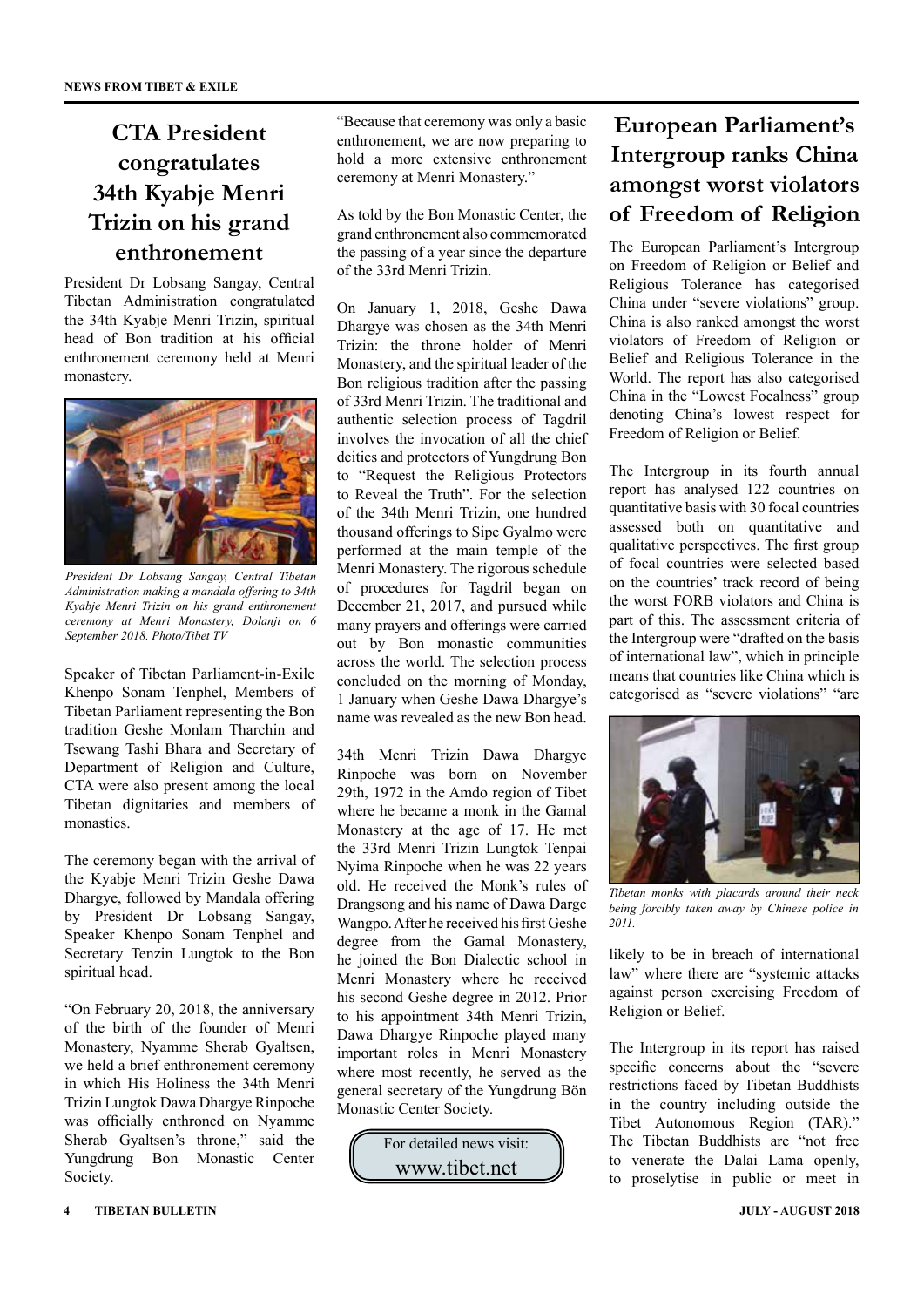### **CTA President congratulates 34th Kyabje Menri Trizin on his grand enthronement**

President Dr Lobsang Sangay, Central Tibetan Administration congratulated the 34th Kyabje Menri Trizin, spiritual head of Bon tradition at his official enthronement ceremony held at Menri monastery.



*President Dr Lobsang Sangay, Central Tibetan Administration making a mandala offering to 34th Kyabje Menri Trizin on his grand enthronement ceremony at Menri Monastery, Dolanji on 6 September 2018. Photo/Tibet TV*

Speaker of Tibetan Parliament-in-Exile Khenpo Sonam Tenphel, Members of Tibetan Parliament representing the Bon tradition Geshe Monlam Tharchin and Tsewang Tashi Bhara and Secretary of Department of Religion and Culture, CTA were also present among the local Tibetan dignitaries and members of monastics.

The ceremony began with the arrival of the Kyabje Menri Trizin Geshe Dawa Dhargye, followed by Mandala offering by President Dr Lobsang Sangay, Speaker Khenpo Sonam Tenphel and Secretary Tenzin Lungtok to the Bon spiritual head.

"On February 20, 2018, the anniversary of the birth of the founder of Menri Monastery, Nyamme Sherab Gyaltsen, we held a brief enthronement ceremony in which His Holiness the 34th Menri Trizin Lungtok Dawa Dhargye Rinpoche was officially enthroned on Nyamme Sherab Gyaltsen's throne," said the Yungdrung Bon Monastic Center Society.

As told by the Bon Monastic Center, the grand enthronement also commemorated the passing of a year since the departure of the 33rd Menri Trizin.

On January 1, 2018, Geshe Dawa Dhargye was chosen as the 34th Menri Trizin: the throne holder of Menri Monastery, and the spiritual leader of the Bon religious tradition after the passing of 33rd Menri Trizin. The traditional and authentic selection process of Tagdril involves the invocation of all the chief deities and protectors of Yungdrung Bon to "Request the Religious Protectors to Reveal the Truth". For the selection of the 34th Menri Trizin, one hundred thousand offerings to Sipe Gyalmo were performed at the main temple of the Menri Monastery. The rigorous schedule of procedures for Tagdril began on December 21, 2017, and pursued while many prayers and offerings were carried out by Bon monastic communities across the world. The selection process concluded on the morning of Monday, 1 January when Geshe Dawa Dhargye's name was revealed as the new Bon head.

34th Menri Trizin Dawa Dhargye Rinpoche was born on November 29th, 1972 in the Amdo region of Tibet where he became a monk in the Gamal Monastery at the age of 17. He met the 33rd Menri Trizin Lungtok Tenpai Nyima Rinpoche when he was 22 years old. He received the Monk's rules of Drangsong and his name of Dawa Darge Wangpo. After he received his first Geshe degree from the Gamal Monastery, he joined the Bon Dialectic school in Menri Monastery where he received his second Geshe degree in 2012. Prior to his appointment 34th Menri Trizin, Dawa Dhargye Rinpoche played many important roles in Menri Monastery where most recently, he served as the general secretary of the Yungdrung Bön Monastic Center Society.



# **European Parliament's Intergroup ranks China amongst worst violators of Freedom of Religion**

The European Parliament's Intergroup on Freedom of Religion or Belief and Religious Tolerance has categorised China under "severe violations" group. China is also ranked amongst the worst violators of Freedom of Religion or Belief and Religious Tolerance in the World. The report has also categorised China in the "Lowest Focalness" group denoting China's lowest respect for Freedom of Religion or Belief.

The Intergroup in its fourth annual report has analysed 122 countries on quantitative basis with 30 focal countries assessed both on quantitative and qualitative perspectives. The first group of focal countries were selected based on the countries' track record of being the worst FORB violators and China is part of this. The assessment criteria of the Intergroup were "drafted on the basis of international law", which in principle means that countries like China which is categorised as "severe violations" "are



*Tibetan monks with placards around their neck being forcibly taken away by Chinese police in 2011.*

likely to be in breach of international law" where there are "systemic attacks against person exercising Freedom of Religion or Belief.

The Intergroup in its report has raised specific concerns about the "severe restrictions faced by Tibetan Buddhists in the country including outside the Tibet Autonomous Region (TAR)." The Tibetan Buddhists are "not free to venerate the Dalai Lama openly, to proselytise in public or meet in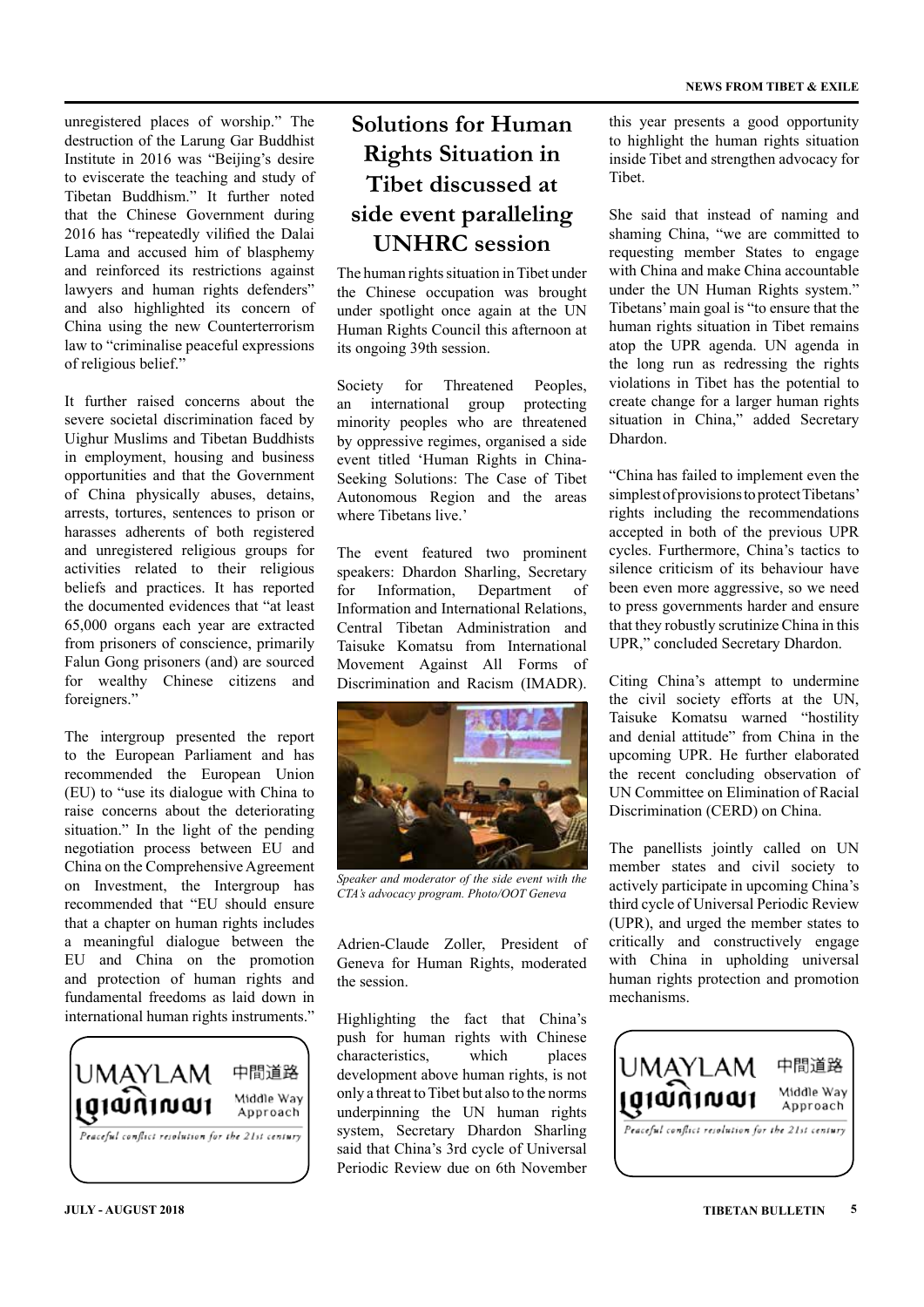unregistered places of worship." The destruction of the Larung Gar Buddhist Institute in 2016 was "Beijing's desire to eviscerate the teaching and study of Tibetan Buddhism." It further noted that the Chinese Government during 2016 has "repeatedly vilified the Dalai Lama and accused him of blasphemy and reinforced its restrictions against lawyers and human rights defenders" and also highlighted its concern of China using the new Counterterrorism law to "criminalise peaceful expressions of religious belief."

It further raised concerns about the severe societal discrimination faced by Uighur Muslims and Tibetan Buddhists in employment, housing and business opportunities and that the Government of China physically abuses, detains, arrests, tortures, sentences to prison or harasses adherents of both registered and unregistered religious groups for activities related to their religious beliefs and practices. It has reported the documented evidences that "at least 65,000 organs each year are extracted from prisoners of conscience, primarily Falun Gong prisoners (and) are sourced for wealthy Chinese citizens and foreigners."

The intergroup presented the report to the European Parliament and has recommended the European Union (EU) to "use its dialogue with China to raise concerns about the deteriorating situation." In the light of the pending negotiation process between EU and China on the Comprehensive Agreement on Investment, the Intergroup has recommended that "EU should ensure that a chapter on human rights includes a meaningful dialogue between the EU and China on the promotion and protection of human rights and fundamental freedoms as laid down in international human rights instruments."



### **Solutions for Human Rights Situation in Tibet discussed at side event paralleling UNHRC session**

The human rights situation in Tibet under the Chinese occupation was brought under spotlight once again at the UN Human Rights Council this afternoon at its ongoing 39th session.

Society for Threatened Peoples, an international group protecting minority peoples who are threatened by oppressive regimes, organised a side event titled 'Human Rights in China-Seeking Solutions: The Case of Tibet Autonomous Region and the areas where Tibetans live.'

The event featured two prominent speakers: Dhardon Sharling, Secretary for Information, Department of Information and International Relations, Central Tibetan Administration and Taisuke Komatsu from International Movement Against All Forms of Discrimination and Racism (IMADR).



*Speaker and moderator of the side event with the CTA's advocacy program. Photo/OOT Geneva*

Adrien-Claude Zoller, President of Geneva for Human Rights, moderated the session.

Highlighting the fact that China's push for human rights with Chinese characteristics, which places development above human rights, is not only a threat to Tibet but also to the norms underpinning the UN human rights system, Secretary Dhardon Sharling said that China's 3rd cycle of Universal Periodic Review due on 6th November

this year presents a good opportunity to highlight the human rights situation inside Tibet and strengthen advocacy for Tibet.

She said that instead of naming and shaming China, "we are committed to requesting member States to engage with China and make China accountable under the UN Human Rights system." Tibetans' main goal is "to ensure that the human rights situation in Tibet remains atop the UPR agenda. UN agenda in the long run as redressing the rights violations in Tibet has the potential to create change for a larger human rights situation in China," added Secretary Dhardon.

"China has failed to implement even the simplest of provisions to protect Tibetans' rights including the recommendations accepted in both of the previous UPR cycles. Furthermore, China's tactics to silence criticism of its behaviour have been even more aggressive, so we need to press governments harder and ensure that they robustly scrutinize China in this UPR," concluded Secretary Dhardon.

Citing China's attempt to undermine the civil society efforts at the UN, Taisuke Komatsu warned "hostility and denial attitude" from China in the upcoming UPR. He further elaborated the recent concluding observation of UN Committee on Elimination of Racial Discrimination (CERD) on China.

The panellists jointly called on UN member states and civil society to actively participate in upcoming China's third cycle of Universal Periodic Review (UPR), and urged the member states to critically and constructively engage with China in upholding universal human rights protection and promotion mechanisms.

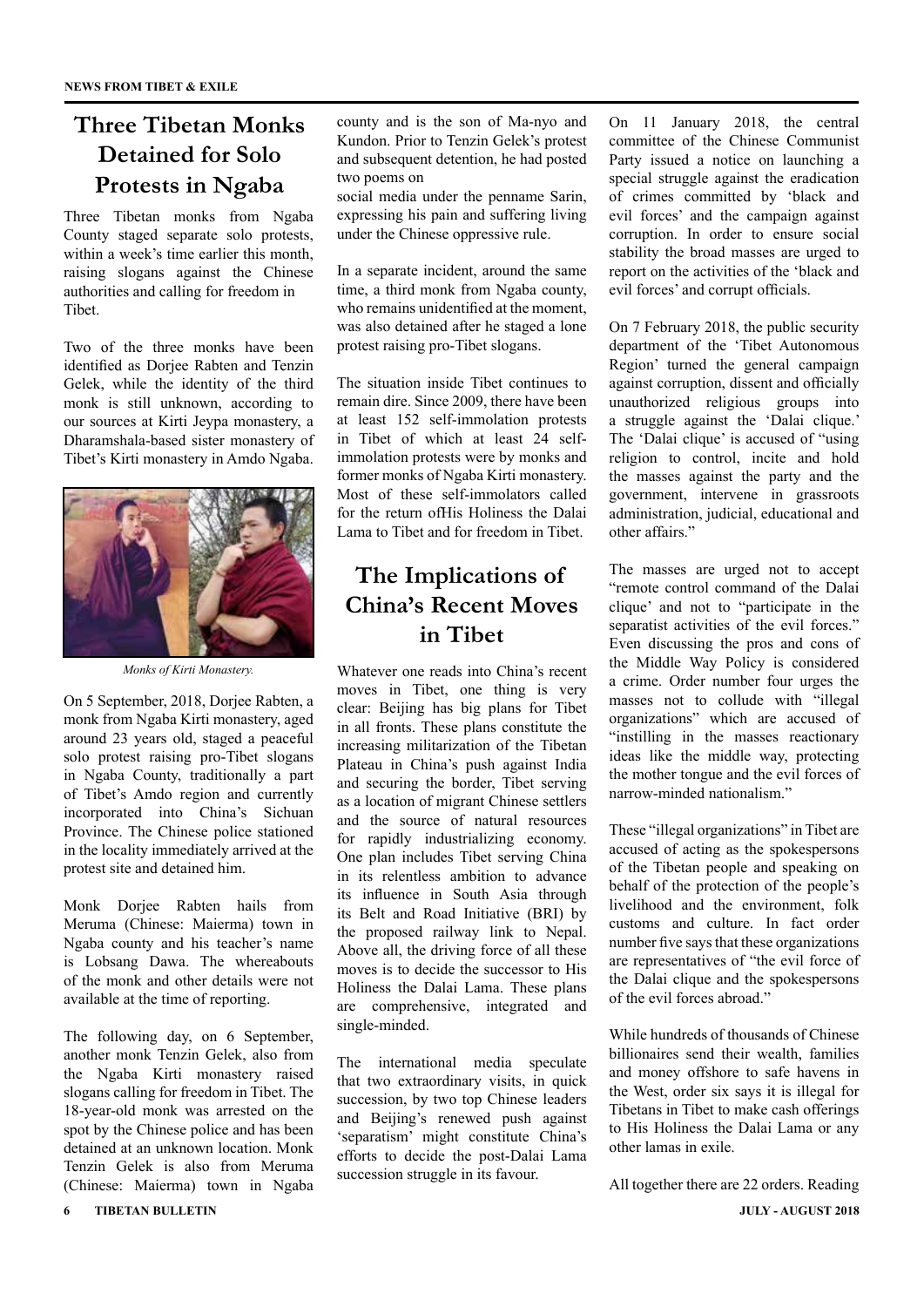### **Three Tibetan Monks Detained for Solo Protests in Ngaba**

Three Tibetan monks from Ngaba County staged separate solo protests, within a week's time earlier this month, raising slogans against the Chinese authorities and calling for freedom in Tibet.

Two of the three monks have been identified as Dorjee Rabten and Tenzin Gelek, while the identity of the third monk is still unknown, according to our sources at Kirti Jeypa monastery, a Dharamshala-based sister monastery of Tibet's Kirti monastery in Amdo Ngaba.



*Monks of Kirti Monastery.*

On 5 September, 2018, Dorjee Rabten, a monk from Ngaba Kirti monastery, aged around 23 years old, staged a peaceful solo protest raising pro-Tibet slogans in Ngaba County, traditionally a part of Tibet's Amdo region and currently incorporated into China's Sichuan Province. The Chinese police stationed in the locality immediately arrived at the protest site and detained him.

Monk Dorjee Rabten hails from Meruma (Chinese: Maierma) town in Ngaba county and his teacher's name is Lobsang Dawa. The whereabouts of the monk and other details were not available at the time of reporting.

The following day, on 6 September, another monk Tenzin Gelek, also from the Ngaba Kirti monastery raised slogans calling for freedom in Tibet. The 18-year-old monk was arrested on the spot by the Chinese police and has been detained at an unknown location. Monk Tenzin Gelek is also from Meruma (Chinese: Maierma) town in Ngaba

county and is the son of Ma-nyo and Kundon. Prior to Tenzin Gelek's protest and subsequent detention, he had posted two poems on

social media under the penname Sarin, expressing his pain and suffering living under the Chinese oppressive rule.

In a separate incident, around the same time, a third monk from Ngaba county, who remains unidentified at the moment, was also detained after he staged a lone protest raising pro-Tibet slogans.

The situation inside Tibet continues to remain dire. Since 2009, there have been at least 152 self-immolation protests in Tibet of which at least 24 selfimmolation protests were by monks and former monks of Ngaba Kirti monastery. Most of these self-immolators called for the return ofHis Holiness the Dalai Lama to Tibet and for freedom in Tibet.

### **The Implications of China's Recent Moves in Tibet**

Whatever one reads into China's recent moves in Tibet, one thing is very clear: Beijing has big plans for Tibet in all fronts. These plans constitute the increasing militarization of the Tibetan Plateau in China's push against India and securing the border, Tibet serving as a location of migrant Chinese settlers and the source of natural resources for rapidly industrializing economy. One plan includes Tibet serving China in its relentless ambition to advance its influence in South Asia through its Belt and Road Initiative (BRI) by the proposed railway link to Nepal. Above all, the driving force of all these moves is to decide the successor to His Holiness the Dalai Lama. These plans are comprehensive, integrated and single-minded.

The international media speculate that two extraordinary visits, in quick succession, by two top Chinese leaders and Beijing's renewed push against 'separatism' might constitute China's efforts to decide the post-Dalai Lama succession struggle in its favour.

On 11 January 2018, the central committee of the Chinese Communist Party issued a notice on launching a special struggle against the eradication of crimes committed by 'black and evil forces' and the campaign against corruption. In order to ensure social stability the broad masses are urged to report on the activities of the 'black and evil forces' and corrupt officials.

On 7 February 2018, the public security department of the 'Tibet Autonomous Region' turned the general campaign against corruption, dissent and officially unauthorized religious groups into a struggle against the 'Dalai clique.' The 'Dalai clique' is accused of "using religion to control, incite and hold the masses against the party and the government, intervene in grassroots administration, judicial, educational and other affairs."

The masses are urged not to accept "remote control command of the Dalai clique' and not to "participate in the separatist activities of the evil forces." Even discussing the pros and cons of the Middle Way Policy is considered a crime. Order number four urges the masses not to collude with "illegal organizations" which are accused of "instilling in the masses reactionary ideas like the middle way, protecting the mother tongue and the evil forces of narrow-minded nationalism."

These "illegal organizations" in Tibet are accused of acting as the spokespersons of the Tibetan people and speaking on behalf of the protection of the people's livelihood and the environment, folk customs and culture. In fact order number five says that these organizations are representatives of "the evil force of the Dalai clique and the spokespersons of the evil forces abroad."

While hundreds of thousands of Chinese billionaires send their wealth, families and money offshore to safe havens in the West, order six says it is illegal for Tibetans in Tibet to make cash offerings to His Holiness the Dalai Lama or any other lamas in exile.

All together there are 22 orders. Reading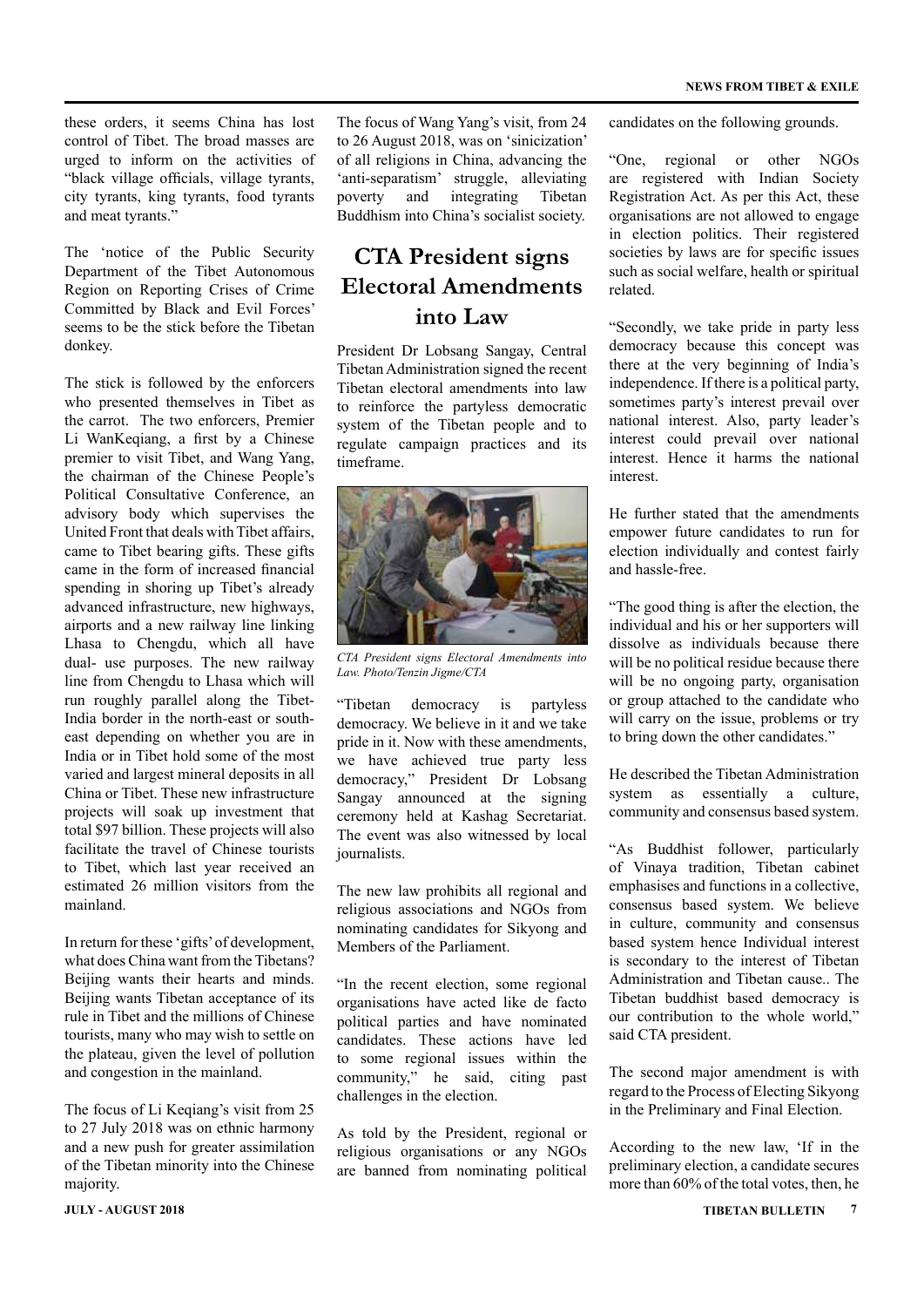these orders, it seems China has lost control of Tibet. The broad masses are urged to inform on the activities of "black village officials, village tyrants, city tyrants, king tyrants, food tyrants and meat tyrants."

The 'notice of the Public Security Department of the Tibet Autonomous Region on Reporting Crises of Crime Committed by Black and Evil Forces' seems to be the stick before the Tibetan donkey.

The stick is followed by the enforcers who presented themselves in Tibet as the carrot. The two enforcers, Premier Li WanKeqiang, a first by a Chinese premier to visit Tibet, and Wang Yang, the chairman of the Chinese People's Political Consultative Conference, an advisory body which supervises the United Front that deals with Tibet affairs, came to Tibet bearing gifts. These gifts came in the form of increased financial spending in shoring up Tibet's already advanced infrastructure, new highways, airports and a new railway line linking Lhasa to Chengdu, which all have dual- use purposes. The new railway line from Chengdu to Lhasa which will run roughly parallel along the Tibet-India border in the north-east or southeast depending on whether you are in India or in Tibet hold some of the most varied and largest mineral deposits in all China or Tibet. These new infrastructure projects will soak up investment that total \$97 billion. These projects will also facilitate the travel of Chinese tourists to Tibet, which last year received an estimated 26 million visitors from the mainland.

In return for these 'gifts' of development, what does China want from the Tibetans? Beijing wants their hearts and minds. Beijing wants Tibetan acceptance of its rule in Tibet and the millions of Chinese tourists, many who may wish to settle on the plateau, given the level of pollution and congestion in the mainland.

The focus of Li Keqiang's visit from 25 to 27 July 2018 was on ethnic harmony and a new push for greater assimilation of the Tibetan minority into the Chinese majority.

The focus of Wang Yang's visit, from 24 to 26 August 2018, was on 'sinicization' of all religions in China, advancing the 'anti-separatism' struggle, alleviating poverty and integrating Tibetan Buddhism into China's socialist society.

### **CTA President signs Electoral Amendments into Law**

President Dr Lobsang Sangay, Central Tibetan Administration signed the recent Tibetan electoral amendments into law to reinforce the partyless democratic system of the Tibetan people and to regulate campaign practices and its timeframe.



*CTA President signs Electoral Amendments into Law. Photo/Tenzin Jigme/CTA*

"Tibetan democracy is partyless democracy. We believe in it and we take pride in it. Now with these amendments, we have achieved true party less democracy," President Dr Lobsang Sangay announced at the signing ceremony held at Kashag Secretariat. The event was also witnessed by local journalists.

The new law prohibits all regional and religious associations and NGOs from nominating candidates for Sikyong and Members of the Parliament.

"In the recent election, some regional organisations have acted like de facto political parties and have nominated candidates. These actions have led to some regional issues within the community," he said, citing past challenges in the election.

As told by the President, regional or religious organisations or any NGOs are banned from nominating political

candidates on the following grounds.

"One, regional or other NGOs are registered with Indian Society Registration Act. As per this Act, these organisations are not allowed to engage in election politics. Their registered societies by laws are for specific issues such as social welfare, health or spiritual related.

"Secondly, we take pride in party less democracy because this concept was there at the very beginning of India's independence. If there is a political party, sometimes party's interest prevail over national interest. Also, party leader's interest could prevail over national interest. Hence it harms the national interest.

He further stated that the amendments empower future candidates to run for election individually and contest fairly and hassle-free.

"The good thing is after the election, the individual and his or her supporters will dissolve as individuals because there will be no political residue because there will be no ongoing party, organisation or group attached to the candidate who will carry on the issue, problems or try to bring down the other candidates."

He described the Tibetan Administration system as essentially a culture. community and consensus based system.

"As Buddhist follower, particularly of Vinaya tradition, Tibetan cabinet emphasises and functions in a collective, consensus based system. We believe in culture, community and consensus based system hence Individual interest is secondary to the interest of Tibetan Administration and Tibetan cause.. The Tibetan buddhist based democracy is our contribution to the whole world," said CTA president.

The second major amendment is with regard to the Process of Electing Sikyong in the Preliminary and Final Election.

According to the new law, 'If in the preliminary election, a candidate secures more than 60% of the total votes, then, he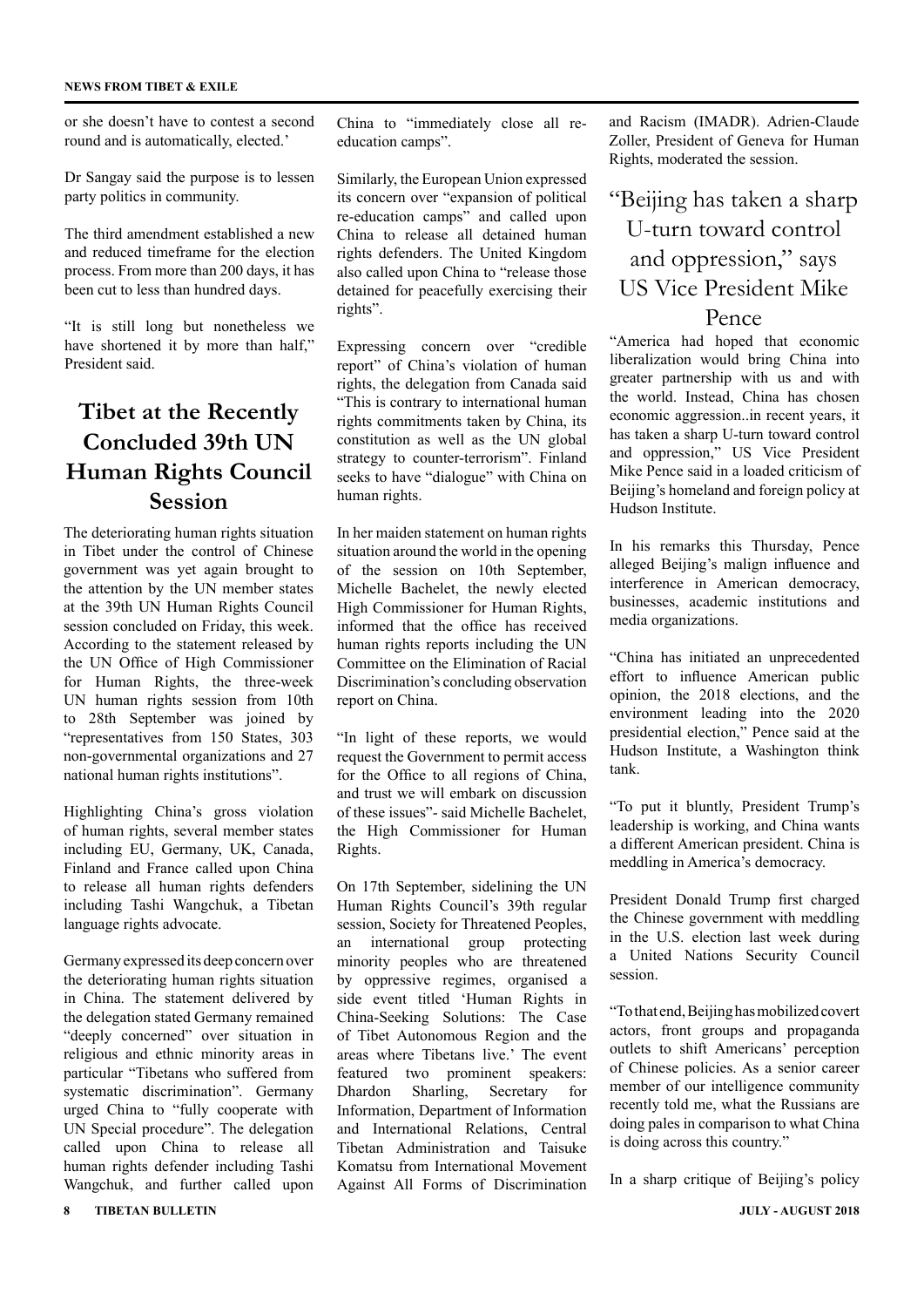or she doesn't have to contest a second round and is automatically, elected.'

Dr Sangay said the purpose is to lessen party politics in community.

The third amendment established a new and reduced timeframe for the election process. From more than 200 days, it has been cut to less than hundred days.

"It is still long but nonetheless we have shortened it by more than half," President said.

### **Tibet at the Recently Concluded 39th UN Human Rights Council Session**

The deteriorating human rights situation in Tibet under the control of Chinese government was yet again brought to the attention by the UN member states at the 39th UN Human Rights Council session concluded on Friday, this week. According to the statement released by the UN Office of High Commissioner for Human Rights, the three-week UN human rights session from 10th to 28th September was joined by "representatives from 150 States, 303 non-governmental organizations and 27 national human rights institutions".

Highlighting China's gross violation of human rights, several member states including EU, Germany, UK, Canada, Finland and France called upon China to release all human rights defenders including Tashi Wangchuk, a Tibetan language rights advocate.

Germany expressed its deep concern over the deteriorating human rights situation in China. The statement delivered by the delegation stated Germany remained "deeply concerned" over situation in religious and ethnic minority areas in particular "Tibetans who suffered from systematic discrimination". Germany urged China to "fully cooperate with UN Special procedure". The delegation called upon China to release all human rights defender including Tashi Wangchuk, and further called upon

China to "immediately close all reeducation camps".

Similarly, the European Union expressed its concern over "expansion of political re-education camps" and called upon China to release all detained human rights defenders. The United Kingdom also called upon China to "release those detained for peacefully exercising their rights".

Expressing concern over "credible report" of China's violation of human rights, the delegation from Canada said "This is contrary to international human rights commitments taken by China, its constitution as well as the UN global strategy to counter-terrorism". Finland seeks to have "dialogue" with China on human rights.

In her maiden statement on human rights situation around the world in the opening of the session on 10th September, Michelle Bachelet, the newly elected High Commissioner for Human Rights, informed that the office has received human rights reports including the UN Committee on the Elimination of Racial Discrimination's concluding observation report on China.

"In light of these reports, we would request the Government to permit access for the Office to all regions of China. and trust we will embark on discussion of these issues"- said Michelle Bachelet, the High Commissioner for Human Rights.

On 17th September, sidelining the UN Human Rights Council's 39th regular session, Society for Threatened Peoples, an international group protecting minority peoples who are threatened by oppressive regimes, organised a side event titled 'Human Rights in China-Seeking Solutions: The Case of Tibet Autonomous Region and the areas where Tibetans live.' The event featured two prominent speakers: Dhardon Sharling, Secretary for Information, Department of Information and International Relations, Central Tibetan Administration and Taisuke Komatsu from International Movement Against All Forms of Discrimination

and Racism (IMADR). Adrien-Claude Zoller, President of Geneva for Human Rights, moderated the session.

### "Beijing has taken a sharp U-turn toward control and oppression," says US Vice President Mike Pence

"America had hoped that economic liberalization would bring China into greater partnership with us and with the world. Instead, China has chosen economic aggression..in recent years, it has taken a sharp U-turn toward control and oppression," US Vice President Mike Pence said in a loaded criticism of Beijing's homeland and foreign policy at Hudson Institute.

In his remarks this Thursday, Pence alleged Beijing's malign influence and interference in American democracy, businesses, academic institutions and media organizations.

"China has initiated an unprecedented effort to influence American public opinion, the 2018 elections, and the environment leading into the 2020 presidential election," Pence said at the Hudson Institute, a Washington think tank.

"To put it bluntly, President Trump's leadership is working, and China wants a different American president. China is meddling in America's democracy.

President Donald Trump first charged the Chinese government with meddling in the U.S. election last week during a United Nations Security Council session.

"To that end, Beijing has mobilized covert actors, front groups and propaganda outlets to shift Americans' perception of Chinese policies. As a senior career member of our intelligence community recently told me, what the Russians are doing pales in comparison to what China is doing across this country."

In a sharp critique of Beijing's policy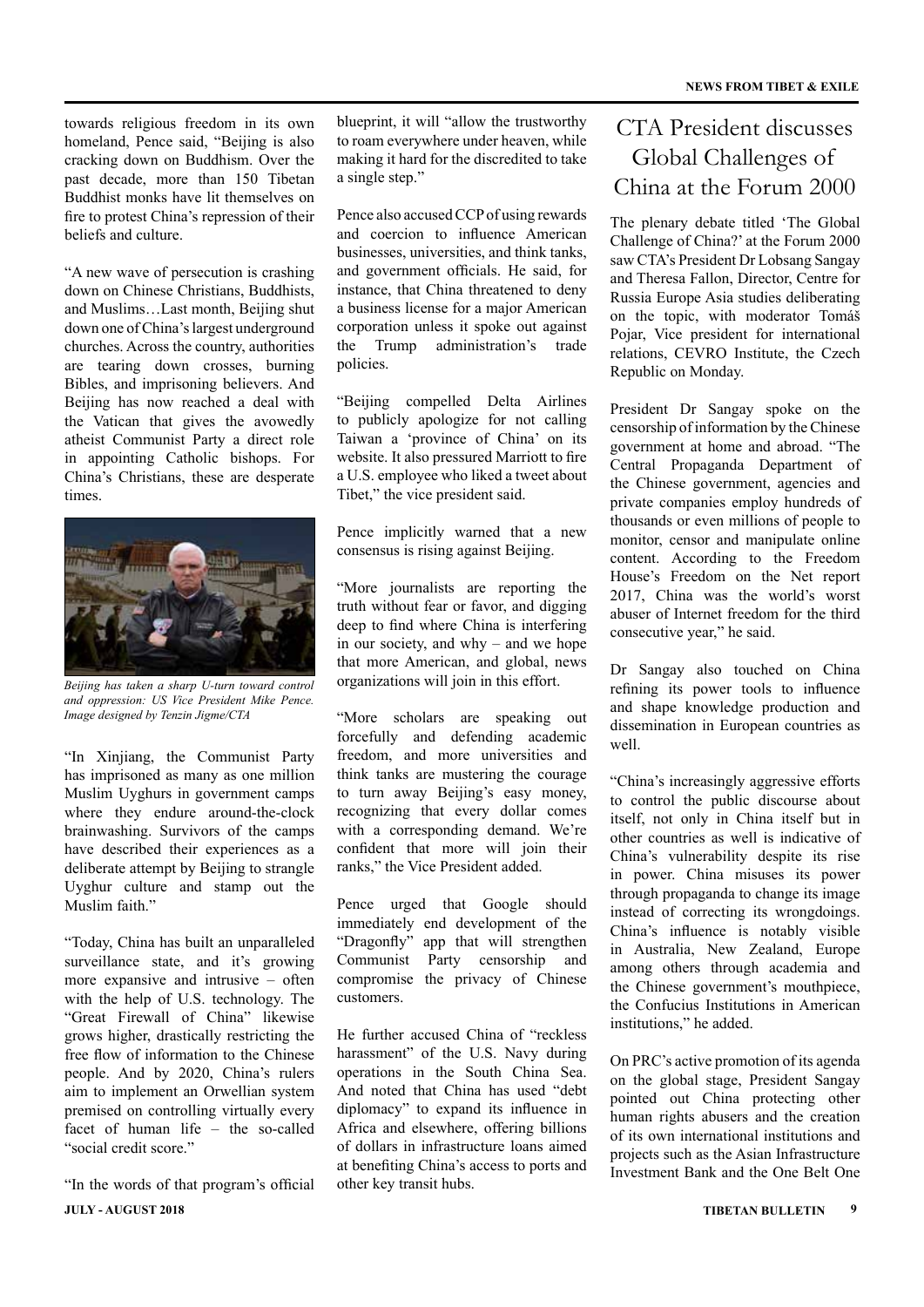towards religious freedom in its own homeland, Pence said, "Beijing is also cracking down on Buddhism. Over the past decade, more than 150 Tibetan Buddhist monks have lit themselves on fire to protest China's repression of their beliefs and culture.

"A new wave of persecution is crashing down on Chinese Christians, Buddhists, and Muslims…Last month, Beijing shut down one of China's largest underground churches. Across the country, authorities are tearing down crosses, burning Bibles, and imprisoning believers. And Beijing has now reached a deal with the Vatican that gives the avowedly atheist Communist Party a direct role in appointing Catholic bishops. For China's Christians, these are desperate times.



*Beijing has taken a sharp U-turn toward control and oppression: US Vice President Mike Pence. Image designed by Tenzin Jigme/CTA*

"In Xinjiang, the Communist Party has imprisoned as many as one million Muslim Uyghurs in government camps where they endure around-the-clock brainwashing. Survivors of the camps have described their experiences as a deliberate attempt by Beijing to strangle Uyghur culture and stamp out the Muslim faith."

"Today, China has built an unparalleled surveillance state, and it's growing more expansive and intrusive – often with the help of U.S. technology. The "Great Firewall of China" likewise grows higher, drastically restricting the free flow of information to the Chinese people. And by 2020, China's rulers aim to implement an Orwellian system premised on controlling virtually every facet of human life – the so-called "social credit score."

**JULY - AUGUST 2018 TIBETAN BULLETIN 9** "In the words of that program's official

blueprint, it will "allow the trustworthy to roam everywhere under heaven, while making it hard for the discredited to take a single step."

Pence also accused CCP of using rewards and coercion to influence American businesses, universities, and think tanks, and government officials. He said, for instance, that China threatened to deny a business license for a major American corporation unless it spoke out against the Trump administration's trade policies.

"Beijing compelled Delta Airlines to publicly apologize for not calling Taiwan a 'province of China' on its website. It also pressured Marriott to fire a U.S. employee who liked a tweet about Tibet," the vice president said.

Pence implicitly warned that a new consensus is rising against Beijing.

"More journalists are reporting the truth without fear or favor, and digging deep to find where China is interfering in our society, and why – and we hope that more American, and global, news organizations will join in this effort.

"More scholars are speaking out forcefully and defending academic freedom, and more universities and think tanks are mustering the courage to turn away Beijing's easy money, recognizing that every dollar comes with a corresponding demand. We're confident that more will join their ranks," the Vice President added.

Pence urged that Google should immediately end development of the "Dragonfly" app that will strengthen Communist Party censorship and compromise the privacy of Chinese customers.

He further accused China of "reckless harassment" of the U.S. Navy during operations in the South China Sea. And noted that China has used "debt diplomacy" to expand its influence in Africa and elsewhere, offering billions of dollars in infrastructure loans aimed at benefiting China's access to ports and other key transit hubs.

### CTA President discusses Global Challenges of China at the Forum 2000

The plenary debate titled 'The Global Challenge of China?' at the Forum 2000 saw CTA's President Dr Lobsang Sangay and Theresa Fallon, Director, Centre for Russia Europe Asia studies deliberating on the topic, with moderator Tomáš Pojar, Vice president for international relations, CEVRO Institute, the Czech Republic on Monday.

President Dr Sangay spoke on the censorship of information by the Chinese government at home and abroad. "The Central Propaganda Department of the Chinese government, agencies and private companies employ hundreds of thousands or even millions of people to monitor, censor and manipulate online content. According to the Freedom House's Freedom on the Net report 2017, China was the world's worst abuser of Internet freedom for the third consecutive year," he said.

Dr Sangay also touched on China refining its power tools to influence and shape knowledge production and dissemination in European countries as well.

"China's increasingly aggressive efforts to control the public discourse about itself, not only in China itself but in other countries as well is indicative of China's vulnerability despite its rise in power. China misuses its power through propaganda to change its image instead of correcting its wrongdoings. China's influence is notably visible in Australia, New Zealand, Europe among others through academia and the Chinese government's mouthpiece, the Confucius Institutions in American institutions," he added.

On PRC's active promotion of its agenda on the global stage, President Sangay pointed out China protecting other human rights abusers and the creation of its own international institutions and projects such as the Asian Infrastructure Investment Bank and the One Belt One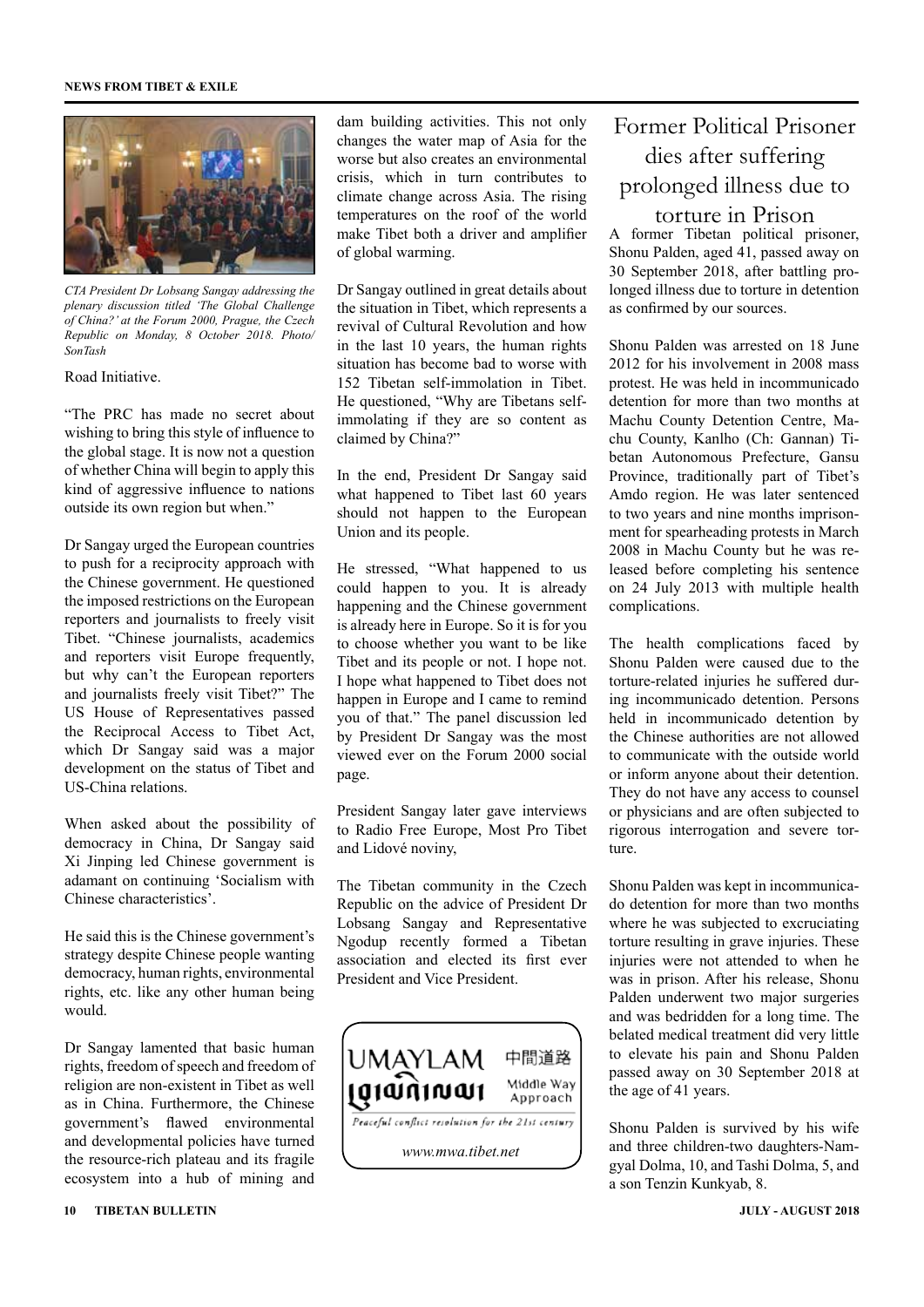#### **NEWS FROM TIBET & EXILE**



*CTA President Dr Lobsang Sangay addressing the plenary discussion titled 'The Global Challenge of China?' at the Forum 2000, Prague, the Czech Republic on Monday, 8 October 2018. Photo/ SonTash*

#### Road Initiative.

"The PRC has made no secret about wishing to bring this style of influence to the global stage. It is now not a question of whether China will begin to apply this kind of aggressive influence to nations outside its own region but when."

Dr Sangay urged the European countries to push for a reciprocity approach with the Chinese government. He questioned the imposed restrictions on the European reporters and journalists to freely visit Tibet. "Chinese journalists, academics and reporters visit Europe frequently, but why can't the European reporters and journalists freely visit Tibet?" The US House of Representatives passed the Reciprocal Access to Tibet Act, which Dr Sangay said was a major development on the status of Tibet and US-China relations.

When asked about the possibility of democracy in China, Dr Sangay said Xi Jinping led Chinese government is adamant on continuing 'Socialism with Chinese characteristics'.

He said this is the Chinese government's strategy despite Chinese people wanting democracy, human rights, environmental rights, etc. like any other human being would.

Dr Sangay lamented that basic human rights, freedom of speech and freedom of religion are non-existent in Tibet as well as in China. Furthermore, the Chinese government's flawed environmental and developmental policies have turned the resource-rich plateau and its fragile ecosystem into a hub of mining and

dam building activities. This not only changes the water map of Asia for the worse but also creates an environmental crisis, which in turn contributes to climate change across Asia. The rising temperatures on the roof of the world make Tibet both a driver and amplifier of global warming.

Dr Sangay outlined in great details about the situation in Tibet, which represents a revival of Cultural Revolution and how in the last 10 years, the human rights situation has become bad to worse with 152 Tibetan self-immolation in Tibet. He questioned, "Why are Tibetans selfimmolating if they are so content as claimed by China?"

In the end, President Dr Sangay said what happened to Tibet last 60 years should not happen to the European Union and its people.

He stressed, "What happened to us could happen to you. It is already happening and the Chinese government is already here in Europe. So it is for you to choose whether you want to be like Tibet and its people or not. I hope not. I hope what happened to Tibet does not happen in Europe and I came to remind you of that." The panel discussion led by President Dr Sangay was the most viewed ever on the Forum 2000 social page.

President Sangay later gave interviews to Radio Free Europe, Most Pro Tibet and Lidové noviny,

The Tibetan community in the Czech Republic on the advice of President Dr Lobsang Sangay and Representative Ngodup recently formed a Tibetan association and elected its first ever President and Vice President.



# Former Political Prisoner dies after suffering prolonged illness due to

A former Tibetan political prisoner, Shonu Palden, aged 41, passed away on 30 September 2018, after battling prolonged illness due to torture in detention as confirmed by our sources. torture in Prison

Shonu Palden was arrested on 18 June 2012 for his involvement in 2008 mass protest. He was held in incommunicado detention for more than two months at Machu County Detention Centre, Machu County, Kanlho (Ch: Gannan) Tibetan Autonomous Prefecture, Gansu Province, traditionally part of Tibet's Amdo region. He was later sentenced to two years and nine months imprisonment for spearheading protests in March 2008 in Machu County but he was released before completing his sentence on 24 July 2013 with multiple health complications.

The health complications faced by Shonu Palden were caused due to the torture-related injuries he suffered during incommunicado detention. Persons held in incommunicado detention by the Chinese authorities are not allowed to communicate with the outside world or inform anyone about their detention. They do not have any access to counsel or physicians and are often subjected to rigorous interrogation and severe torture.

Shonu Palden was kept in incommunicado detention for more than two months where he was subjected to excruciating torture resulting in grave injuries. These injuries were not attended to when he was in prison. After his release, Shonu Palden underwent two major surgeries and was bedridden for a long time. The belated medical treatment did very little to elevate his pain and Shonu Palden passed away on 30 September 2018 at the age of 41 years.

Shonu Palden is survived by his wife and three children-two daughters-Namgyal Dolma, 10, and Tashi Dolma, 5, and a son Tenzin Kunkyab, 8.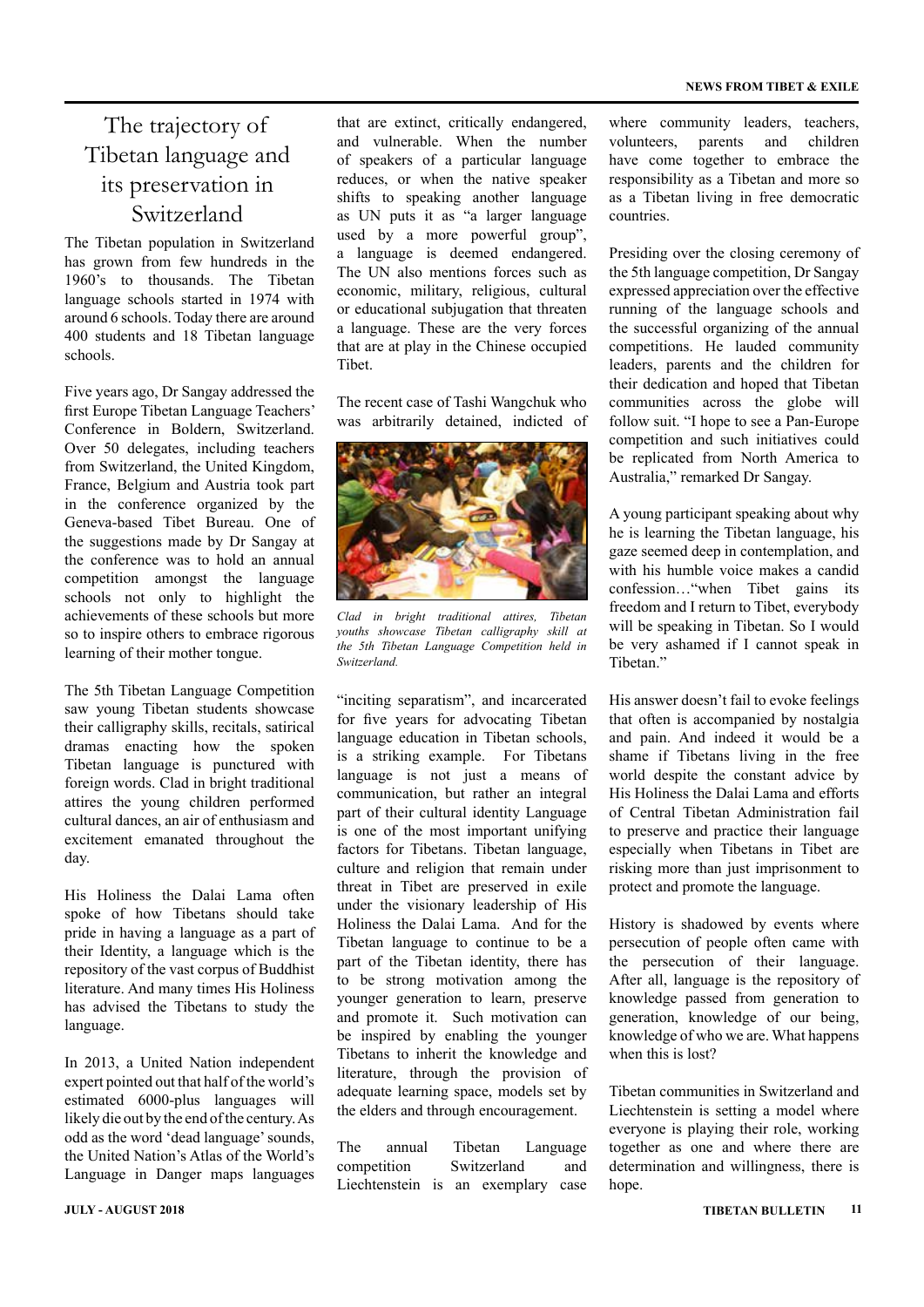### The trajectory of Tibetan language and its preservation in Switzerland

The Tibetan population in Switzerland has grown from few hundreds in the 1960's to thousands. The Tibetan language schools started in 1974 with around 6 schools. Today there are around 400 students and 18 Tibetan language schools.

Five years ago, Dr Sangay addressed the first Europe Tibetan Language Teachers' Conference in Boldern, Switzerland. Over 50 delegates, including teachers from Switzerland, the United Kingdom, France, Belgium and Austria took part in the conference organized by the Geneva-based Tibet Bureau. One of the suggestions made by Dr Sangay at the conference was to hold an annual competition amongst the language schools not only to highlight the achievements of these schools but more so to inspire others to embrace rigorous learning of their mother tongue.

The 5th Tibetan Language Competition saw young Tibetan students showcase their calligraphy skills, recitals, satirical dramas enacting how the spoken Tibetan language is punctured with foreign words. Clad in bright traditional attires the young children performed cultural dances, an air of enthusiasm and excitement emanated throughout the day.

His Holiness the Dalai Lama often spoke of how Tibetans should take pride in having a language as a part of their Identity, a language which is the repository of the vast corpus of Buddhist literature. And many times His Holiness has advised the Tibetans to study the language.

In 2013, a United Nation independent expert pointed out that half of the world's estimated 6000-plus languages will likely die out by the end of the century. As odd as the word 'dead language' sounds, the United Nation's Atlas of the World's Language in Danger maps languages

that are extinct, critically endangered, and vulnerable. When the number of speakers of a particular language reduces, or when the native speaker shifts to speaking another language as UN puts it as "a larger language used by a more powerful group", a language is deemed endangered. The UN also mentions forces such as economic, military, religious, cultural or educational subjugation that threaten a language. These are the very forces that are at play in the Chinese occupied Tibet.

The recent case of Tashi Wangchuk who was arbitrarily detained, indicted of



*Clad in bright traditional attires, Tibetan youths showcase Tibetan calligraphy skill at the 5th Tibetan Language Competition held in Switzerland.*

"inciting separatism", and incarcerated for five years for advocating Tibetan language education in Tibetan schools, is a striking example. For Tibetans language is not just a means of communication, but rather an integral part of their cultural identity Language is one of the most important unifying factors for Tibetans. Tibetan language, culture and religion that remain under threat in Tibet are preserved in exile under the visionary leadership of His Holiness the Dalai Lama. And for the Tibetan language to continue to be a part of the Tibetan identity, there has to be strong motivation among the younger generation to learn, preserve and promote it. Such motivation can be inspired by enabling the younger Tibetans to inherit the knowledge and literature, through the provision of adequate learning space, models set by the elders and through encouragement.

The annual Tibetan Language competition Switzerland and Liechtenstein is an exemplary case

where community leaders, teachers, volunteers, parents and children have come together to embrace the responsibility as a Tibetan and more so as a Tibetan living in free democratic countries.

Presiding over the closing ceremony of the 5th language competition, Dr Sangay expressed appreciation over the effective running of the language schools and the successful organizing of the annual competitions. He lauded community leaders, parents and the children for their dedication and hoped that Tibetan communities across the globe will follow suit. "I hope to see a Pan-Europe competition and such initiatives could be replicated from North America to Australia," remarked Dr Sangay.

A young participant speaking about why he is learning the Tibetan language, his gaze seemed deep in contemplation, and with his humble voice makes a candid confession…"when Tibet gains its freedom and I return to Tibet, everybody will be speaking in Tibetan. So I would be very ashamed if I cannot speak in Tibetan."

His answer doesn't fail to evoke feelings that often is accompanied by nostalgia and pain. And indeed it would be a shame if Tibetans living in the free world despite the constant advice by His Holiness the Dalai Lama and efforts of Central Tibetan Administration fail to preserve and practice their language especially when Tibetans in Tibet are risking more than just imprisonment to protect and promote the language.

History is shadowed by events where persecution of people often came with the persecution of their language. After all, language is the repository of knowledge passed from generation to generation, knowledge of our being, knowledge of who we are. What happens when this is lost?

Tibetan communities in Switzerland and Liechtenstein is setting a model where everyone is playing their role, working together as one and where there are determination and willingness, there is hope.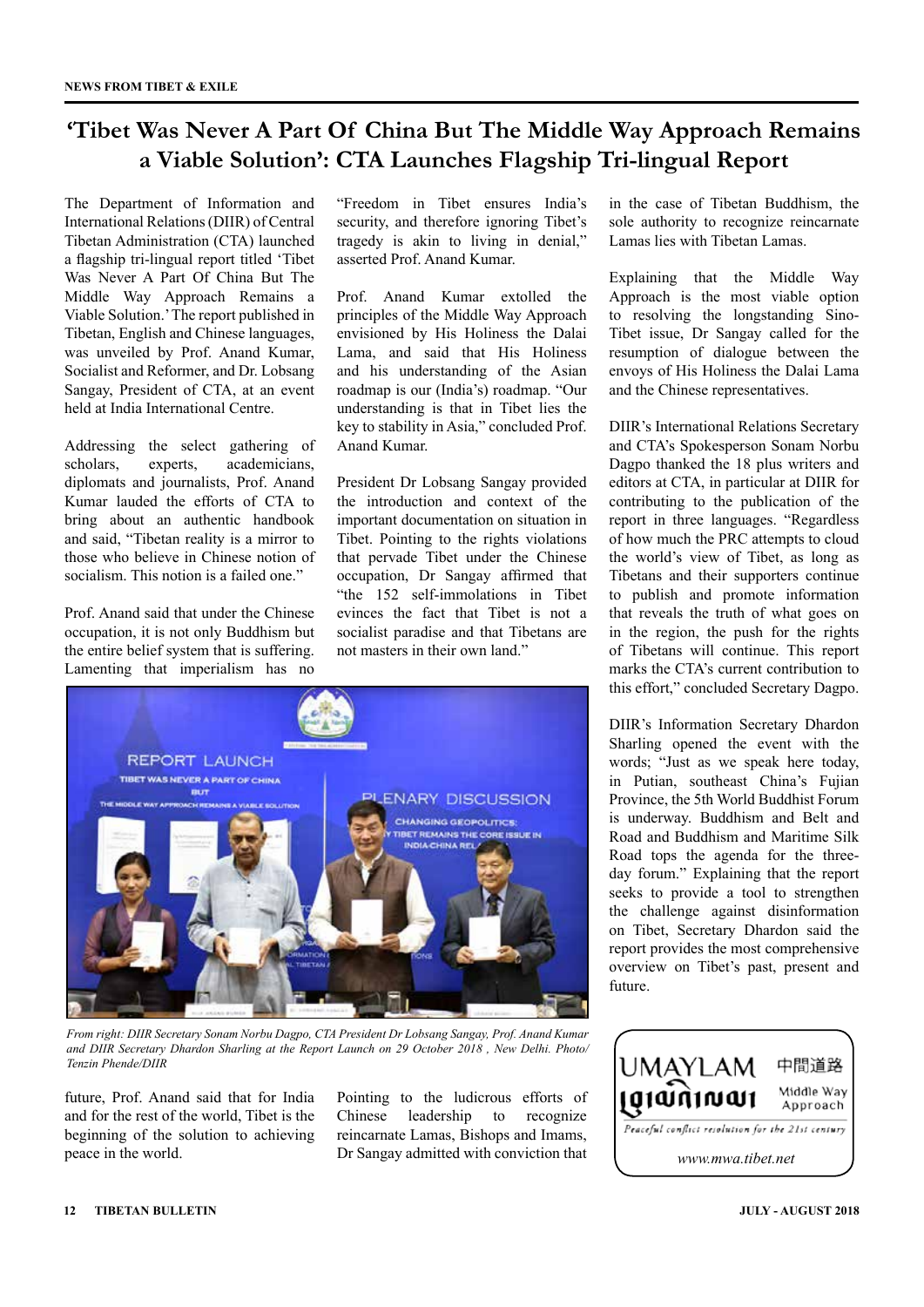### **'Tibet Was Never A Part Of China But The Middle Way Approach Remains a Viable Solution': CTA Launches Flagship Tri-lingual Report**

The Department of Information and International Relations (DIIR) of Central Tibetan Administration (CTA) launched a flagship tri-lingual report titled 'Tibet Was Never A Part Of China But The Middle Way Approach Remains a Viable Solution.' The report published in Tibetan, English and Chinese languages, was unveiled by Prof. Anand Kumar, Socialist and Reformer, and Dr. Lobsang Sangay, President of CTA, at an event held at India International Centre.

Addressing the select gathering of scholars, experts, academicians, diplomats and journalists, Prof. Anand Kumar lauded the efforts of CTA to bring about an authentic handbook and said, "Tibetan reality is a mirror to those who believe in Chinese notion of socialism. This notion is a failed one."

Prof. Anand said that under the Chinese occupation, it is not only Buddhism but the entire belief system that is suffering. Lamenting that imperialism has no "Freedom in Tibet ensures India's security, and therefore ignoring Tibet's tragedy is akin to living in denial," asserted Prof. Anand Kumar.

Prof. Anand Kumar extolled the principles of the Middle Way Approach envisioned by His Holiness the Dalai Lama, and said that His Holiness and his understanding of the Asian roadmap is our (India's) roadmap. "Our understanding is that in Tibet lies the key to stability in Asia," concluded Prof. Anand Kumar.

President Dr Lobsang Sangay provided the introduction and context of the important documentation on situation in Tibet. Pointing to the rights violations that pervade Tibet under the Chinese occupation, Dr Sangay affirmed that "the 152 self-immolations in Tibet evinces the fact that Tibet is not a socialist paradise and that Tibetans are not masters in their own land."

in the case of Tibetan Buddhism, the sole authority to recognize reincarnate Lamas lies with Tibetan Lamas.

Explaining that the Middle Way Approach is the most viable option to resolving the longstanding Sino-Tibet issue, Dr Sangay called for the resumption of dialogue between the envoys of His Holiness the Dalai Lama and the Chinese representatives.

DIIR's International Relations Secretary and CTA's Spokesperson Sonam Norbu Dagpo thanked the 18 plus writers and editors at CTA, in particular at DIIR for contributing to the publication of the report in three languages. "Regardless of how much the PRC attempts to cloud the world's view of Tibet, as long as Tibetans and their supporters continue to publish and promote information that reveals the truth of what goes on in the region, the push for the rights of Tibetans will continue. This report marks the CTA's current contribution to this effort," concluded Secretary Dagpo.

DIIR's Information Secretary Dhardon Sharling opened the event with the words; "Just as we speak here today, in Putian, southeast China's Fujian Province, the 5th World Buddhist Forum is underway. Buddhism and Belt and Road and Buddhism and Maritime Silk Road tops the agenda for the threeday forum." Explaining that the report seeks to provide a tool to strengthen the challenge against disinformation on Tibet, Secretary Dhardon said the report provides the most comprehensive overview on Tibet's past, present and future.



*From right: DIIR Secretary Sonam Norbu Dagpo, CTA President Dr Lobsang Sangay, Prof. Anand Kumar and DIIR Secretary Dhardon Sharling at the Report Launch on 29 October 2018 , New Delhi. Photo/ Tenzin Phende/DIIR*

future, Prof. Anand said that for India and for the rest of the world, Tibet is the beginning of the solution to achieving peace in the world.

Pointing to the ludicrous efforts of Chinese leadership to recognize reincarnate Lamas, Bishops and Imams, Dr Sangay admitted with conviction that

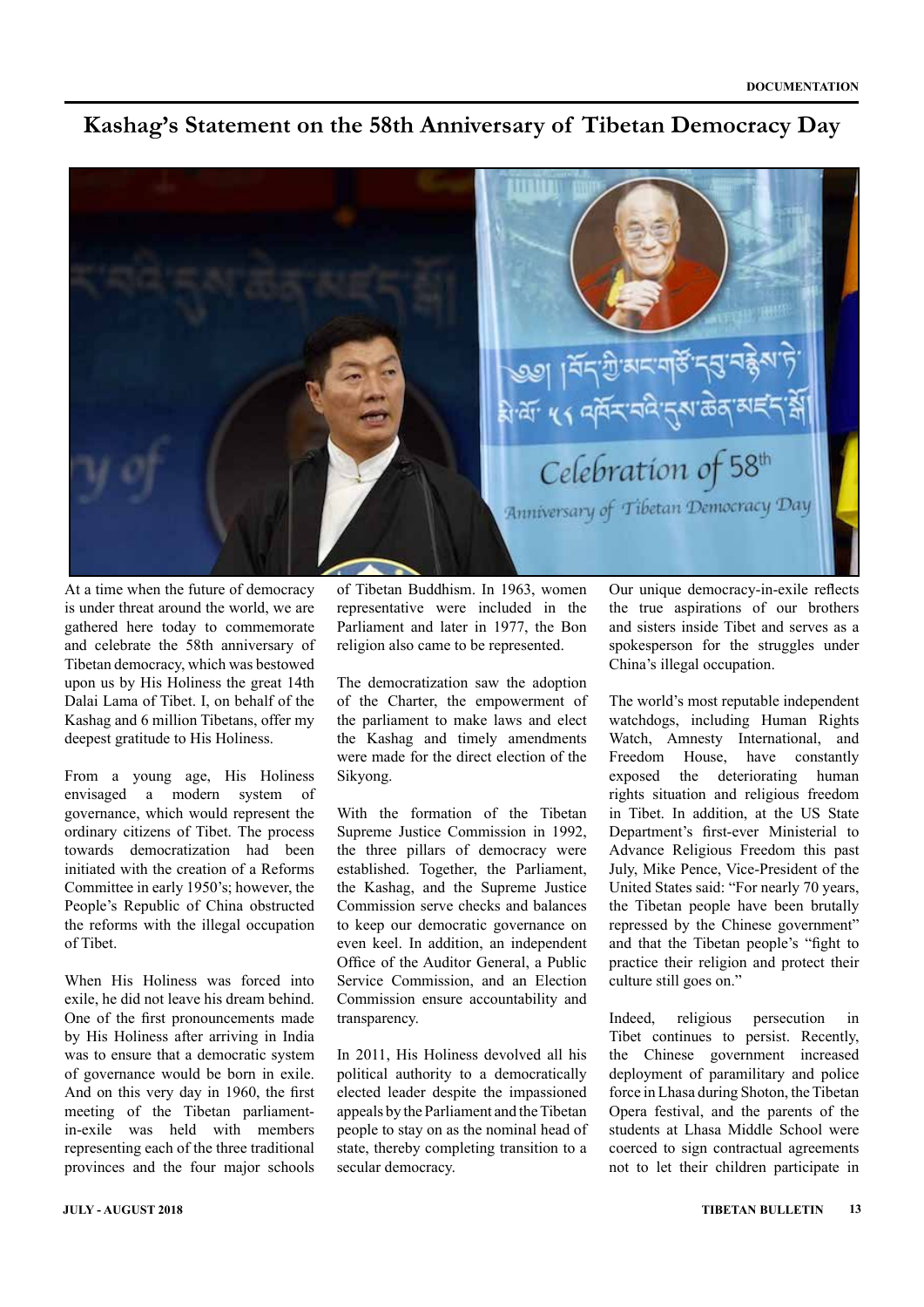### **Kashag's Statement on the 58th Anniversary of Tibetan Democracy Day**



At a time when the future of democracy is under threat around the world, we are gathered here today to commemorate and celebrate the 58th anniversary of Tibetan democracy, which was bestowed upon us by His Holiness the great 14th Dalai Lama of Tibet. I, on behalf of the Kashag and 6 million Tibetans, offer my deepest gratitude to His Holiness.

From a young age, His Holiness envisaged a modern system of governance, which would represent the ordinary citizens of Tibet. The process towards democratization had been initiated with the creation of a Reforms Committee in early 1950's; however, the People's Republic of China obstructed the reforms with the illegal occupation of Tibet.

When His Holiness was forced into exile, he did not leave his dream behind. One of the first pronouncements made by His Holiness after arriving in India was to ensure that a democratic system of governance would be born in exile. And on this very day in 1960, the first meeting of the Tibetan parliamentin-exile was held with members representing each of the three traditional provinces and the four major schools of Tibetan Buddhism. In 1963, women representative were included in the Parliament and later in 1977, the Bon religion also came to be represented.

The democratization saw the adoption of the Charter, the empowerment of the parliament to make laws and elect the Kashag and timely amendments were made for the direct election of the Sikyong.

With the formation of the Tibetan Supreme Justice Commission in 1992, the three pillars of democracy were established. Together, the Parliament, the Kashag, and the Supreme Justice Commission serve checks and balances to keep our democratic governance on even keel. In addition, an independent Office of the Auditor General, a Public Service Commission, and an Election Commission ensure accountability and transparency.

In 2011, His Holiness devolved all his political authority to a democratically elected leader despite the impassioned appeals by the Parliament and the Tibetan people to stay on as the nominal head of state, thereby completing transition to a secular democracy.

Our unique democracy-in-exile reflects the true aspirations of our brothers and sisters inside Tibet and serves as a spokesperson for the struggles under China's illegal occupation.

The world's most reputable independent watchdogs, including Human Rights Watch, Amnesty International, and Freedom House, have constantly exposed the deteriorating human rights situation and religious freedom in Tibet. In addition, at the US State Department's first-ever Ministerial to Advance Religious Freedom this past July, Mike Pence, Vice-President of the United States said: "For nearly 70 years, the Tibetan people have been brutally repressed by the Chinese government" and that the Tibetan people's "fight to practice their religion and protect their culture still goes on."

Indeed, religious persecution in Tibet continues to persist. Recently, the Chinese government increased deployment of paramilitary and police force in Lhasa during Shoton, the Tibetan Opera festival, and the parents of the students at Lhasa Middle School were coerced to sign contractual agreements not to let their children participate in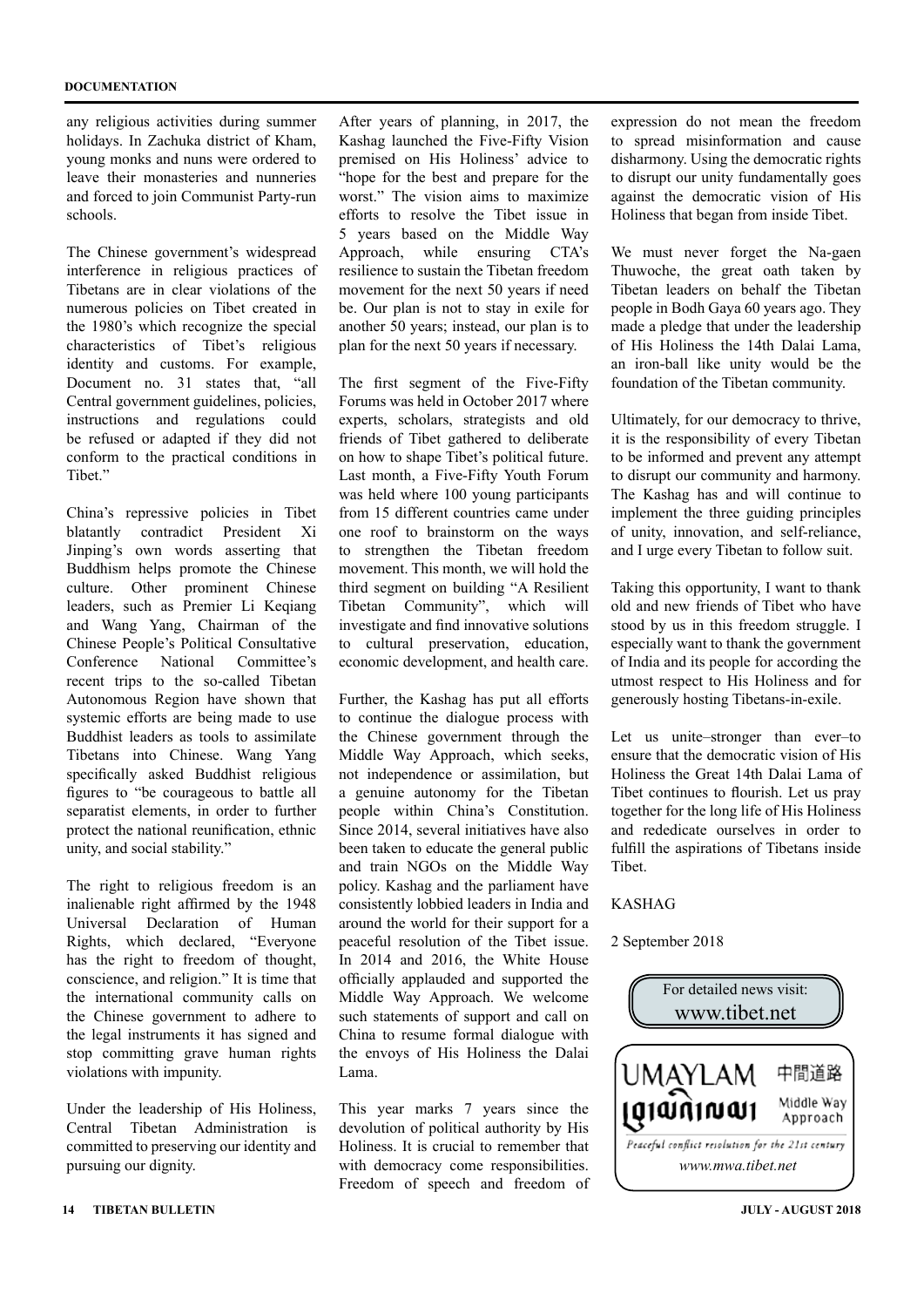any religious activities during summer holidays. In Zachuka district of Kham, young monks and nuns were ordered to leave their monasteries and nunneries and forced to join Communist Party-run schools.

The Chinese government's widespread interference in religious practices of Tibetans are in clear violations of the numerous policies on Tibet created in the 1980's which recognize the special characteristics of Tibet's religious identity and customs. For example, Document no. 31 states that, "all Central government guidelines, policies, instructions and regulations could be refused or adapted if they did not conform to the practical conditions in Tibet."

China's repressive policies in Tibet blatantly contradict President Xi Jinping's own words asserting that Buddhism helps promote the Chinese culture. Other prominent Chinese leaders, such as Premier Li Keqiang and Wang Yang, Chairman of the Chinese People's Political Consultative Conference National Committee's recent trips to the so-called Tibetan Autonomous Region have shown that systemic efforts are being made to use Buddhist leaders as tools to assimilate Tibetans into Chinese. Wang Yang specifically asked Buddhist religious figures to "be courageous to battle all separatist elements, in order to further protect the national reunification, ethnic unity, and social stability."

The right to religious freedom is an inalienable right affirmed by the 1948 Universal Declaration of Human Rights, which declared, "Everyone has the right to freedom of thought, conscience, and religion." It is time that the international community calls on the Chinese government to adhere to the legal instruments it has signed and stop committing grave human rights violations with impunity.

Under the leadership of His Holiness, Central Tibetan Administration is committed to preserving our identity and pursuing our dignity.

After years of planning, in 2017, the Kashag launched the Five-Fifty Vision premised on His Holiness' advice to "hope for the best and prepare for the worst." The vision aims to maximize efforts to resolve the Tibet issue in 5 years based on the Middle Way Approach, while ensuring CTA's resilience to sustain the Tibetan freedom movement for the next 50 years if need be. Our plan is not to stay in exile for another 50 years; instead, our plan is to plan for the next 50 years if necessary.

The first segment of the Five-Fifty Forums was held in October 2017 where experts, scholars, strategists and old friends of Tibet gathered to deliberate on how to shape Tibet's political future. Last month, a Five-Fifty Youth Forum was held where 100 young participants from 15 different countries came under one roof to brainstorm on the ways to strengthen the Tibetan freedom movement. This month, we will hold the third segment on building "A Resilient Tibetan Community", which will investigate and find innovative solutions to cultural preservation, education, economic development, and health care.

Further, the Kashag has put all efforts to continue the dialogue process with the Chinese government through the Middle Way Approach, which seeks, not independence or assimilation, but a genuine autonomy for the Tibetan people within China's Constitution. Since 2014, several initiatives have also been taken to educate the general public and train NGOs on the Middle Way policy. Kashag and the parliament have consistently lobbied leaders in India and around the world for their support for a peaceful resolution of the Tibet issue. In 2014 and 2016, the White House officially applauded and supported the Middle Way Approach. We welcome such statements of support and call on China to resume formal dialogue with the envoys of His Holiness the Dalai Lama.

This year marks 7 years since the devolution of political authority by His Holiness. It is crucial to remember that with democracy come responsibilities. Freedom of speech and freedom of

**14 TIBETAN BULLETIN JULY - AUGUST 2018**

expression do not mean the freedom to spread misinformation and cause disharmony. Using the democratic rights to disrupt our unity fundamentally goes against the democratic vision of His Holiness that began from inside Tibet.

We must never forget the Na-gaen Thuwoche, the great oath taken by Tibetan leaders on behalf the Tibetan people in Bodh Gaya 60 years ago. They made a pledge that under the leadership of His Holiness the 14th Dalai Lama, an iron-ball like unity would be the foundation of the Tibetan community.

Ultimately, for our democracy to thrive, it is the responsibility of every Tibetan to be informed and prevent any attempt to disrupt our community and harmony. The Kashag has and will continue to implement the three guiding principles of unity, innovation, and self-reliance, and I urge every Tibetan to follow suit.

Taking this opportunity, I want to thank old and new friends of Tibet who have stood by us in this freedom struggle. I especially want to thank the government of India and its people for according the utmost respect to His Holiness and for generously hosting Tibetans-in-exile.

Let us unite–stronger than ever–to ensure that the democratic vision of His Holiness the Great 14th Dalai Lama of Tibet continues to flourish. Let us pray together for the long life of His Holiness and rededicate ourselves in order to fulfill the aspirations of Tibetans inside **Tibet** 

#### KASHAG

#### 2 September 2018

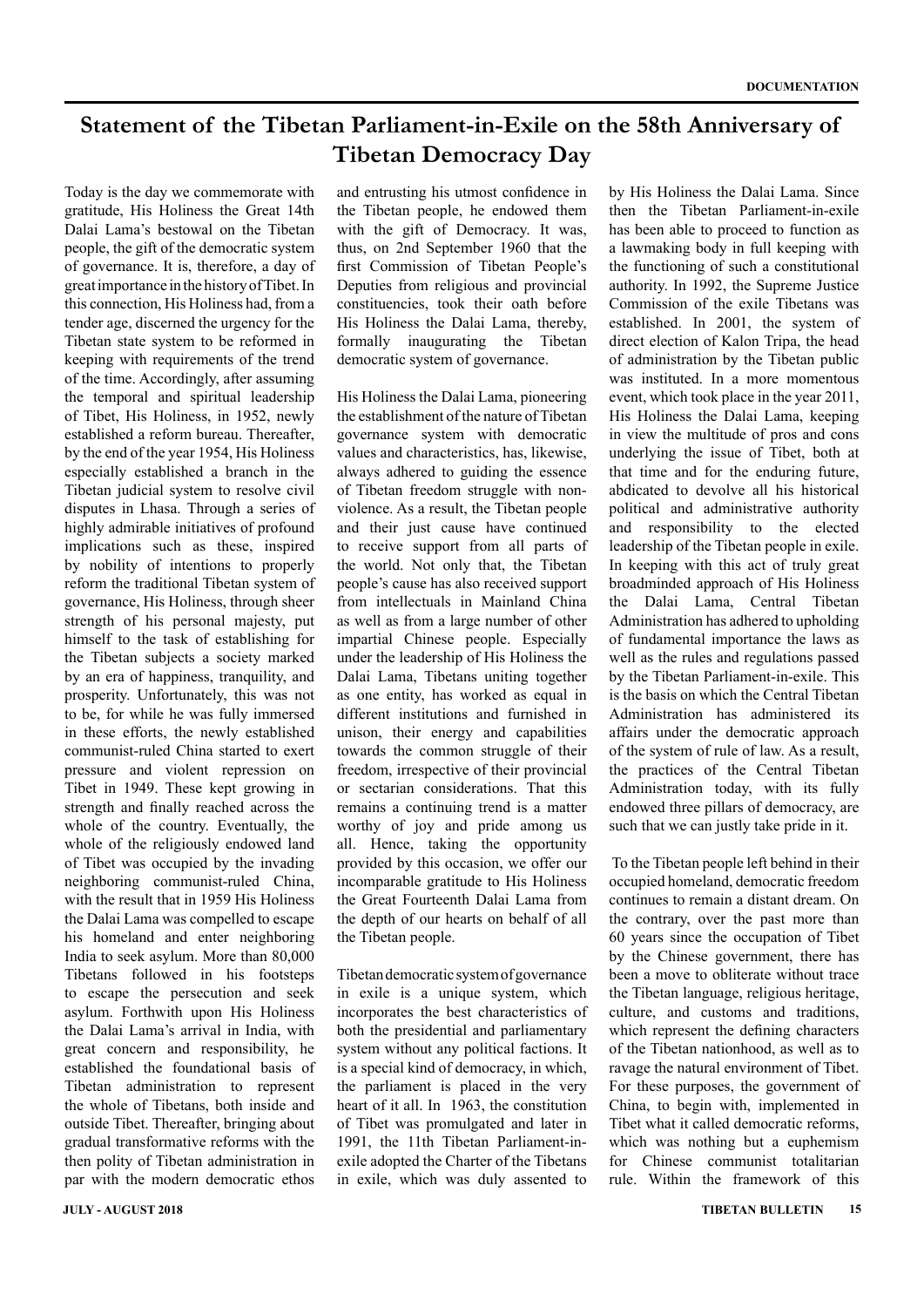### **Statement of the Tibetan Parliament-in-Exile on the 58th Anniversary of Tibetan Democracy Day**

Today is the day we commemorate with gratitude, His Holiness the Great 14th Dalai Lama's bestowal on the Tibetan people, the gift of the democratic system of governance. It is, therefore, a day of great importance in the history of Tibet. In this connection, His Holiness had, from a tender age, discerned the urgency for the Tibetan state system to be reformed in keeping with requirements of the trend of the time. Accordingly, after assuming the temporal and spiritual leadership of Tibet, His Holiness, in 1952, newly established a reform bureau. Thereafter, by the end of the year 1954, His Holiness especially established a branch in the Tibetan judicial system to resolve civil disputes in Lhasa. Through a series of highly admirable initiatives of profound implications such as these, inspired by nobility of intentions to properly reform the traditional Tibetan system of governance, His Holiness, through sheer strength of his personal majesty, put himself to the task of establishing for the Tibetan subjects a society marked by an era of happiness, tranquility, and prosperity. Unfortunately, this was not to be, for while he was fully immersed in these efforts, the newly established communist-ruled China started to exert pressure and violent repression on Tibet in 1949. These kept growing in strength and finally reached across the whole of the country. Eventually, the whole of the religiously endowed land of Tibet was occupied by the invading neighboring communist-ruled China, with the result that in 1959 His Holiness the Dalai Lama was compelled to escape his homeland and enter neighboring India to seek asylum. More than 80,000 Tibetans followed in his footsteps to escape the persecution and seek asylum. Forthwith upon His Holiness the Dalai Lama's arrival in India, with great concern and responsibility, he established the foundational basis of Tibetan administration to represent the whole of Tibetans, both inside and outside Tibet. Thereafter, bringing about gradual transformative reforms with the then polity of Tibetan administration in par with the modern democratic ethos and entrusting his utmost confidence in the Tibetan people, he endowed them with the gift of Democracy. It was, thus, on 2nd September 1960 that the first Commission of Tibetan People's Deputies from religious and provincial constituencies, took their oath before His Holiness the Dalai Lama, thereby, formally inaugurating the Tibetan democratic system of governance.

His Holiness the Dalai Lama, pioneering the establishment of the nature of Tibetan governance system with democratic values and characteristics, has, likewise, always adhered to guiding the essence of Tibetan freedom struggle with nonviolence. As a result, the Tibetan people and their just cause have continued to receive support from all parts of the world. Not only that, the Tibetan people's cause has also received support from intellectuals in Mainland China as well as from a large number of other impartial Chinese people. Especially under the leadership of His Holiness the Dalai Lama, Tibetans uniting together as one entity, has worked as equal in different institutions and furnished in unison, their energy and capabilities towards the common struggle of their freedom, irrespective of their provincial or sectarian considerations. That this remains a continuing trend is a matter worthy of joy and pride among us all. Hence, taking the opportunity provided by this occasion, we offer our incomparable gratitude to His Holiness the Great Fourteenth Dalai Lama from the depth of our hearts on behalf of all the Tibetan people.

Tibetan democratic system of governance in exile is a unique system, which incorporates the best characteristics of both the presidential and parliamentary system without any political factions. It is a special kind of democracy, in which, the parliament is placed in the very heart of it all. In 1963, the constitution of Tibet was promulgated and later in 1991, the 11th Tibetan Parliament-inexile adopted the Charter of the Tibetans in exile, which was duly assented to by His Holiness the Dalai Lama. Since then the Tibetan Parliament-in-exile has been able to proceed to function as a lawmaking body in full keeping with the functioning of such a constitutional authority. In 1992, the Supreme Justice Commission of the exile Tibetans was established. In 2001, the system of direct election of Kalon Tripa, the head of administration by the Tibetan public was instituted. In a more momentous event, which took place in the year 2011, His Holiness the Dalai Lama, keeping in view the multitude of pros and cons underlying the issue of Tibet, both at that time and for the enduring future, abdicated to devolve all his historical political and administrative authority and responsibility to the elected leadership of the Tibetan people in exile. In keeping with this act of truly great broadminded approach of His Holiness the Dalai Lama, Central Tibetan Administration has adhered to upholding of fundamental importance the laws as well as the rules and regulations passed by the Tibetan Parliament-in-exile. This is the basis on which the Central Tibetan Administration has administered its affairs under the democratic approach of the system of rule of law. As a result, the practices of the Central Tibetan Administration today, with its fully endowed three pillars of democracy, are such that we can justly take pride in it.

 To the Tibetan people left behind in their occupied homeland, democratic freedom continues to remain a distant dream. On the contrary, over the past more than 60 years since the occupation of Tibet by the Chinese government, there has been a move to obliterate without trace the Tibetan language, religious heritage, culture, and customs and traditions, which represent the defining characters of the Tibetan nationhood, as well as to ravage the natural environment of Tibet. For these purposes, the government of China, to begin with, implemented in Tibet what it called democratic reforms, which was nothing but a euphemism for Chinese communist totalitarian rule. Within the framework of this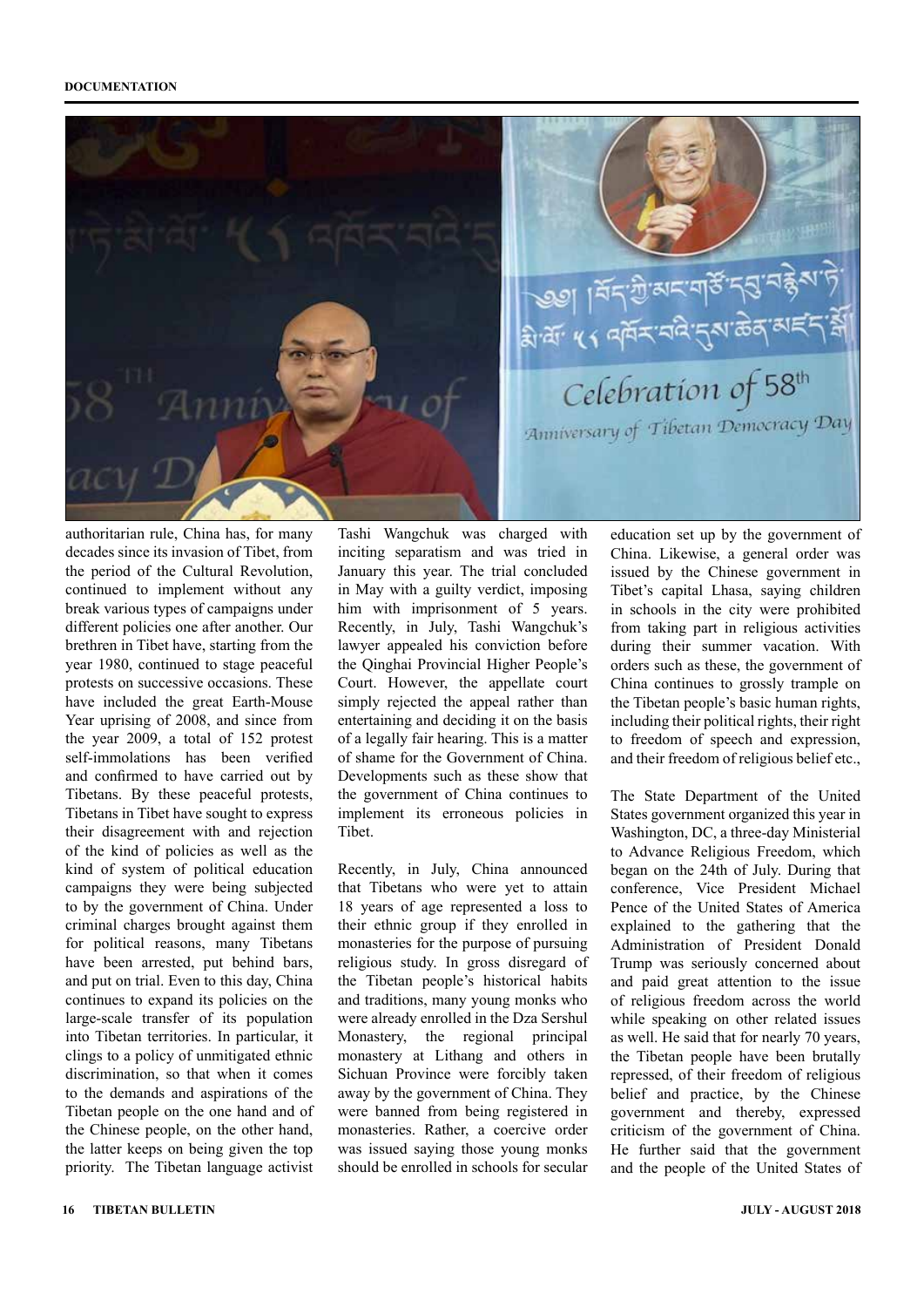

authoritarian rule, China has, for many decades since its invasion of Tibet, from the period of the Cultural Revolution, continued to implement without any break various types of campaigns under different policies one after another. Our brethren in Tibet have, starting from the year 1980, continued to stage peaceful protests on successive occasions. These have included the great Earth-Mouse Year uprising of 2008, and since from the year 2009, a total of 152 protest self-immolations has been verified and confirmed to have carried out by Tibetans. By these peaceful protests, Tibetans in Tibet have sought to express their disagreement with and rejection of the kind of policies as well as the kind of system of political education campaigns they were being subjected to by the government of China. Under criminal charges brought against them for political reasons, many Tibetans have been arrested, put behind bars, and put on trial. Even to this day, China continues to expand its policies on the large-scale transfer of its population into Tibetan territories. In particular, it clings to a policy of unmitigated ethnic discrimination, so that when it comes to the demands and aspirations of the Tibetan people on the one hand and of the Chinese people, on the other hand, the latter keeps on being given the top priority. The Tibetan language activist Tashi Wangchuk was charged with inciting separatism and was tried in January this year. The trial concluded in May with a guilty verdict, imposing him with imprisonment of 5 years. Recently, in July, Tashi Wangchuk's lawyer appealed his conviction before the Qinghai Provincial Higher People's Court. However, the appellate court simply rejected the appeal rather than entertaining and deciding it on the basis of a legally fair hearing. This is a matter of shame for the Government of China. Developments such as these show that the government of China continues to implement its erroneous policies in Tibet.

Recently, in July, China announced that Tibetans who were yet to attain 18 years of age represented a loss to their ethnic group if they enrolled in monasteries for the purpose of pursuing religious study. In gross disregard of the Tibetan people's historical habits and traditions, many young monks who were already enrolled in the Dza Sershul Monastery, the regional principal monastery at Lithang and others in Sichuan Province were forcibly taken away by the government of China. They were banned from being registered in monasteries. Rather, a coercive order was issued saying those young monks should be enrolled in schools for secular

education set up by the government of China. Likewise, a general order was issued by the Chinese government in Tibet's capital Lhasa, saying children in schools in the city were prohibited from taking part in religious activities during their summer vacation. With orders such as these, the government of China continues to grossly trample on the Tibetan people's basic human rights, including their political rights, their right to freedom of speech and expression, and their freedom of religious belief etc.,

The State Department of the United States government organized this year in Washington, DC, a three-day Ministerial to Advance Religious Freedom, which began on the 24th of July. During that conference, Vice President Michael Pence of the United States of America explained to the gathering that the Administration of President Donald Trump was seriously concerned about and paid great attention to the issue of religious freedom across the world while speaking on other related issues as well. He said that for nearly 70 years, the Tibetan people have been brutally repressed, of their freedom of religious belief and practice, by the Chinese government and thereby, expressed criticism of the government of China. He further said that the government and the people of the United States of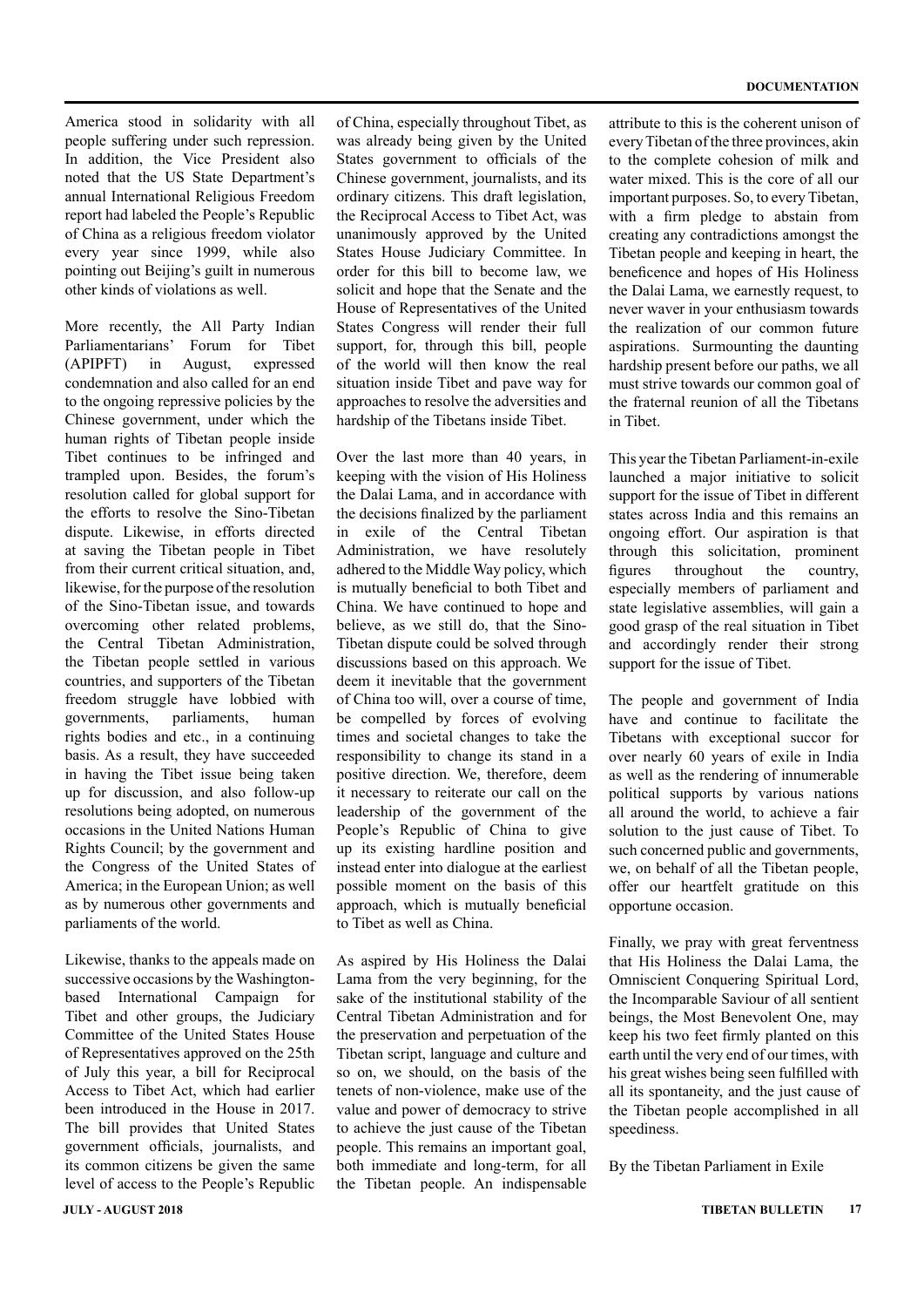America stood in solidarity with all people suffering under such repression. In addition, the Vice President also noted that the US State Department's annual International Religious Freedom report had labeled the People's Republic of China as a religious freedom violator every year since 1999, while also pointing out Beijing's guilt in numerous other kinds of violations as well.

More recently, the All Party Indian Parliamentarians' Forum for Tibet (APIPFT) in August, expressed condemnation and also called for an end to the ongoing repressive policies by the Chinese government, under which the human rights of Tibetan people inside Tibet continues to be infringed and trampled upon. Besides, the forum's resolution called for global support for the efforts to resolve the Sino-Tibetan dispute. Likewise, in efforts directed at saving the Tibetan people in Tibet from their current critical situation, and, likewise, for the purpose of the resolution of the Sino-Tibetan issue, and towards overcoming other related problems, the Central Tibetan Administration, the Tibetan people settled in various countries, and supporters of the Tibetan freedom struggle have lobbied with governments, parliaments, human rights bodies and etc., in a continuing basis. As a result, they have succeeded in having the Tibet issue being taken up for discussion, and also follow-up resolutions being adopted, on numerous occasions in the United Nations Human Rights Council; by the government and the Congress of the United States of America; in the European Union; as well as by numerous other governments and parliaments of the world.

Likewise, thanks to the appeals made on successive occasions by the Washingtonbased International Campaign for Tibet and other groups, the Judiciary Committee of the United States House of Representatives approved on the 25th of July this year, a bill for Reciprocal Access to Tibet Act, which had earlier been introduced in the House in 2017. The bill provides that United States government officials, journalists, and its common citizens be given the same level of access to the People's Republic of China, especially throughout Tibet, as was already being given by the United States government to officials of the Chinese government, journalists, and its ordinary citizens. This draft legislation, the Reciprocal Access to Tibet Act, was unanimously approved by the United States House Judiciary Committee. In order for this bill to become law, we solicit and hope that the Senate and the House of Representatives of the United States Congress will render their full support, for, through this bill, people of the world will then know the real situation inside Tibet and pave way for approaches to resolve the adversities and hardship of the Tibetans inside Tibet.

Over the last more than 40 years, in keeping with the vision of His Holiness the Dalai Lama, and in accordance with the decisions finalized by the parliament in exile of the Central Tibetan Administration, we have resolutely adhered to the Middle Way policy, which is mutually beneficial to both Tibet and China. We have continued to hope and believe, as we still do, that the Sino-Tibetan dispute could be solved through discussions based on this approach. We deem it inevitable that the government of China too will, over a course of time, be compelled by forces of evolving times and societal changes to take the responsibility to change its stand in a positive direction. We, therefore, deem it necessary to reiterate our call on the leadership of the government of the People's Republic of China to give up its existing hardline position and instead enter into dialogue at the earliest possible moment on the basis of this approach, which is mutually beneficial to Tibet as well as China.

As aspired by His Holiness the Dalai Lama from the very beginning, for the sake of the institutional stability of the Central Tibetan Administration and for the preservation and perpetuation of the Tibetan script, language and culture and so on, we should, on the basis of the tenets of non-violence, make use of the value and power of democracy to strive to achieve the just cause of the Tibetan people. This remains an important goal, both immediate and long-term, for all the Tibetan people. An indispensable

attribute to this is the coherent unison of every Tibetan of the three provinces, akin to the complete cohesion of milk and water mixed. This is the core of all our important purposes. So, to every Tibetan, with a firm pledge to abstain from creating any contradictions amongst the Tibetan people and keeping in heart, the beneficence and hopes of His Holiness the Dalai Lama, we earnestly request, to never waver in your enthusiasm towards the realization of our common future aspirations. Surmounting the daunting hardship present before our paths, we all must strive towards our common goal of the fraternal reunion of all the Tibetans in Tibet.

This year the Tibetan Parliament-in-exile launched a major initiative to solicit support for the issue of Tibet in different states across India and this remains an ongoing effort. Our aspiration is that through this solicitation, prominent figures throughout the country, especially members of parliament and state legislative assemblies, will gain a good grasp of the real situation in Tibet and accordingly render their strong support for the issue of Tibet.

The people and government of India have and continue to facilitate the Tibetans with exceptional succor for over nearly 60 years of exile in India as well as the rendering of innumerable political supports by various nations all around the world, to achieve a fair solution to the just cause of Tibet. To such concerned public and governments, we, on behalf of all the Tibetan people, offer our heartfelt gratitude on this opportune occasion.

Finally, we pray with great ferventness that His Holiness the Dalai Lama, the Omniscient Conquering Spiritual Lord, the Incomparable Saviour of all sentient beings, the Most Benevolent One, may keep his two feet firmly planted on this earth until the very end of our times, with his great wishes being seen fulfilled with all its spontaneity, and the just cause of the Tibetan people accomplished in all speediness.

By the Tibetan Parliament in Exile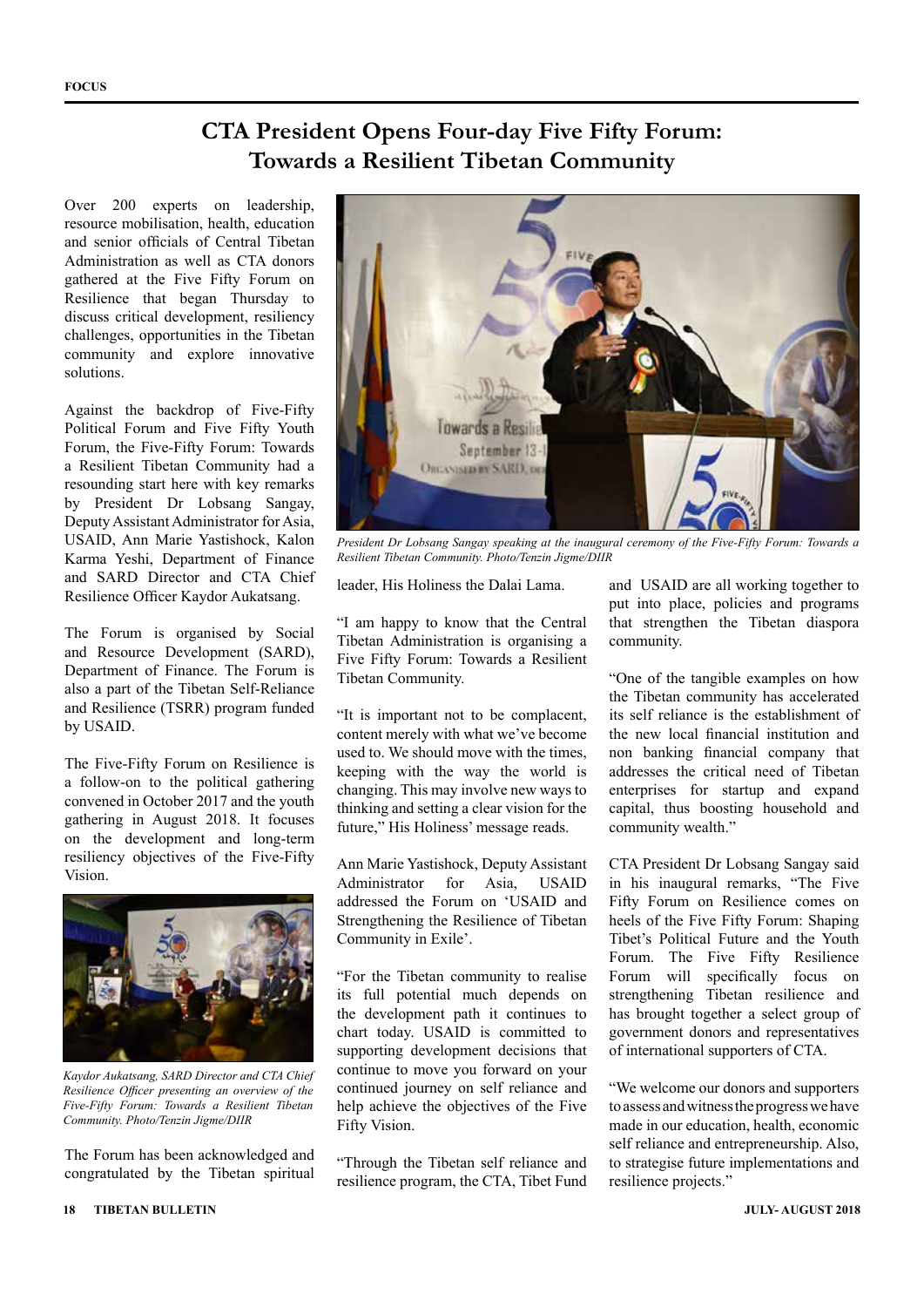### **CTA President Opens Four-day Five Fifty Forum: Towards a Resilient Tibetan Community**

Over 200 experts on leadership, resource mobilisation, health, education and senior officials of Central Tibetan Administration as well as CTA donors gathered at the Five Fifty Forum on Resilience that began Thursday to discuss critical development, resiliency challenges, opportunities in the Tibetan community and explore innovative solutions.

Against the backdrop of Five-Fifty Political Forum and Five Fifty Youth Forum, the Five-Fifty Forum: Towards a Resilient Tibetan Community had a resounding start here with key remarks by President Dr Lobsang Sangay, Deputy Assistant Administrator for Asia, USAID, Ann Marie Yastishock, Kalon Karma Yeshi, Department of Finance and SARD Director and CTA Chief Resilience Officer Kaydor Aukatsang.

The Forum is organised by Social and Resource Development (SARD), Department of Finance. The Forum is also a part of the Tibetan Self-Reliance and Resilience (TSRR) program funded by USAID.

The Five-Fifty Forum on Resilience is a follow-on to the political gathering convened in October 2017 and the youth gathering in August 2018. It focuses on the development and long-term resiliency objectives of the Five-Fifty Vision.



*Kaydor Aukatsang, SARD Director and CTA Chief Resilience Officer presenting an overview of the Five-Fifty Forum: Towards a Resilient Tibetan Community. Photo/Tenzin Jigme/DIIR*

The Forum has been acknowledged and congratulated by the Tibetan spiritual



*President Dr Lobsang Sangay speaking at the inaugural ceremony of the Five-Fifty Forum: Towards a Resilient Tibetan Community. Photo/Tenzin Jigme/DIIR*

leader, His Holiness the Dalai Lama.

"I am happy to know that the Central Tibetan Administration is organising a Five Fifty Forum: Towards a Resilient Tibetan Community.

"It is important not to be complacent, content merely with what we've become used to. We should move with the times, keeping with the way the world is changing. This may involve new ways to thinking and setting a clear vision for the future," His Holiness' message reads.

Ann Marie Yastishock, Deputy Assistant Administrator for Asia, USAID addressed the Forum on 'USAID and Strengthening the Resilience of Tibetan Community in Exile'.

"For the Tibetan community to realise its full potential much depends on the development path it continues to chart today. USAID is committed to supporting development decisions that continue to move you forward on your continued journey on self reliance and help achieve the objectives of the Five Fifty Vision.

"Through the Tibetan self reliance and resilience program, the CTA, Tibet Fund and USAID are all working together to put into place, policies and programs that strengthen the Tibetan diaspora community.

"One of the tangible examples on how the Tibetan community has accelerated its self reliance is the establishment of the new local financial institution and non banking financial company that addresses the critical need of Tibetan enterprises for startup and expand capital, thus boosting household and community wealth."

CTA President Dr Lobsang Sangay said in his inaugural remarks, "The Five Fifty Forum on Resilience comes on heels of the Five Fifty Forum: Shaping Tibet's Political Future and the Youth Forum. The Five Fifty Resilience Forum will specifically focus on strengthening Tibetan resilience and has brought together a select group of government donors and representatives of international supporters of CTA.

"We welcome our donors and supporters to assess and witness the progress we have made in our education, health, economic self reliance and entrepreneurship. Also, to strategise future implementations and resilience projects."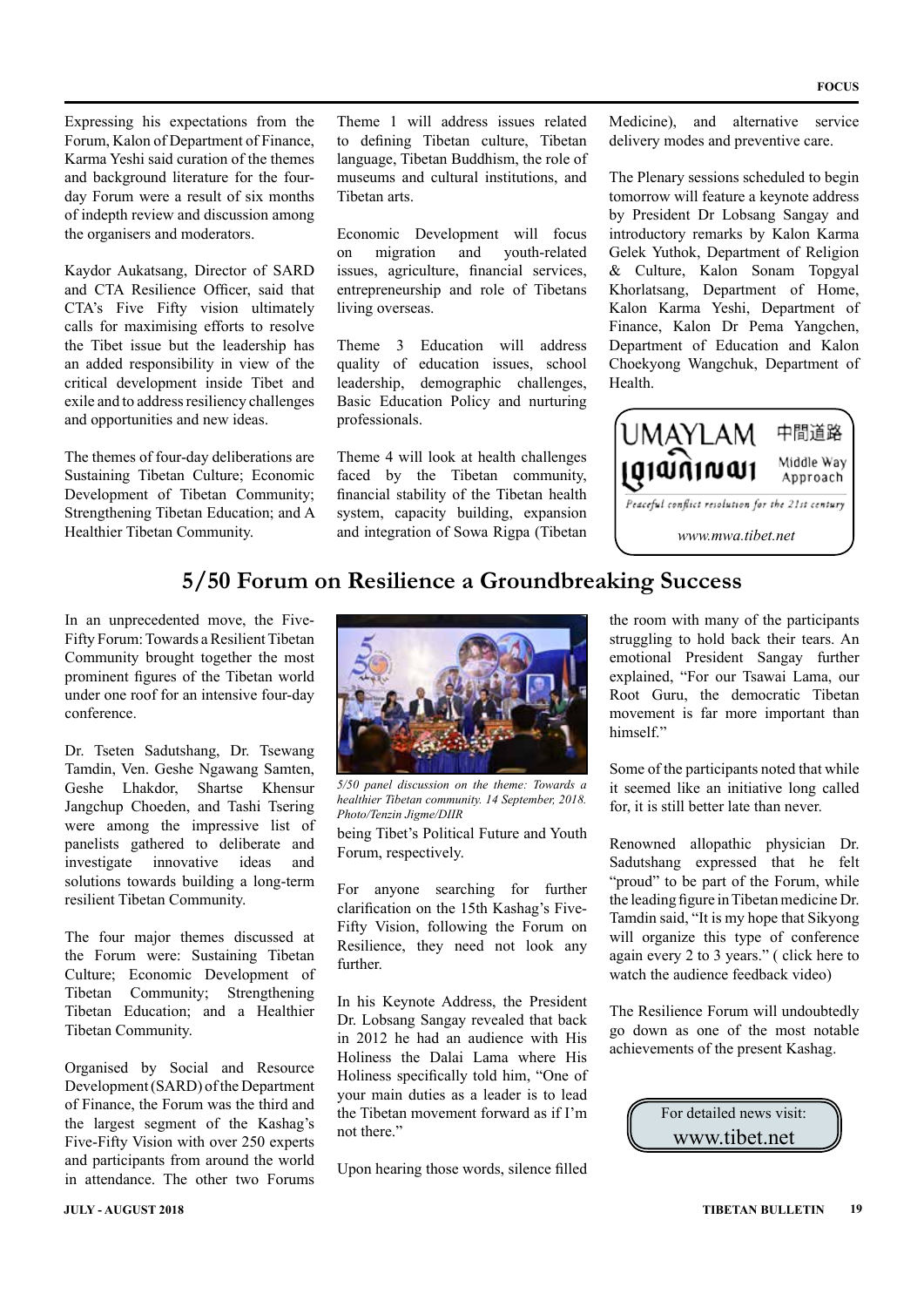Expressing his expectations from the Forum, Kalon of Department of Finance, Karma Yeshi said curation of the themes and background literature for the fourday Forum were a result of six months of indepth review and discussion among the organisers and moderators.

Kaydor Aukatsang, Director of SARD and CTA Resilience Officer, said that CTA's Five Fifty vision ultimately calls for maximising efforts to resolve the Tibet issue but the leadership has an added responsibility in view of the critical development inside Tibet and exile and to address resiliency challenges and opportunities and new ideas.

The themes of four-day deliberations are Sustaining Tibetan Culture; Economic Development of Tibetan Community; Strengthening Tibetan Education; and A Healthier Tibetan Community.

Theme 1 will address issues related to defining Tibetan culture, Tibetan language, Tibetan Buddhism, the role of museums and cultural institutions, and Tibetan arts.

Economic Development will focus on migration and youth-related issues, agriculture, financial services, entrepreneurship and role of Tibetans living overseas.

Theme 3 Education will address quality of education issues, school leadership, demographic challenges, Basic Education Policy and nurturing professionals.

Theme 4 will look at health challenges faced by the Tibetan community, financial stability of the Tibetan health system, capacity building, expansion and integration of Sowa Rigpa (Tibetan

Medicine), and alternative service delivery modes and preventive care.

The Plenary sessions scheduled to begin tomorrow will feature a keynote address by President Dr Lobsang Sangay and introductory remarks by Kalon Karma Gelek Yuthok, Department of Religion & Culture, Kalon Sonam Topgyal Khorlatsang, Department of Home, Kalon Karma Yeshi, Department of Finance, Kalon Dr Pema Yangchen, Department of Education and Kalon Choekyong Wangchuk, Department of Health.



### **5/50 Forum on Resilience a Groundbreaking Success**

In an unprecedented move, the Five-Fifty Forum: Towards a Resilient Tibetan Community brought together the most prominent figures of the Tibetan world under one roof for an intensive four-day conference.

Dr. Tseten Sadutshang, Dr. Tsewang Tamdin, Ven. Geshe Ngawang Samten, Geshe Lhakdor, Shartse Khensur Jangchup Choeden, and Tashi Tsering were among the impressive list of panelists gathered to deliberate and investigate innovative ideas and solutions towards building a long-term resilient Tibetan Community.

The four major themes discussed at the Forum were: Sustaining Tibetan Culture; Economic Development of Tibetan Community; Strengthening Tibetan Education; and a Healthier Tibetan Community.

Organised by Social and Resource Development (SARD) of the Department of Finance, the Forum was the third and the largest segment of the Kashag's Five-Fifty Vision with over 250 experts and participants from around the world in attendance. The other two Forums



*5/50 panel discussion on the theme: Towards a healthier Tibetan community. 14 September, 2018. Photo/Tenzin Jigme/DIIR*

being Tibet's Political Future and Youth Forum, respectively.

For anyone searching for further clarification on the 15th Kashag's Five-Fifty Vision, following the Forum on Resilience, they need not look any further.

In his Keynote Address, the President Dr. Lobsang Sangay revealed that back in 2012 he had an audience with His Holiness the Dalai Lama where His Holiness specifically told him, "One of your main duties as a leader is to lead the Tibetan movement forward as if I'm not there."

Upon hearing those words, silence filled

the room with many of the participants struggling to hold back their tears. An emotional President Sangay further explained, "For our Tsawai Lama, our Root Guru, the democratic Tibetan movement is far more important than himself."

Some of the participants noted that while it seemed like an initiative long called for, it is still better late than never.

Renowned allopathic physician Dr. Sadutshang expressed that he felt "proud" to be part of the Forum, while the leading figure in Tibetan medicine Dr. Tamdin said, "It is my hope that Sikyong will organize this type of conference again every 2 to 3 years." ( click here to watch the audience feedback video)

The Resilience Forum will undoubtedly go down as one of the most notable achievements of the present Kashag.

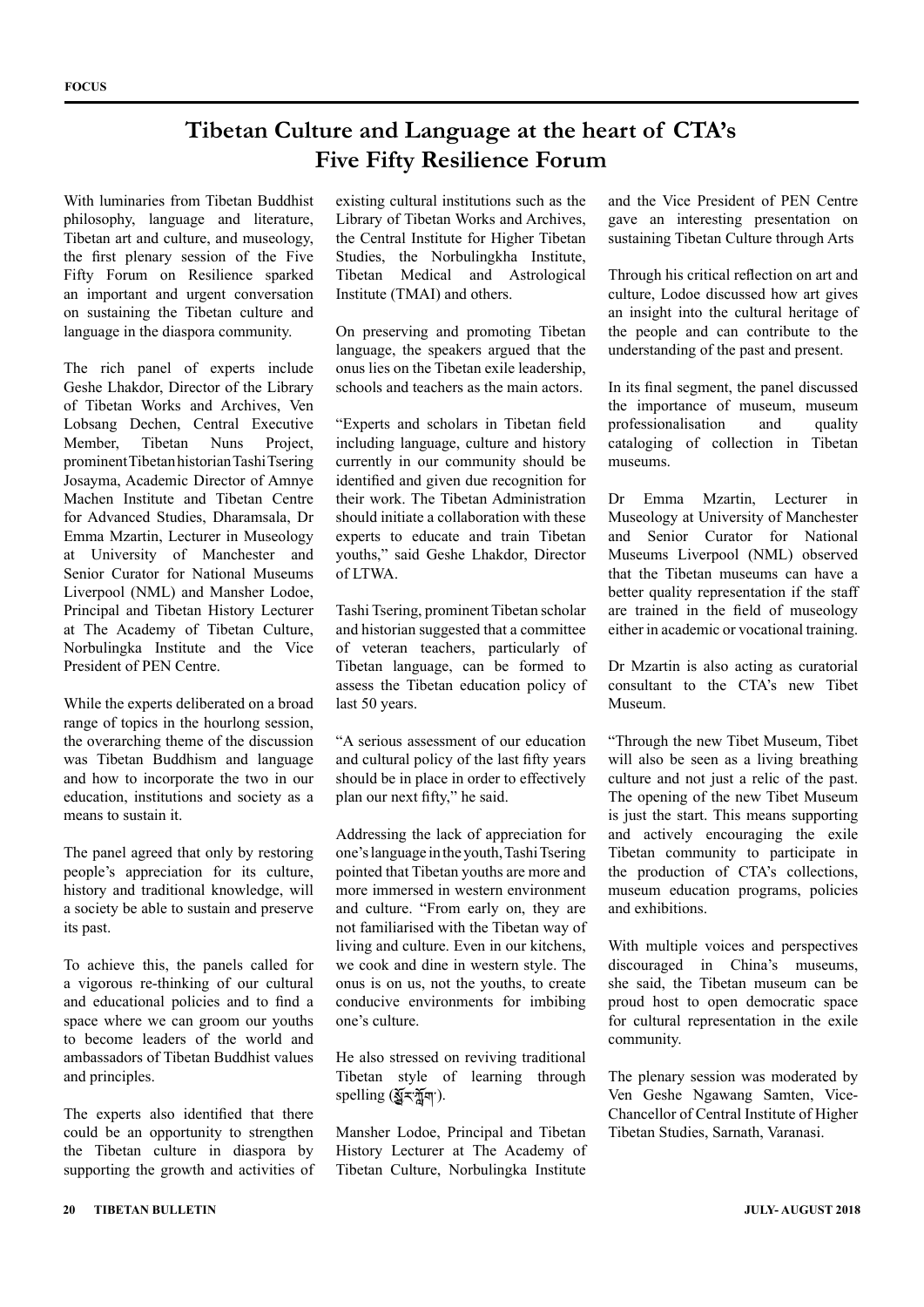### **Tibetan Culture and Language at the heart of CTA's Five Fifty Resilience Forum**

With luminaries from Tibetan Buddhist philosophy, language and literature, Tibetan art and culture, and museology, the first plenary session of the Five Fifty Forum on Resilience sparked an important and urgent conversation on sustaining the Tibetan culture and language in the diaspora community.

The rich panel of experts include Geshe Lhakdor, Director of the Library of Tibetan Works and Archives, Ven Lobsang Dechen, Central Executive Member, Tibetan Nuns Project, prominent Tibetan historian Tashi Tsering Josayma, Academic Director of Amnye Machen Institute and Tibetan Centre for Advanced Studies, Dharamsala, Dr Emma Mzartin, Lecturer in Museology at University of Manchester and Senior Curator for National Museums Liverpool (NML) and Mansher Lodoe, Principal and Tibetan History Lecturer at The Academy of Tibetan Culture, Norbulingka Institute and the Vice President of PEN Centre.

While the experts deliberated on a broad range of topics in the hourlong session, the overarching theme of the discussion was Tibetan Buddhism and language and how to incorporate the two in our education, institutions and society as a means to sustain it.

The panel agreed that only by restoring people's appreciation for its culture, history and traditional knowledge, will a society be able to sustain and preserve its past.

To achieve this, the panels called for a vigorous re-thinking of our cultural and educational policies and to find a space where we can groom our youths to become leaders of the world and ambassadors of Tibetan Buddhist values and principles.

The experts also identified that there could be an opportunity to strengthen the Tibetan culture in diaspora by supporting the growth and activities of existing cultural institutions such as the Library of Tibetan Works and Archives, the Central Institute for Higher Tibetan Studies, the Norbulingkha Institute, Tibetan Medical and Astrological Institute (TMAI) and others.

On preserving and promoting Tibetan language, the speakers argued that the onus lies on the Tibetan exile leadership, schools and teachers as the main actors.

"Experts and scholars in Tibetan field including language, culture and history currently in our community should be identified and given due recognition for their work. The Tibetan Administration should initiate a collaboration with these experts to educate and train Tibetan youths," said Geshe Lhakdor, Director of LTWA.

Tashi Tsering, prominent Tibetan scholar and historian suggested that a committee of veteran teachers, particularly of Tibetan language, can be formed to assess the Tibetan education policy of last 50 years.

"A serious assessment of our education and cultural policy of the last fifty years should be in place in order to effectively plan our next fifty," he said.

Addressing the lack of appreciation for one's language in the youth, Tashi Tsering pointed that Tibetan youths are more and more immersed in western environment and culture. "From early on, they are not familiarised with the Tibetan way of living and culture. Even in our kitchens, we cook and dine in western style. The onus is on us, not the youths, to create conducive environments for imbibing one's culture.

He also stressed on reviving traditional Tibetan style of learning through spelling (যুঁহ'য়ুঁমা').

Mansher Lodoe, Principal and Tibetan History Lecturer at The Academy of Tibetan Culture, Norbulingka Institute

and the Vice President of PEN Centre gave an interesting presentation on sustaining Tibetan Culture through Arts

Through his critical reflection on art and culture, Lodoe discussed how art gives an insight into the cultural heritage of the people and can contribute to the understanding of the past and present.

In its final segment, the panel discussed the importance of museum, museum professionalisation and quality cataloging of collection in Tibetan museums.

Dr Emma Mzartin, Lecturer in Museology at University of Manchester and Senior Curator for National Museums Liverpool (NML) observed that the Tibetan museums can have a better quality representation if the staff are trained in the field of museology either in academic or vocational training.

Dr Mzartin is also acting as curatorial consultant to the CTA's new Tibet Museum.

"Through the new Tibet Museum, Tibet will also be seen as a living breathing culture and not just a relic of the past. The opening of the new Tibet Museum is just the start. This means supporting and actively encouraging the exile Tibetan community to participate in the production of CTA's collections, museum education programs, policies and exhibitions.

With multiple voices and perspectives discouraged in China's museums she said, the Tibetan museum can be proud host to open democratic space for cultural representation in the exile community.

The plenary session was moderated by Ven Geshe Ngawang Samten, Vice-Chancellor of Central Institute of Higher Tibetan Studies, Sarnath, Varanasi.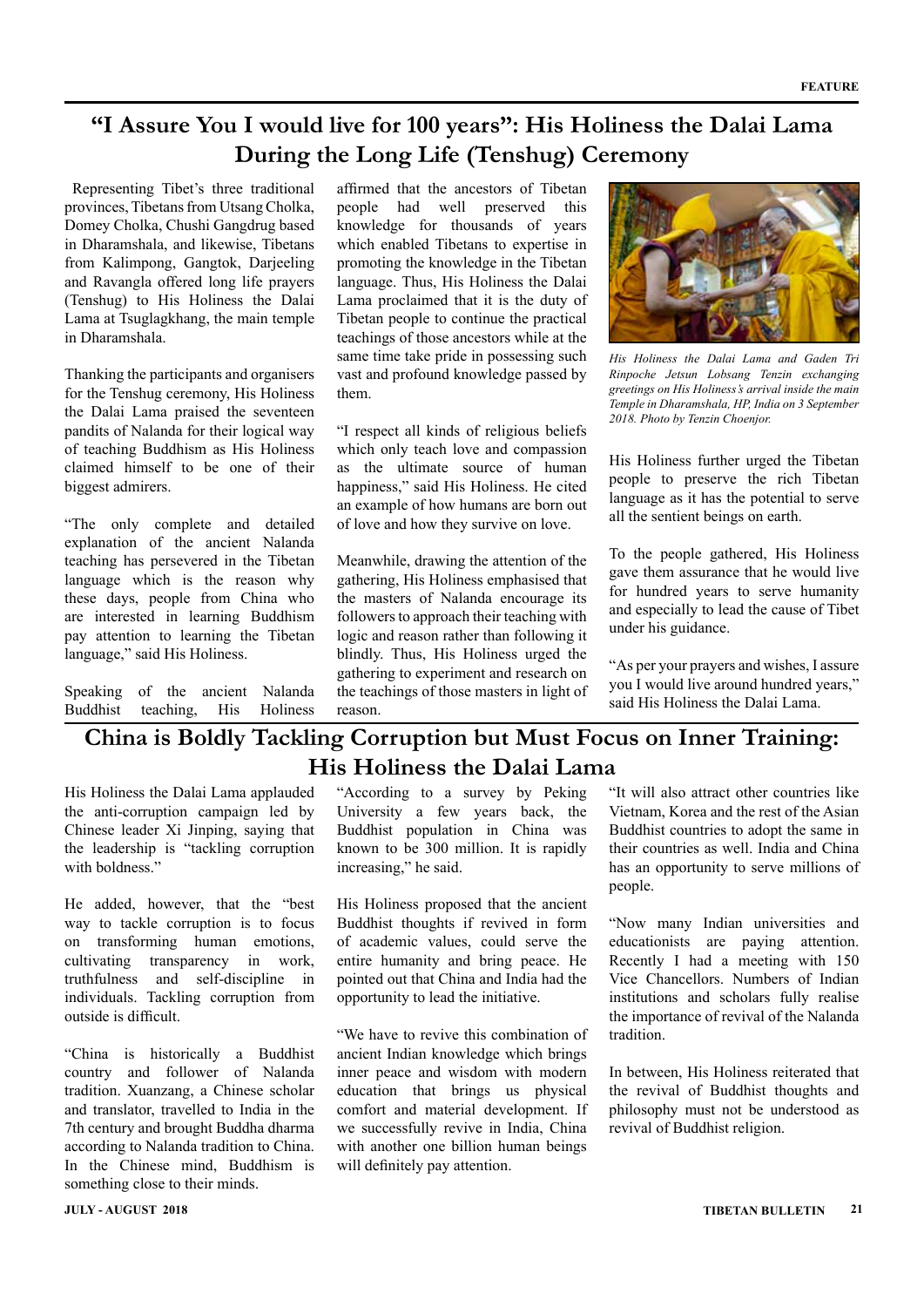### **"I Assure You I would live for 100 years": His Holiness the Dalai Lama During the Long Life (Tenshug) Ceremony**

 Representing Tibet's three traditional provinces, Tibetans from Utsang Cholka, Domey Cholka, Chushi Gangdrug based in Dharamshala, and likewise, Tibetans from Kalimpong, Gangtok, Darjeeling and Ravangla offered long life prayers (Tenshug) to His Holiness the Dalai Lama at Tsuglagkhang, the main temple in Dharamshala.

Thanking the participants and organisers for the Tenshug ceremony, His Holiness the Dalai Lama praised the seventeen pandits of Nalanda for their logical way of teaching Buddhism as His Holiness claimed himself to be one of their biggest admirers.

"The only complete and detailed explanation of the ancient Nalanda teaching has persevered in the Tibetan language which is the reason why these days, people from China who are interested in learning Buddhism pay attention to learning the Tibetan language," said His Holiness.

Speaking of the ancient Nalanda Buddhist teaching, His Holiness

affirmed that the ancestors of Tibetan people had well preserved this knowledge for thousands of years which enabled Tibetans to expertise in promoting the knowledge in the Tibetan language. Thus, His Holiness the Dalai Lama proclaimed that it is the duty of Tibetan people to continue the practical teachings of those ancestors while at the same time take pride in possessing such vast and profound knowledge passed by them.

"I respect all kinds of religious beliefs which only teach love and compassion as the ultimate source of human happiness," said His Holiness. He cited an example of how humans are born out of love and how they survive on love.

Meanwhile, drawing the attention of the gathering, His Holiness emphasised that the masters of Nalanda encourage its followers to approach their teaching with logic and reason rather than following it blindly. Thus, His Holiness urged the gathering to experiment and research on the teachings of those masters in light of reason.



*His Holiness the Dalai Lama and Gaden Tri Rinpoche Jetsun Lobsang Tenzin exchanging greetings on His Holiness's arrival inside the main Temple in Dharamshala, HP, India on 3 September 2018. Photo by Tenzin Choenjor.*

His Holiness further urged the Tibetan people to preserve the rich Tibetan language as it has the potential to serve all the sentient beings on earth.

To the people gathered, His Holiness gave them assurance that he would live for hundred years to serve humanity and especially to lead the cause of Tibet under his guidance.

"As per your prayers and wishes, I assure you I would live around hundred years," said His Holiness the Dalai Lama.

### **China is Boldly Tackling Corruption but Must Focus on Inner Training: His Holiness the Dalai Lama**

His Holiness the Dalai Lama applauded the anti-corruption campaign led by Chinese leader Xi Jinping, saying that the leadership is "tackling corruption with boldness."

He added, however, that the "best way to tackle corruption is to focus on transforming human emotions, cultivating transparency in work, truthfulness and self-discipline in individuals. Tackling corruption from outside is difficult.

"China is historically a Buddhist country and follower of Nalanda tradition. Xuanzang, a Chinese scholar and translator, travelled to India in the 7th century and brought Buddha dharma according to Nalanda tradition to China. In the Chinese mind, Buddhism is something close to their minds.

"According to a survey by Peking University a few years back, the Buddhist population in China was known to be 300 million. It is rapidly increasing," he said.

His Holiness proposed that the ancient Buddhist thoughts if revived in form of academic values, could serve the entire humanity and bring peace. He pointed out that China and India had the opportunity to lead the initiative.

"We have to revive this combination of ancient Indian knowledge which brings inner peace and wisdom with modern education that brings us physical comfort and material development. If we successfully revive in India, China with another one billion human beings will definitely pay attention.

"It will also attract other countries like Vietnam, Korea and the rest of the Asian Buddhist countries to adopt the same in their countries as well. India and China has an opportunity to serve millions of people.

"Now many Indian universities and educationists are paying attention. Recently I had a meeting with 150 Vice Chancellors. Numbers of Indian institutions and scholars fully realise the importance of revival of the Nalanda tradition.

In between, His Holiness reiterated that the revival of Buddhist thoughts and philosophy must not be understood as revival of Buddhist religion.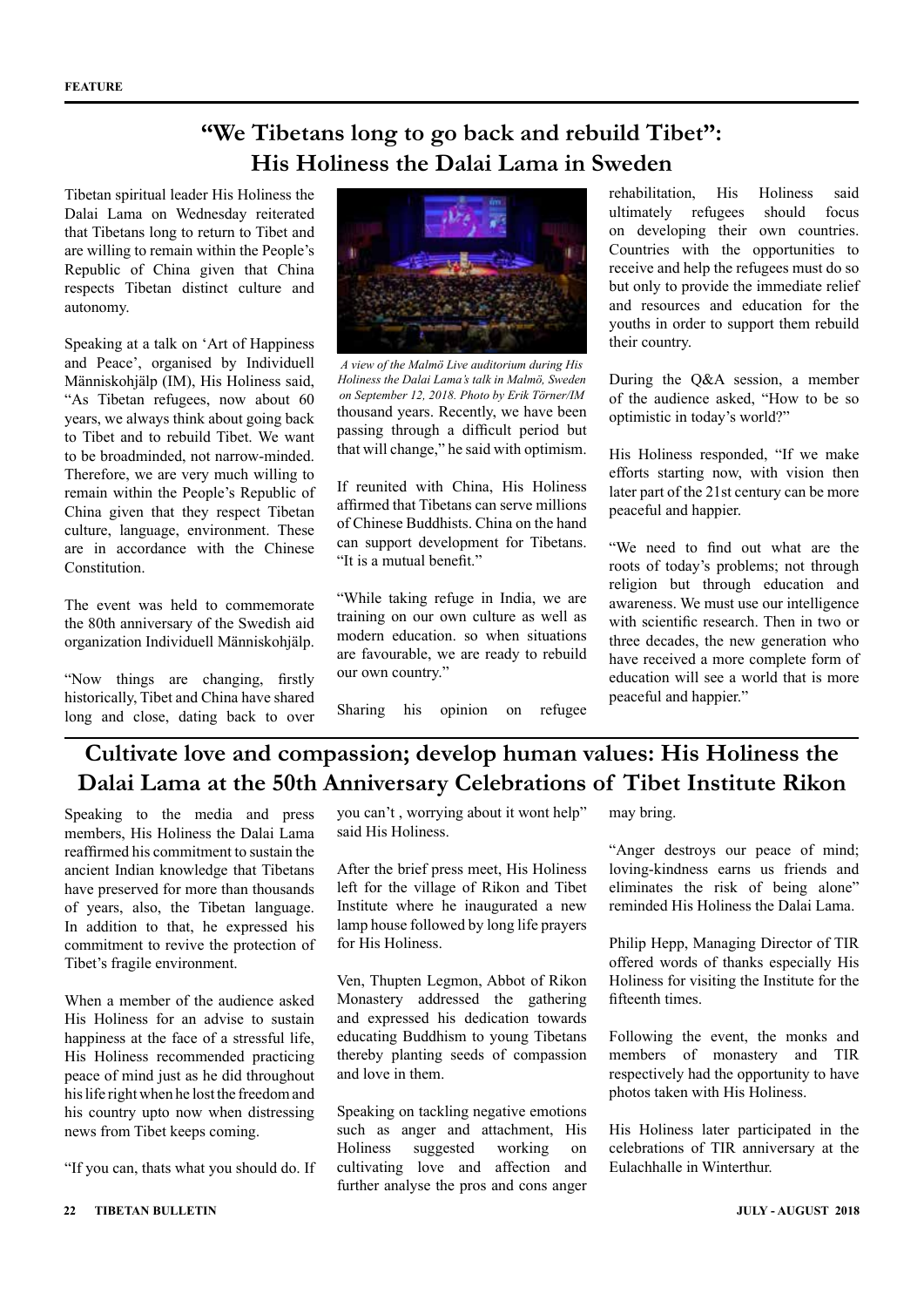### **"We Tibetans long to go back and rebuild Tibet": His Holiness the Dalai Lama in Sweden**

Tibetan spiritual leader His Holiness the Dalai Lama on Wednesday reiterated that Tibetans long to return to Tibet and are willing to remain within the People's Republic of China given that China respects Tibetan distinct culture and autonomy.

Speaking at a talk on 'Art of Happiness and Peace', organised by Individuell Människohjälp (IM), His Holiness said, "As Tibetan refugees, now about 60 years, we always think about going back to Tibet and to rebuild Tibet. We want to be broadminded, not narrow-minded. Therefore, we are very much willing to remain within the People's Republic of China given that they respect Tibetan culture, language, environment. These are in accordance with the Chinese Constitution.

The event was held to commemorate the 80th anniversary of the Swedish aid organization Individuell Människohjälp.

"Now things are changing, firstly historically, Tibet and China have shared long and close, dating back to over



thousand years. Recently, we have been passing through a difficult period but that will change," he said with optimism. *A view of the Malmö Live auditorium during His Holiness the Dalai Lama's talk in Malmö, Sweden on September 12, 2018. Photo by Erik Törner/IM*

If reunited with China, His Holiness affirmed that Tibetans can serve millions of Chinese Buddhists. China on the hand can support development for Tibetans. "It is a mutual benefit."

"While taking refuge in India, we are training on our own culture as well as modern education. so when situations are favourable, we are ready to rebuild our own country."

Sharing his opinion on refugee

rehabilitation, His Holiness said ultimately refugees should focus on developing their own countries. Countries with the opportunities to receive and help the refugees must do so but only to provide the immediate relief and resources and education for the youths in order to support them rebuild their country.

During the Q&A session, a member of the audience asked, "How to be so optimistic in today's world?"

His Holiness responded, "If we make efforts starting now, with vision then later part of the 21st century can be more peaceful and happier.

"We need to find out what are the roots of today's problems; not through religion but through education and awareness. We must use our intelligence with scientific research. Then in two or three decades, the new generation who have received a more complete form of education will see a world that is more peaceful and happier."

## **Cultivate love and compassion; develop human values: His Holiness the Dalai Lama at the 50th Anniversary Celebrations of Tibet Institute Rikon**

Speaking to the media and press members, His Holiness the Dalai Lama reaffirmed his commitment to sustain the ancient Indian knowledge that Tibetans have preserved for more than thousands of years, also, the Tibetan language. In addition to that, he expressed his commitment to revive the protection of Tibet's fragile environment.

When a member of the audience asked His Holiness for an advise to sustain happiness at the face of a stressful life, His Holiness recommended practicing peace of mind just as he did throughout his life right when he lost the freedom and his country upto now when distressing news from Tibet keeps coming.

"If you can, thats what you should do. If

you can't , worrying about it wont help" said His Holiness.

After the brief press meet, His Holiness left for the village of Rikon and Tibet Institute where he inaugurated a new lamp house followed by long life prayers for His Holiness.

Ven, Thupten Legmon, Abbot of Rikon Monastery addressed the gathering and expressed his dedication towards educating Buddhism to young Tibetans thereby planting seeds of compassion and love in them.

Speaking on tackling negative emotions such as anger and attachment, His Holiness suggested working on cultivating love and affection and further analyse the pros and cons anger may bring.

"Anger destroys our peace of mind; loving-kindness earns us friends and eliminates the risk of being alone" reminded His Holiness the Dalai Lama.

Philip Hepp, Managing Director of TIR offered words of thanks especially His Holiness for visiting the Institute for the fifteenth times.

Following the event, the monks and members of monastery and TIR respectively had the opportunity to have photos taken with His Holiness.

His Holiness later participated in the celebrations of TIR anniversary at the Eulachhalle in Winterthur.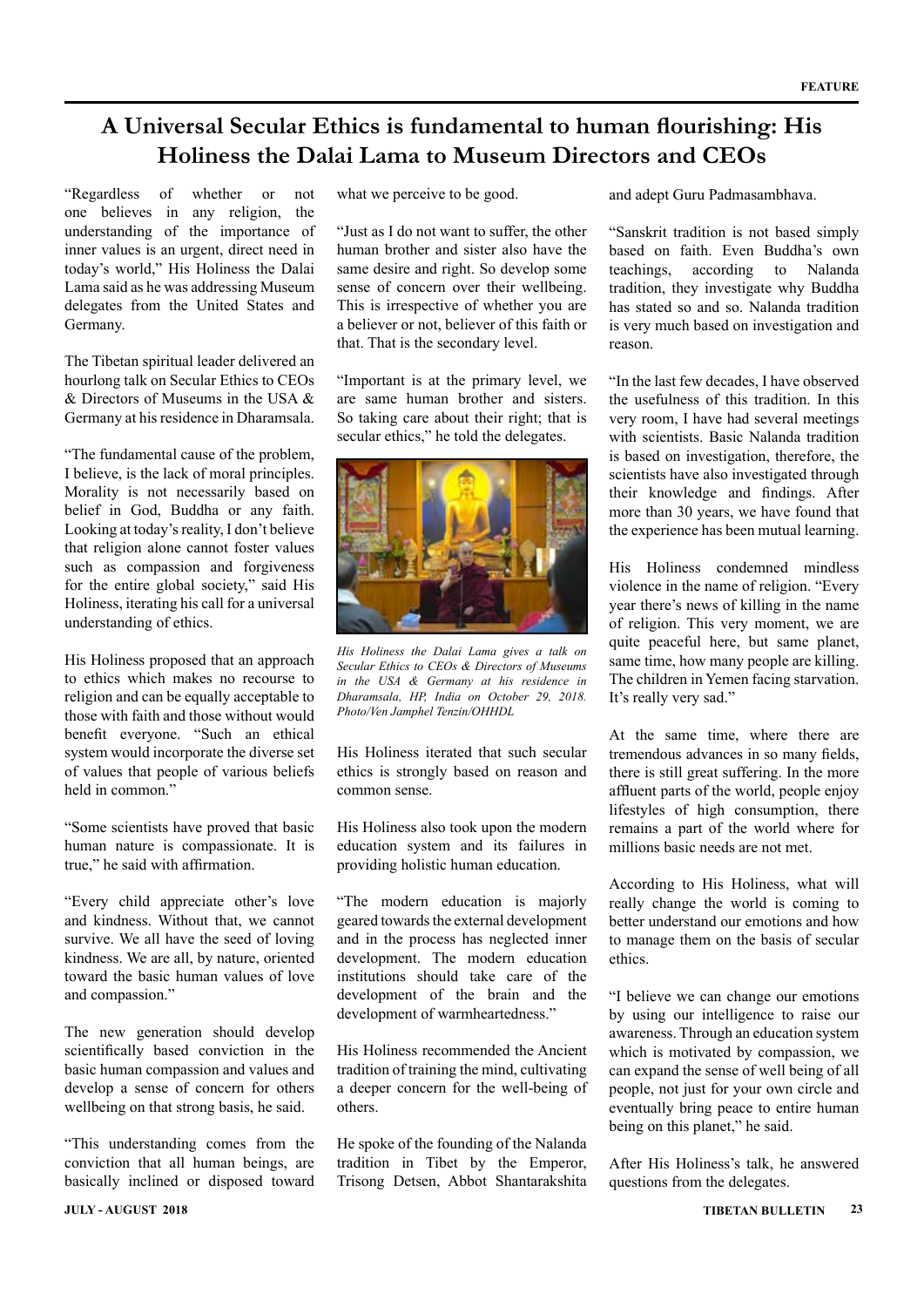### **A Universal Secular Ethics is fundamental to human flourishing: His Holiness the Dalai Lama to Museum Directors and CEOs**

"Regardless of whether or not one believes in any religion, the understanding of the importance of inner values is an urgent, direct need in today's world," His Holiness the Dalai Lama said as he was addressing Museum delegates from the United States and Germany.

The Tibetan spiritual leader delivered an hourlong talk on Secular Ethics to CEOs & Directors of Museums in the USA & Germany at his residence in Dharamsala.

"The fundamental cause of the problem, I believe, is the lack of moral principles. Morality is not necessarily based on belief in God, Buddha or any faith. Looking at today's reality, I don't believe that religion alone cannot foster values such as compassion and forgiveness for the entire global society," said His Holiness, iterating his call for a universal understanding of ethics.

His Holiness proposed that an approach to ethics which makes no recourse to religion and can be equally acceptable to those with faith and those without would benefit everyone. "Such an ethical system would incorporate the diverse set of values that people of various beliefs held in common."

"Some scientists have proved that basic human nature is compassionate. It is true," he said with affirmation.

"Every child appreciate other's love and kindness. Without that, we cannot survive. We all have the seed of loving kindness. We are all, by nature, oriented toward the basic human values of love and compassion."

The new generation should develop scientifically based conviction in the basic human compassion and values and develop a sense of concern for others wellbeing on that strong basis, he said.

"This understanding comes from the conviction that all human beings, are basically inclined or disposed toward

what we perceive to be good.

"Just as I do not want to suffer, the other human brother and sister also have the same desire and right. So develop some sense of concern over their wellbeing. This is irrespective of whether you are a believer or not, believer of this faith or that. That is the secondary level.

"Important is at the primary level, we are same human brother and sisters. So taking care about their right; that is secular ethics," he told the delegates.



*His Holiness the Dalai Lama gives a talk on Secular Ethics to CEOs & Directors of Museums in the USA & Germany at his residence in Dharamsala, HP, India on October 29, 2018. Photo/Ven Jamphel Tenzin/OHHDL*

His Holiness iterated that such secular ethics is strongly based on reason and common sense.

His Holiness also took upon the modern education system and its failures in providing holistic human education.

"The modern education is majorly geared towards the external development and in the process has neglected inner development. The modern education institutions should take care of the development of the brain and the development of warmheartedness."

His Holiness recommended the Ancient tradition of training the mind, cultivating a deeper concern for the well-being of others.

He spoke of the founding of the Nalanda tradition in Tibet by the Emperor, Trisong Detsen, Abbot Shantarakshita and adept Guru Padmasambhava.

"Sanskrit tradition is not based simply based on faith. Even Buddha's own teachings, according to Nalanda tradition, they investigate why Buddha has stated so and so. Nalanda tradition is very much based on investigation and reason.

"In the last few decades, I have observed the usefulness of this tradition. In this very room, I have had several meetings with scientists. Basic Nalanda tradition is based on investigation, therefore, the scientists have also investigated through their knowledge and findings. After more than 30 years, we have found that the experience has been mutual learning.

His Holiness condemned mindless violence in the name of religion. "Every year there's news of killing in the name of religion. This very moment, we are quite peaceful here, but same planet, same time, how many people are killing. The children in Yemen facing starvation. It's really very sad."

At the same time, where there are tremendous advances in so many fields, there is still great suffering. In the more affluent parts of the world, people enjoy lifestyles of high consumption, there remains a part of the world where for millions basic needs are not met.

According to His Holiness, what will really change the world is coming to better understand our emotions and how to manage them on the basis of secular ethics.

"I believe we can change our emotions by using our intelligence to raise our awareness. Through an education system which is motivated by compassion, we can expand the sense of well being of all people, not just for your own circle and eventually bring peace to entire human being on this planet," he said.

After His Holiness's talk, he answered questions from the delegates.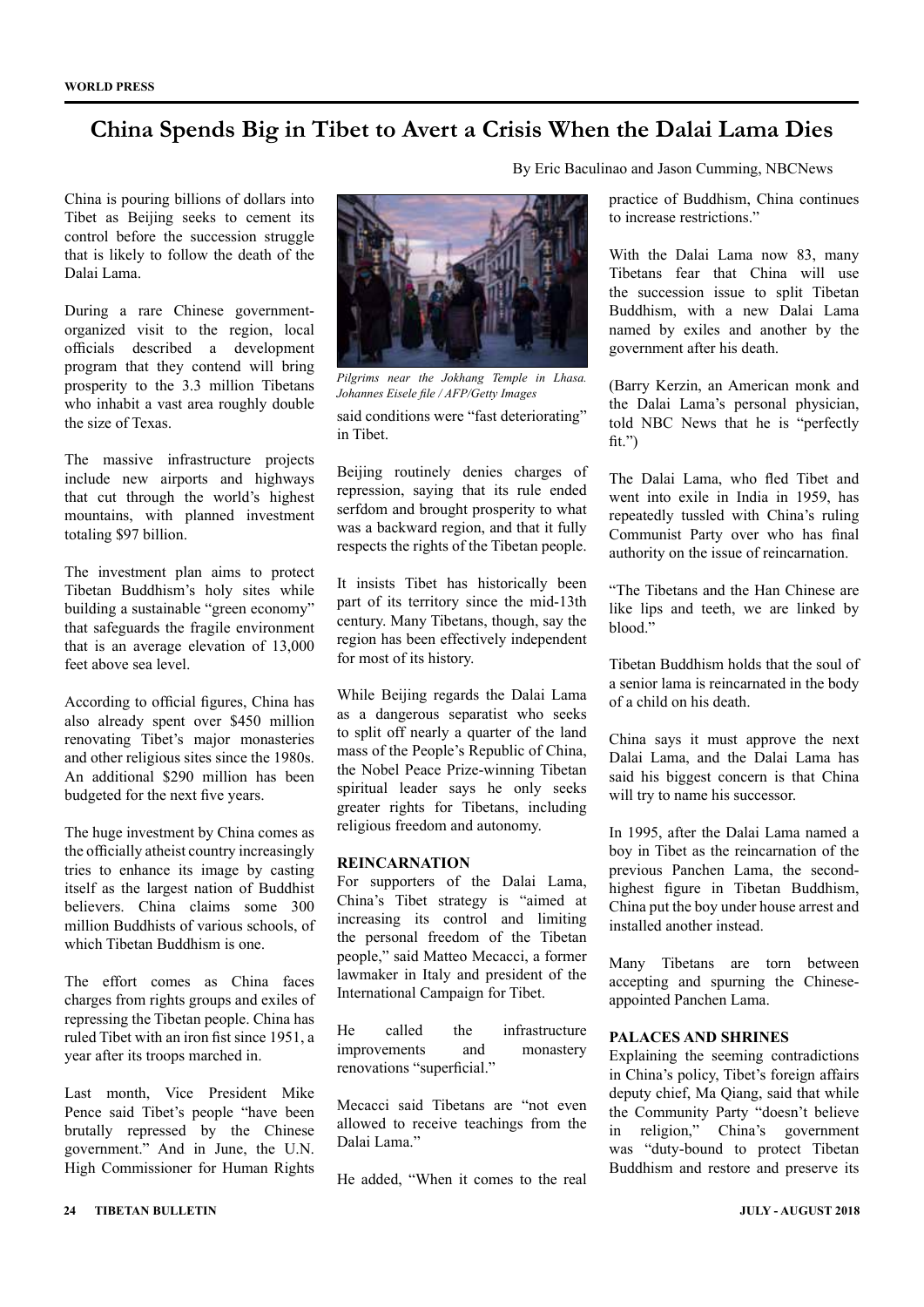### **China Spends Big in Tibet to Avert a Crisis When the Dalai Lama Dies**

China is pouring billions of dollars into Tibet as Beijing seeks to cement its control before the succession struggle that is likely to follow the death of the Dalai Lama.

During a rare Chinese governmentorganized visit to the region, local officials described a development program that they contend will bring prosperity to the 3.3 million Tibetans who inhabit a vast area roughly double the size of Texas.

The massive infrastructure projects include new airports and highways that cut through the world's highest mountains, with planned investment totaling \$97 billion.

The investment plan aims to protect Tibetan Buddhism's holy sites while building a sustainable "green economy" that safeguards the fragile environment that is an average elevation of 13,000 feet above sea level.

According to official figures, China has also already spent over \$450 million renovating Tibet's major monasteries and other religious sites since the 1980s. An additional \$290 million has been budgeted for the next five years.

The huge investment by China comes as the officially atheist country increasingly tries to enhance its image by casting itself as the largest nation of Buddhist believers. China claims some 300 million Buddhists of various schools, of which Tibetan Buddhism is one.

The effort comes as China faces charges from rights groups and exiles of repressing the Tibetan people. China has ruled Tibet with an iron fist since 1951, a year after its troops marched in.

Last month, Vice President Mike Pence said Tibet's people "have been brutally repressed by the Chinese government." And in June, the U.N. High Commissioner for Human Rights



*Pilgrims near the Jokhang Temple in Lhasa. Johannes Eisele file / AFP/Getty Images*

said conditions were "fast deteriorating" in Tibet.

Beijing routinely denies charges of repression, saying that its rule ended serfdom and brought prosperity to what was a backward region, and that it fully respects the rights of the Tibetan people.

It insists Tibet has historically been part of its territory since the mid-13th century. Many Tibetans, though, say the region has been effectively independent for most of its history.

While Beijing regards the Dalai Lama as a dangerous separatist who seeks to split off nearly a quarter of the land mass of the People's Republic of China, the Nobel Peace Prize-winning Tibetan spiritual leader says he only seeks greater rights for Tibetans, including religious freedom and autonomy.

#### **REINCARNATION**

For supporters of the Dalai Lama, China's Tibet strategy is "aimed at increasing its control and limiting the personal freedom of the Tibetan people," said Matteo Mecacci, a former lawmaker in Italy and president of the International Campaign for Tibet.

He called the infrastructure improvements and monastery renovations "superficial."

Mecacci said Tibetans are "not even allowed to receive teachings from the Dalai Lama."

He added, "When it comes to the real

By Eric Baculinao and Jason Cumming, NBCNews

practice of Buddhism, China continues to increase restrictions."

With the Dalai Lama now 83, many Tibetans fear that China will use the succession issue to split Tibetan Buddhism, with a new Dalai Lama named by exiles and another by the government after his death.

(Barry Kerzin, an American monk and the Dalai Lama's personal physician, told NBC News that he is "perfectly  $fit.$ ")

The Dalai Lama, who fled Tibet and went into exile in India in 1959, has repeatedly tussled with China's ruling Communist Party over who has final authority on the issue of reincarnation.

"The Tibetans and the Han Chinese are like lips and teeth, we are linked by blood."

Tibetan Buddhism holds that the soul of a senior lama is reincarnated in the body of a child on his death.

China says it must approve the next Dalai Lama, and the Dalai Lama has said his biggest concern is that China will try to name his successor.

In 1995, after the Dalai Lama named a boy in Tibet as the reincarnation of the previous Panchen Lama, the secondhighest figure in Tibetan Buddhism, China put the boy under house arrest and installed another instead.

Many Tibetans are torn between accepting and spurning the Chineseappointed Panchen Lama.

#### **PALACES AND SHRINES**

Explaining the seeming contradictions in China's policy, Tibet's foreign affairs deputy chief, Ma Qiang, said that while the Community Party "doesn't believe in religion," China's government was "duty-bound to protect Tibetan Buddhism and restore and preserve its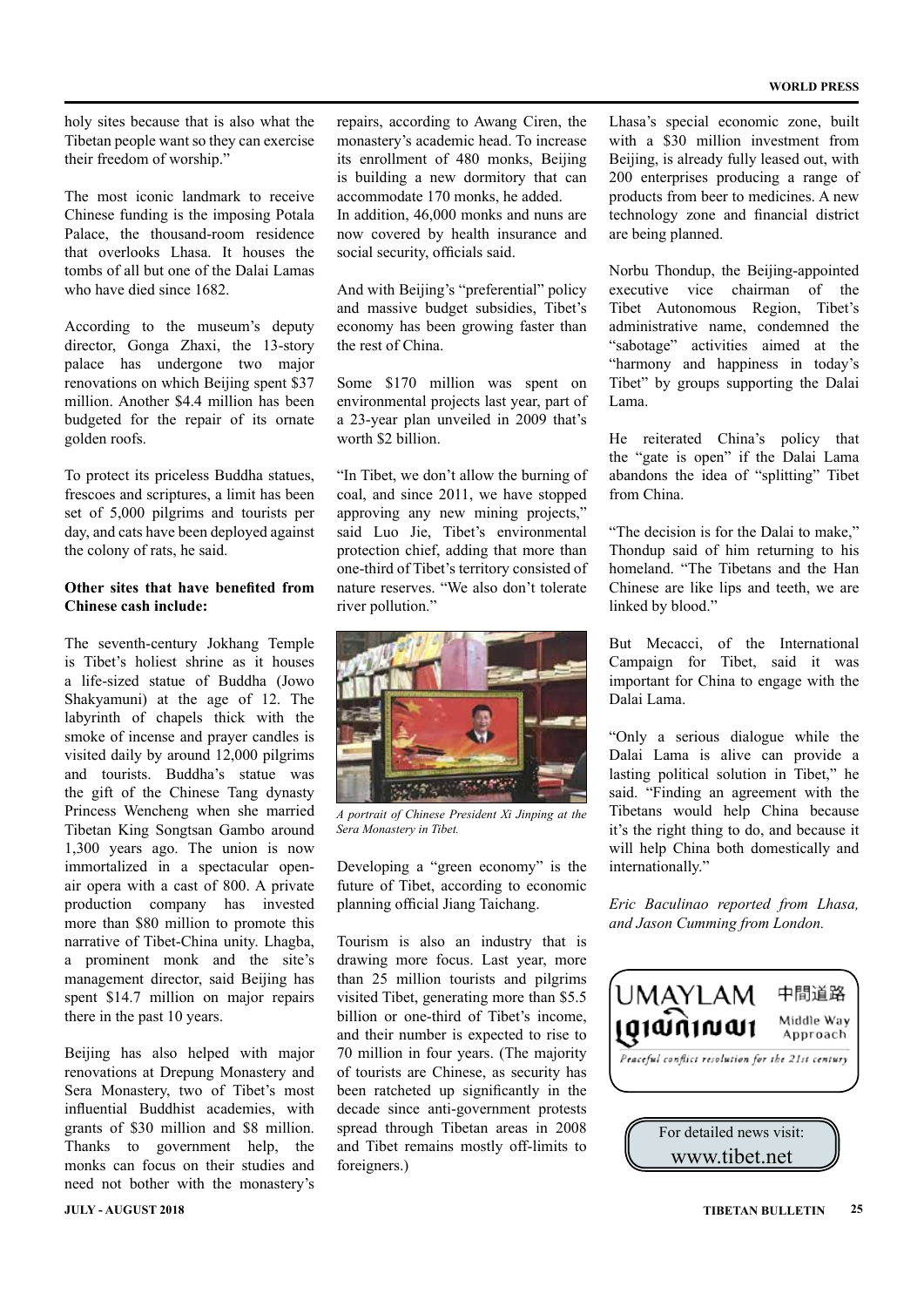holy sites because that is also what the Tibetan people want so they can exercise their freedom of worship."

The most iconic landmark to receive Chinese funding is the imposing Potala Palace, the thousand-room residence that overlooks Lhasa. It houses the tombs of all but one of the Dalai Lamas who have died since 1682.

According to the museum's deputy director, Gonga Zhaxi, the 13-story palace has undergone two major renovations on which Beijing spent \$37 million. Another \$4.4 million has been budgeted for the repair of its ornate golden roofs.

To protect its priceless Buddha statues, frescoes and scriptures, a limit has been set of 5,000 pilgrims and tourists per day, and cats have been deployed against the colony of rats, he said.

#### **Other sites that have benefited from Chinese cash include:**

The seventh-century Jokhang Temple is Tibet's holiest shrine as it houses a life-sized statue of Buddha (Jowo Shakyamuni) at the age of 12. The labyrinth of chapels thick with the smoke of incense and prayer candles is visited daily by around 12,000 pilgrims and tourists. Buddha's statue was the gift of the Chinese Tang dynasty Princess Wencheng when she married Tibetan King Songtsan Gambo around 1,300 years ago. The union is now immortalized in a spectacular openair opera with a cast of 800. A private production company has invested more than \$80 million to promote this narrative of Tibet-China unity. Lhagba, a prominent monk and the site's management director, said Beijing has spent \$14.7 million on major repairs there in the past 10 years.

Beijing has also helped with major renovations at Drepung Monastery and Sera Monastery, two of Tibet's most influential Buddhist academies, with grants of \$30 million and \$8 million. Thanks to government help, the monks can focus on their studies and need not bother with the monastery's repairs, according to Awang Ciren, the monastery's academic head. To increase its enrollment of 480 monks, Beijing is building a new dormitory that can accommodate 170 monks, he added. In addition, 46,000 monks and nuns are now covered by health insurance and social security, officials said.

And with Beijing's "preferential" policy and massive budget subsidies, Tibet's economy has been growing faster than the rest of China.

Some \$170 million was spent on environmental projects last year, part of a 23-year plan unveiled in 2009 that's worth \$2 billion

"In Tibet, we don't allow the burning of coal, and since 2011, we have stopped approving any new mining projects," said Luo Jie, Tibet's environmental protection chief, adding that more than one-third of Tibet's territory consisted of nature reserves. "We also don't tolerate river pollution."



*A portrait of Chinese President Xi Jinping at the Sera Monastery in Tibet.*

Developing a "green economy" is the future of Tibet, according to economic planning official Jiang Taichang.

Tourism is also an industry that is drawing more focus. Last year, more than 25 million tourists and pilgrims visited Tibet, generating more than \$5.5 billion or one-third of Tibet's income and their number is expected to rise to 70 million in four years. (The majority of tourists are Chinese, as security has been ratcheted up significantly in the decade since anti-government protests spread through Tibetan areas in 2008 and Tibet remains mostly off-limits to foreigners.)

Lhasa's special economic zone, built with a \$30 million investment from Beijing, is already fully leased out, with 200 enterprises producing a range of products from beer to medicines. A new technology zone and financial district are being planned.

Norbu Thondup, the Beijing-appointed executive vice chairman of the Tibet Autonomous Region, Tibet's administrative name, condemned the "sabotage" activities aimed at the "harmony and happiness in today's Tibet" by groups supporting the Dalai Lama.

He reiterated China's policy that the "gate is open" if the Dalai Lama abandons the idea of "splitting" Tibet from China.

"The decision is for the Dalai to make," Thondup said of him returning to his homeland. "The Tibetans and the Han Chinese are like lips and teeth, we are linked by blood."

But Mecacci, of the International Campaign for Tibet, said it was important for China to engage with the Dalai Lama.

"Only a serious dialogue while the Dalai Lama is alive can provide a lasting political solution in Tibet," he said. "Finding an agreement with the Tibetans would help China because it's the right thing to do, and because it will help China both domestically and internationally."

*Eric Baculinao reported from Lhasa, and Jason Cumming from London.*

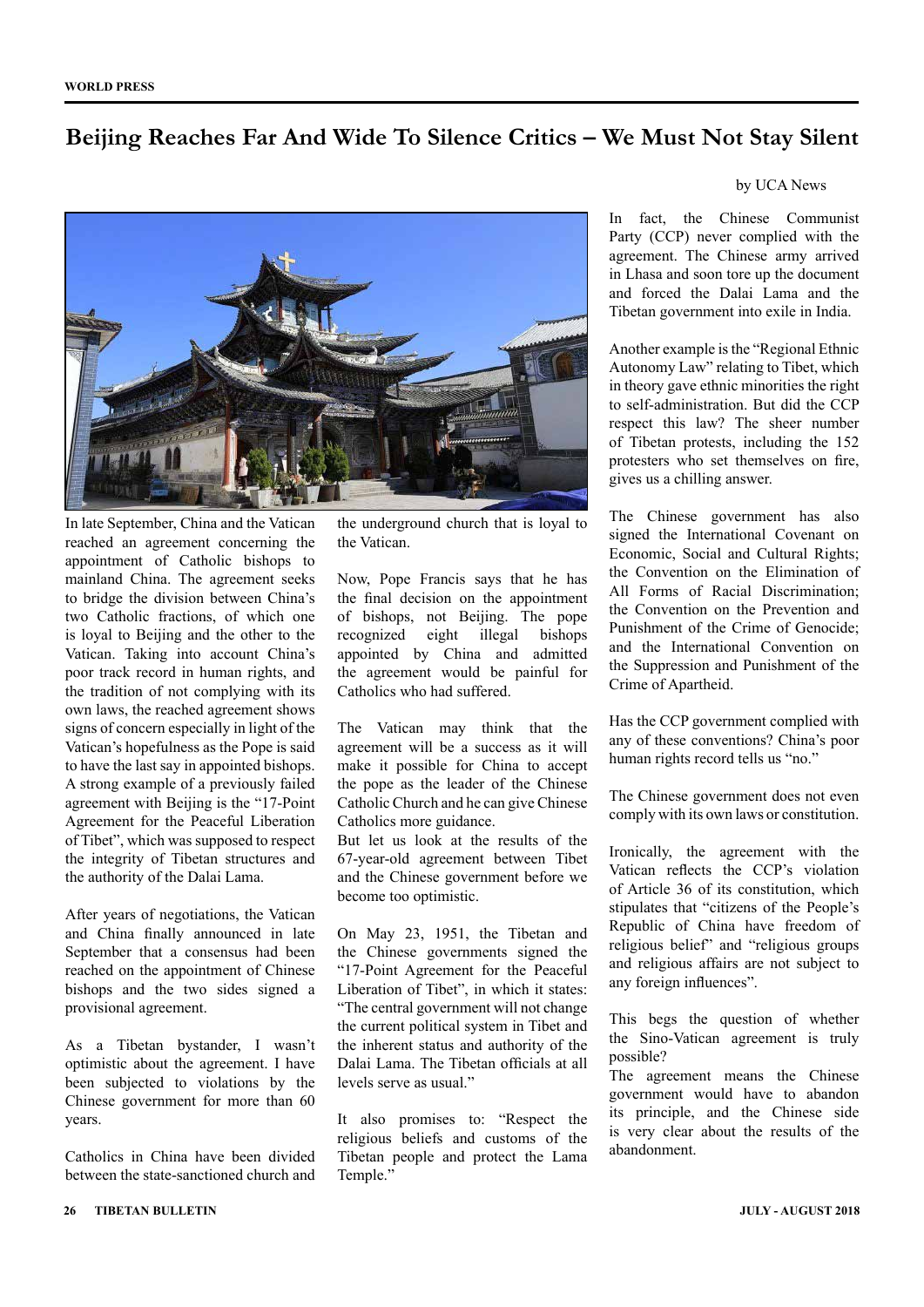### **Beijing Reaches Far And Wide To Silence Critics – We Must Not Stay Silent**



In late September, China and the Vatican reached an agreement concerning the appointment of Catholic bishops to mainland China. The agreement seeks to bridge the division between China's two Catholic fractions, of which one is loyal to Beijing and the other to the Vatican. Taking into account China's poor track record in human rights, and the tradition of not complying with its own laws, the reached agreement shows signs of concern especially in light of the Vatican's hopefulness as the Pope is said to have the last say in appointed bishops. A strong example of a previously failed agreement with Beijing is the "17-Point Agreement for the Peaceful Liberation of Tibet", which was supposed to respect the integrity of Tibetan structures and the authority of the Dalai Lama.

After years of negotiations, the Vatican and China finally announced in late September that a consensus had been reached on the appointment of Chinese bishops and the two sides signed a provisional agreement.

As a Tibetan bystander, I wasn't optimistic about the agreement. I have been subjected to violations by the Chinese government for more than 60 years.

Catholics in China have been divided between the state-sanctioned church and

the underground church that is loyal to the Vatican.

Now, Pope Francis says that he has the final decision on the appointment of bishops, not Beijing. The pope recognized eight illegal bishops appointed by China and admitted the agreement would be painful for Catholics who had suffered.

The Vatican may think that the agreement will be a success as it will make it possible for China to accept the pope as the leader of the Chinese Catholic Church and he can give Chinese Catholics more guidance.

But let us look at the results of the 67-year-old agreement between Tibet and the Chinese government before we become too optimistic.

On May 23, 1951, the Tibetan and the Chinese governments signed the "17-Point Agreement for the Peaceful Liberation of Tibet", in which it states: "The central government will not change the current political system in Tibet and the inherent status and authority of the Dalai Lama. The Tibetan officials at all levels serve as usual."

It also promises to: "Respect the religious beliefs and customs of the Tibetan people and protect the Lama Temple."

#### by UCA News

In fact, the Chinese Communist Party (CCP) never complied with the agreement. The Chinese army arrived in Lhasa and soon tore up the document and forced the Dalai Lama and the Tibetan government into exile in India.

Another example is the "Regional Ethnic Autonomy Law" relating to Tibet, which in theory gave ethnic minorities the right to self-administration. But did the CCP respect this law? The sheer number of Tibetan protests, including the 152 protesters who set themselves on fire, gives us a chilling answer.

The Chinese government has also signed the International Covenant on Economic, Social and Cultural Rights; the Convention on the Elimination of All Forms of Racial Discrimination; the Convention on the Prevention and Punishment of the Crime of Genocide; and the International Convention on the Suppression and Punishment of the Crime of Apartheid.

Has the CCP government complied with any of these conventions? China's poor human rights record tells us "no."

The Chinese government does not even comply with its own laws or constitution.

Ironically, the agreement with the Vatican reflects the CCP's violation of Article 36 of its constitution, which stipulates that "citizens of the People's Republic of China have freedom of religious belief" and "religious groups and religious affairs are not subject to any foreign influences".

This begs the question of whether the Sino-Vatican agreement is truly possible?

The agreement means the Chinese government would have to abandon its principle, and the Chinese side is very clear about the results of the abandonment.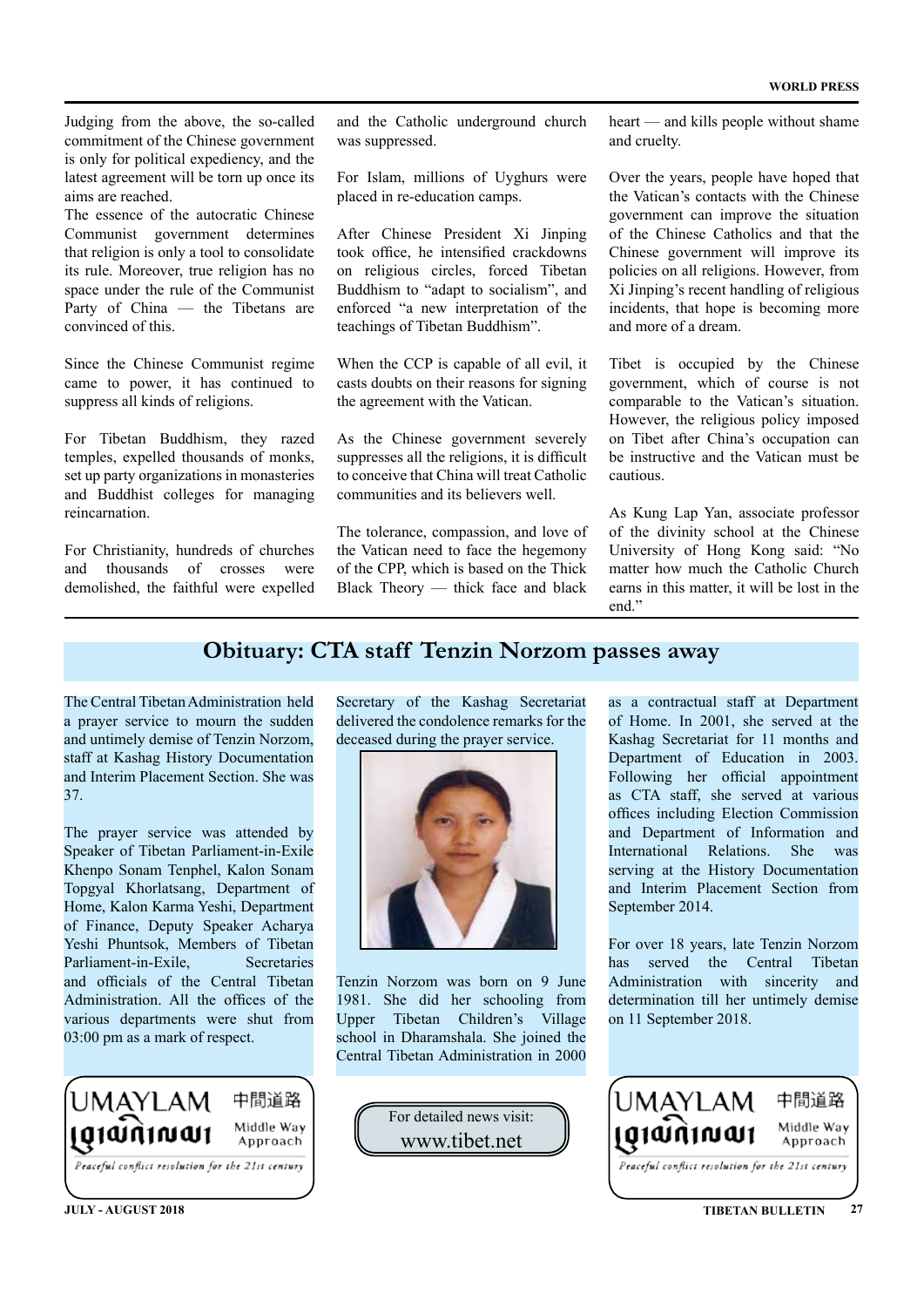Judging from the above, the so-called commitment of the Chinese government is only for political expediency, and the latest agreement will be torn up once its aims are reached.

The essence of the autocratic Chinese Communist government determines that religion is only a tool to consolidate its rule. Moreover, true religion has no space under the rule of the Communist Party of China — the Tibetans are convinced of this.

Since the Chinese Communist regime came to power, it has continued to suppress all kinds of religions.

For Tibetan Buddhism, they razed temples, expelled thousands of monks, set up party organizations in monasteries and Buddhist colleges for managing reincarnation.

For Christianity, hundreds of churches<br>and thousands of crosses were and thousands of crosses were demolished, the faithful were expelled

and the Catholic underground church was suppressed.

For Islam, millions of Uyghurs were placed in re-education camps.

After Chinese President Xi Jinping took office, he intensified crackdowns on religious circles, forced Tibetan Buddhism to "adapt to socialism", and enforced "a new interpretation of the teachings of Tibetan Buddhism".

When the CCP is capable of all evil, it casts doubts on their reasons for signing the agreement with the Vatican.

As the Chinese government severely suppresses all the religions, it is difficult to conceive that China will treat Catholic communities and its believers well.

The tolerance, compassion, and love of the Vatican need to face the hegemony of the CPP, which is based on the Thick Black Theory — thick face and black

heart — and kills people without shame and cruelty.

Over the years, people have hoped that the Vatican's contacts with the Chinese government can improve the situation of the Chinese Catholics and that the Chinese government will improve its policies on all religions. However, from Xi Jinping's recent handling of religious incidents, that hope is becoming more and more of a dream.

Tibet is occupied by the Chinese government, which of course is not comparable to the Vatican's situation. However, the religious policy imposed on Tibet after China's occupation can be instructive and the Vatican must be cautious.

As Kung Lap Yan, associate professor of the divinity school at the Chinese University of Hong Kong said: "No matter how much the Catholic Church earns in this matter, it will be lost in the end"

### **Obituary: CTA staff Tenzin Norzom passes away**

The Central Tibetan Administration held a prayer service to mourn the sudden and untimely demise of Tenzin Norzom, staff at Kashag History Documentation and Interim Placement Section. She was 37.

The prayer service was attended by Speaker of Tibetan Parliament-in-Exile Khenpo Sonam Tenphel, Kalon Sonam Topgyal Khorlatsang, Department of Home, Kalon Karma Yeshi, Department of Finance, Deputy Speaker Acharya Yeshi Phuntsok, Members of Tibetan Parliament-in-Exile
Secretaries and officials of the Central Tibetan Administration. All the offices of the various departments were shut from 03:00 pm as a mark of respect.



Secretary of the Kashag Secretariat delivered the condolence remarks for the deceased during the prayer service.



Tenzin Norzom was born on 9 June 1981. She did her schooling from Upper Tibetan Children's Village school in Dharamshala. She joined the Central Tibetan Administration in 2000

> For detailed news visit: www.tibet.net

as a contractual staff at Department of Home. In 2001, she served at the Kashag Secretariat for 11 months and Department of Education in 2003. Following her official appointment as CTA staff, she served at various offices including Election Commission and Department of Information and International Relations. She was serving at the History Documentation and Interim Placement Section from September 2014.

For over 18 years, late Tenzin Norzom has served the Central Tibetan Administration with sincerity and determination till her untimely demise on 11 September 2018.

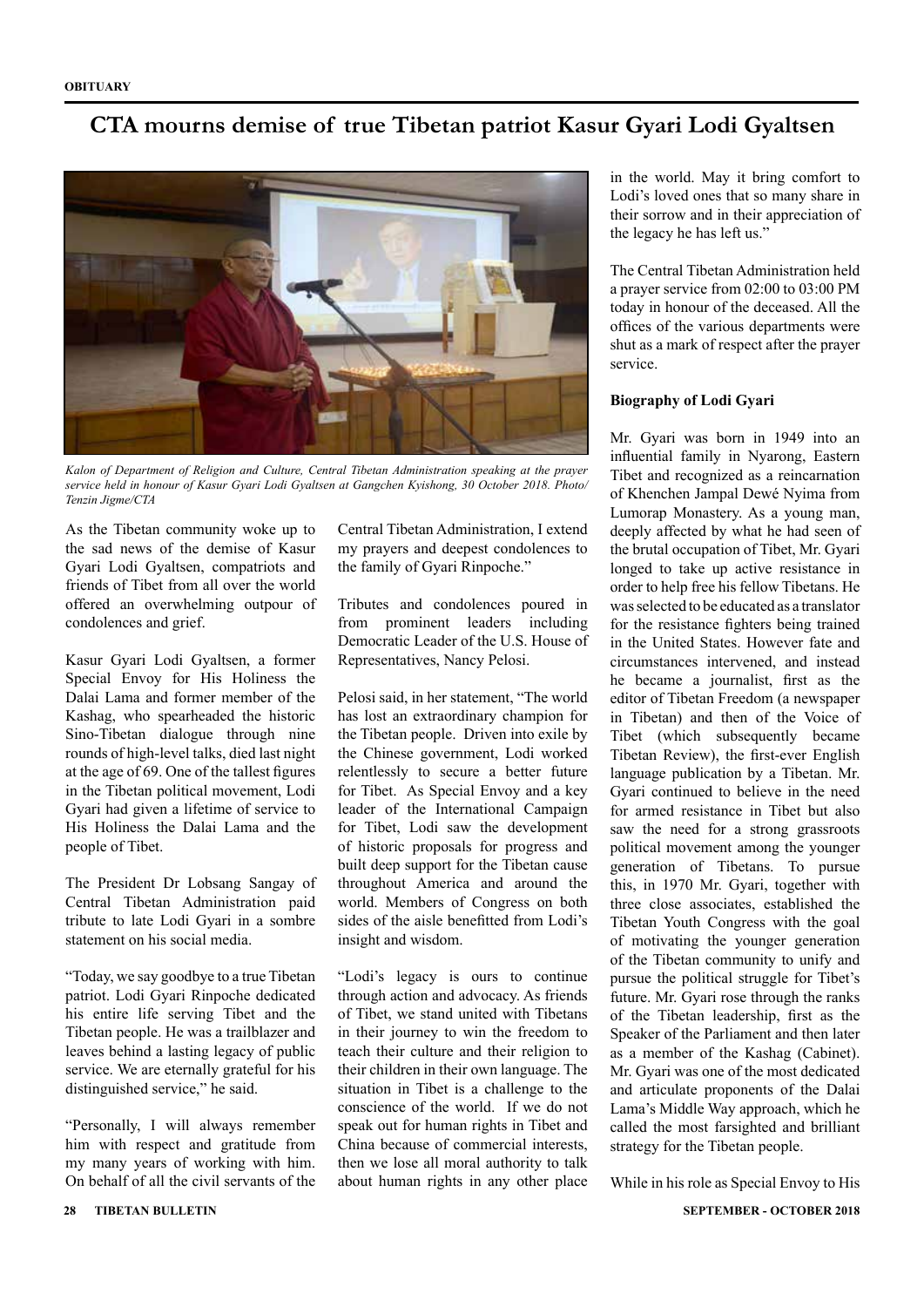### **CTA mourns demise of true Tibetan patriot Kasur Gyari Lodi Gyaltsen**



*Kalon of Department of Religion and Culture, Central Tibetan Administration speaking at the prayer service held in honour of Kasur Gyari Lodi Gyaltsen at Gangchen Kyishong, 30 October 2018. Photo/ Tenzin Jigme/CTA*

As the Tibetan community woke up to the sad news of the demise of Kasur Gyari Lodi Gyaltsen, compatriots and friends of Tibet from all over the world offered an overwhelming outpour of condolences and grief.

Kasur Gyari Lodi Gyaltsen, a former Special Envoy for His Holiness the Dalai Lama and former member of the Kashag, who spearheaded the historic Sino-Tibetan dialogue through nine rounds of high-level talks, died last night at the age of 69. One of the tallest figures in the Tibetan political movement, Lodi Gyari had given a lifetime of service to His Holiness the Dalai Lama and the people of Tibet.

The President Dr Lobsang Sangay of Central Tibetan Administration paid tribute to late Lodi Gyari in a sombre statement on his social media.

"Today, we say goodbye to a true Tibetan patriot. Lodi Gyari Rinpoche dedicated his entire life serving Tibet and the Tibetan people. He was a trailblazer and leaves behind a lasting legacy of public service. We are eternally grateful for his distinguished service," he said.

"Personally, I will always remember him with respect and gratitude from my many years of working with him. On behalf of all the civil servants of the my prayers and deepest condolences to the family of Gyari Rinpoche."

Central Tibetan Administration, I extend

Tributes and condolences poured in from prominent leaders including Democratic Leader of the U.S. House of Representatives, Nancy Pelosi.

Pelosi said, in her statement, "The world has lost an extraordinary champion for the Tibetan people. Driven into exile by the Chinese government, Lodi worked relentlessly to secure a better future for Tibet. As Special Envoy and a key leader of the International Campaign for Tibet, Lodi saw the development of historic proposals for progress and built deep support for the Tibetan cause throughout America and around the world. Members of Congress on both sides of the aisle benefitted from Lodi's insight and wisdom.

"Lodi's legacy is ours to continue through action and advocacy. As friends of Tibet, we stand united with Tibetans in their journey to win the freedom to teach their culture and their religion to their children in their own language. The situation in Tibet is a challenge to the conscience of the world. If we do not speak out for human rights in Tibet and China because of commercial interests, then we lose all moral authority to talk about human rights in any other place

in the world. May it bring comfort to Lodi's loved ones that so many share in their sorrow and in their appreciation of the legacy he has left us."

The Central Tibetan Administration held a prayer service from 02:00 to 03:00 PM today in honour of the deceased. All the offices of the various departments were shut as a mark of respect after the prayer service.

#### **Biography of Lodi Gyari**

Mr. Gyari was born in 1949 into an influential family in Nyarong, Eastern Tibet and recognized as a reincarnation of Khenchen Jampal Dewé Nyima from Lumorap Monastery. As a young man, deeply affected by what he had seen of the brutal occupation of Tibet, Mr. Gyari longed to take up active resistance in order to help free his fellow Tibetans. He was selected to be educated as a translator for the resistance fighters being trained in the United States. However fate and circumstances intervened, and instead he became a journalist, first as the editor of Tibetan Freedom (a newspaper in Tibetan) and then of the Voice of Tibet (which subsequently became Tibetan Review), the first-ever English language publication by a Tibetan. Mr. Gyari continued to believe in the need for armed resistance in Tibet but also saw the need for a strong grassroots political movement among the younger generation of Tibetans. To pursue this, in 1970 Mr. Gyari, together with three close associates, established the Tibetan Youth Congress with the goal of motivating the younger generation of the Tibetan community to unify and pursue the political struggle for Tibet's future. Mr. Gyari rose through the ranks of the Tibetan leadership, first as the Speaker of the Parliament and then later as a member of the Kashag (Cabinet). Mr. Gyari was one of the most dedicated and articulate proponents of the Dalai Lama's Middle Way approach, which he called the most farsighted and brilliant strategy for the Tibetan people.

While in his role as Special Envoy to His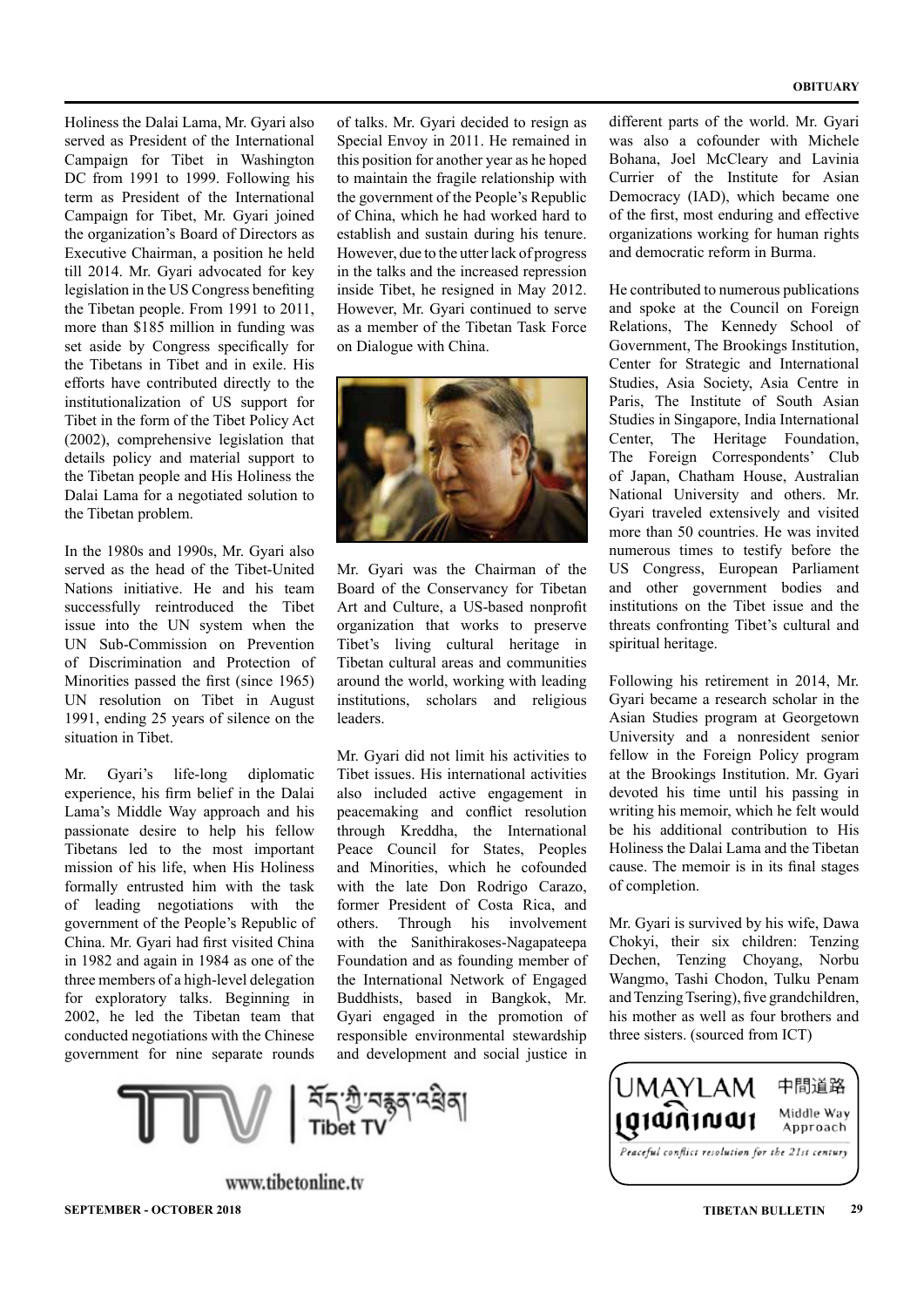#### **OBITUARY**

Holiness the Dalai Lama, Mr. Gyari also served as President of the International Campaign for Tibet in Washington DC from 1991 to 1999. Following his term as President of the International Campaign for Tibet, Mr. Gyari joined the organization's Board of Directors as Executive Chairman, a position he held till 2014. Mr. Gyari advocated for key legislation in the US Congress benefiting the Tibetan people. From 1991 to 2011, more than \$185 million in funding was set aside by Congress specifically for the Tibetans in Tibet and in exile. His efforts have contributed directly to the institutionalization of US support for Tibet in the form of the Tibet Policy Act (2002), comprehensive legislation that details policy and material support to the Tibetan people and His Holiness the Dalai Lama for a negotiated solution to the Tibetan problem.

In the 1980s and 1990s, Mr. Gyari also served as the head of the Tibet-United Nations initiative. He and his team successfully reintroduced the Tibet issue into the UN system when the UN Sub-Commission on Prevention of Discrimination and Protection of Minorities passed the first (since 1965) UN resolution on Tibet in August 1991, ending 25 years of silence on the situation in Tibet.

Mr. Gyari's life-long diplomatic experience, his firm belief in the Dalai Lama's Middle Way approach and his passionate desire to help his fellow Tibetans led to the most important mission of his life, when His Holiness formally entrusted him with the task of leading negotiations with the government of the People's Republic of China. Mr. Gyari had first visited China in 1982 and again in 1984 as one of the three members of a high-level delegation for exploratory talks. Beginning in 2002, he led the Tibetan team that conducted negotiations with the Chinese government for nine separate rounds

of talks. Mr. Gyari decided to resign as Special Envoy in 2011. He remained in this position for another year as he hoped to maintain the fragile relationship with the government of the People's Republic of China, which he had worked hard to establish and sustain during his tenure. However, due to the utter lack of progress in the talks and the increased repression inside Tibet, he resigned in May 2012. However, Mr. Gyari continued to serve as a member of the Tibetan Task Force on Dialogue with China.



Mr. Gyari was the Chairman of the Board of the Conservancy for Tibetan Art and Culture, a US-based nonprofit organization that works to preserve Tibet's living cultural heritage in Tibetan cultural areas and communities around the world, working with leading institutions, scholars and religious leaders.

Mr. Gyari did not limit his activities to Tibet issues. His international activities also included active engagement in peacemaking and conflict resolution through Kreddha, the International Peace Council for States, Peoples and Minorities, which he cofounded with the late Don Rodrigo Carazo, former President of Costa Rica, and others. Through his involvement with the Sanithirakoses-Nagapateepa Foundation and as founding member of the International Network of Engaged Buddhists, based in Bangkok, Mr. Gyari engaged in the promotion of responsible environmental stewardship and development and social justice in

www.tibetonline.tv **SEPTEMBER - OCTOBER 2018 TIBETAN BULLETIN 29**

different parts of the world. Mr. Gyari was also a cofounder with Michele Bohana, Joel McCleary and Lavinia Currier of the Institute for Asian Democracy (IAD), which became one of the first, most enduring and effective organizations working for human rights and democratic reform in Burma.

He contributed to numerous publications and spoke at the Council on Foreign Relations, The Kennedy School of Government, The Brookings Institution, Center for Strategic and International Studies, Asia Society, Asia Centre in Paris, The Institute of South Asian Studies in Singapore, India International Center, The Heritage Foundation, The Foreign Correspondents' Club of Japan, Chatham House, Australian National University and others. Mr. Gyari traveled extensively and visited more than 50 countries. He was invited numerous times to testify before the US Congress, European Parliament and other government bodies and institutions on the Tibet issue and the threats confronting Tibet's cultural and spiritual heritage.

Following his retirement in 2014, Mr. Gyari became a research scholar in the Asian Studies program at Georgetown University and a nonresident senior fellow in the Foreign Policy program at the Brookings Institution. Mr. Gyari devoted his time until his passing in writing his memoir, which he felt would be his additional contribution to His Holiness the Dalai Lama and the Tibetan cause. The memoir is in its final stages of completion.

Mr. Gyari is survived by his wife, Dawa Chokyi, their six children: Tenzing Dechen, Tenzing Choyang, Norbu Wangmo, Tashi Chodon, Tulku Penam and Tenzing Tsering), five grandchildren, his mother as well as four brothers and three sisters. (sourced from ICT)

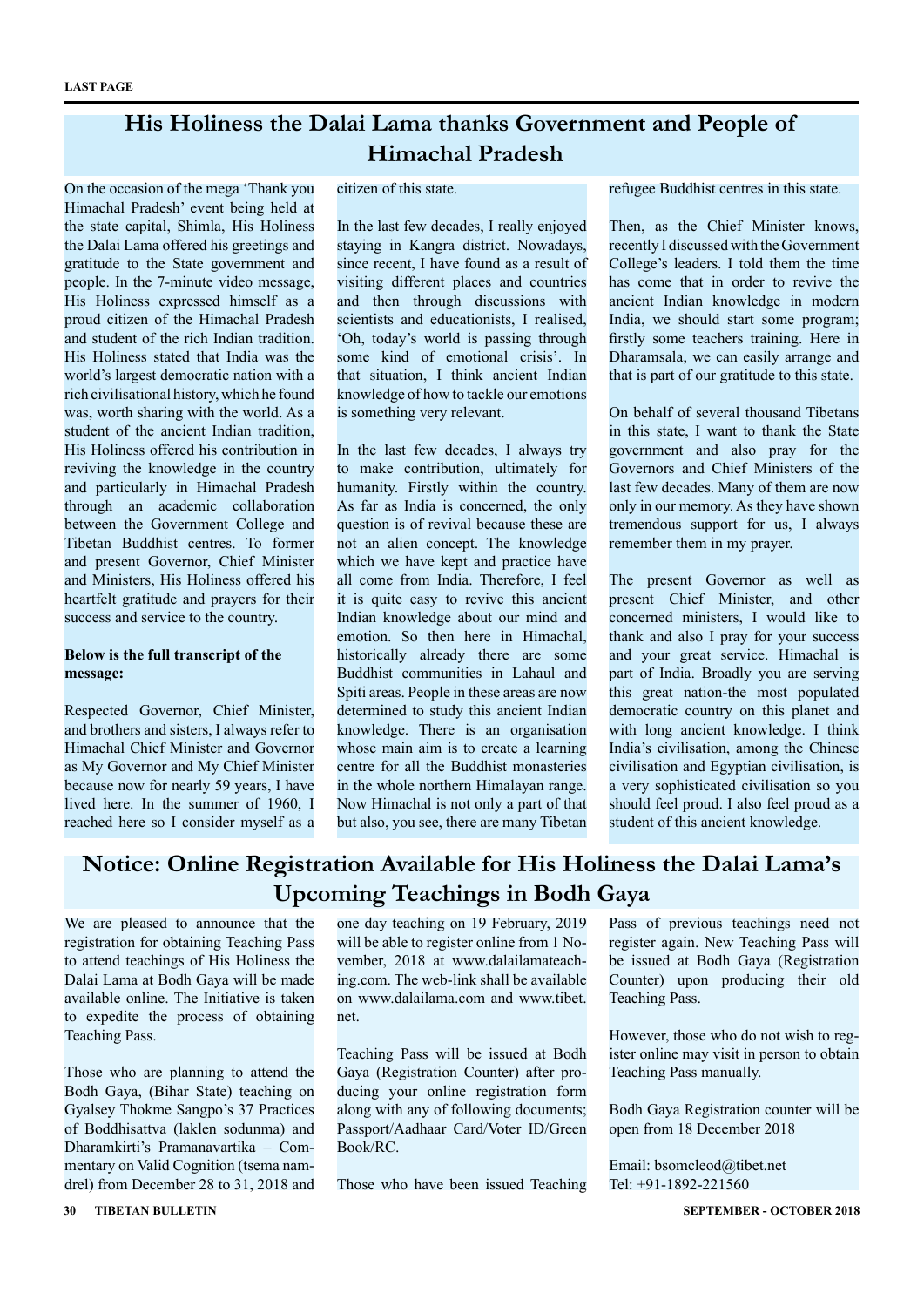### **His Holiness the Dalai Lama thanks Government and People of Himachal Pradesh**

On the occasion of the mega 'Thank you Himachal Pradesh' event being held at the state capital, Shimla, His Holiness the Dalai Lama offered his greetings and gratitude to the State government and people. In the 7-minute video message, His Holiness expressed himself as a proud citizen of the Himachal Pradesh and student of the rich Indian tradition. His Holiness stated that India was the world's largest democratic nation with a rich civilisational history, which he found was, worth sharing with the world. As a student of the ancient Indian tradition, His Holiness offered his contribution in reviving the knowledge in the country and particularly in Himachal Pradesh through an academic collaboration between the Government College and Tibetan Buddhist centres. To former and present Governor, Chief Minister and Ministers, His Holiness offered his heartfelt gratitude and prayers for their success and service to the country.

#### **Below is the full transcript of the message:**

Respected Governor, Chief Minister, and brothers and sisters, I always refer to Himachal Chief Minister and Governor as My Governor and My Chief Minister because now for nearly 59 years, I have lived here. In the summer of 1960, I reached here so I consider myself as a

#### citizen of this state.

In the last few decades, I really enjoyed staying in Kangra district. Nowadays, since recent, I have found as a result of visiting different places and countries and then through discussions with scientists and educationists, I realised, 'Oh, today's world is passing through some kind of emotional crisis'. In that situation, I think ancient Indian knowledge of how to tackle our emotions is something very relevant.

In the last few decades, I always try to make contribution, ultimately for humanity. Firstly within the country. As far as India is concerned, the only question is of revival because these are not an alien concept. The knowledge which we have kept and practice have all come from India. Therefore, I feel it is quite easy to revive this ancient Indian knowledge about our mind and emotion. So then here in Himachal, historically already there are some Buddhist communities in Lahaul and Spiti areas. People in these areas are now determined to study this ancient Indian knowledge. There is an organisation whose main aim is to create a learning centre for all the Buddhist monasteries in the whole northern Himalayan range. Now Himachal is not only a part of that but also, you see, there are many Tibetan refugee Buddhist centres in this state.

Then, as the Chief Minister knows, recently I discussed with the Government College's leaders. I told them the time has come that in order to revive the ancient Indian knowledge in modern India, we should start some program; firstly some teachers training. Here in Dharamsala, we can easily arrange and that is part of our gratitude to this state.

On behalf of several thousand Tibetans in this state, I want to thank the State government and also pray for the Governors and Chief Ministers of the last few decades. Many of them are now only in our memory. As they have shown tremendous support for us, I always remember them in my prayer.

The present Governor as well as present Chief Minister, and other concerned ministers, I would like to thank and also I pray for your success and your great service. Himachal is part of India. Broadly you are serving this great nation-the most populated democratic country on this planet and with long ancient knowledge. I think India's civilisation, among the Chinese civilisation and Egyptian civilisation, is a very sophisticated civilisation so you should feel proud. I also feel proud as a student of this ancient knowledge.

### **Notice: Online Registration Available for His Holiness the Dalai Lama's Upcoming Teachings in Bodh Gaya**

We are pleased to announce that the registration for obtaining Teaching Pass to attend teachings of His Holiness the Dalai Lama at Bodh Gaya will be made available online. The Initiative is taken to expedite the process of obtaining Teaching Pass.

Those who are planning to attend the Bodh Gaya, (Bihar State) teaching on Gyalsey Thokme Sangpo's 37 Practices of Boddhisattva (laklen sodunma) and Dharamkirti's Pramanavartika – Commentary on Valid Cognition (tsema namdrel) from December 28 to 31, 2018 and

one day teaching on 19 February, 2019 will be able to register online from 1 November, 2018 at www.dalailamateaching.com. The web-link shall be available on www.dalailama.com and www.tibet. net.

Teaching Pass will be issued at Bodh Gaya (Registration Counter) after producing your online registration form along with any of following documents; Passport/Aadhaar Card/Voter ID/Green Book/RC.

Those who have been issued Teaching

Pass of previous teachings need not register again. New Teaching Pass will be issued at Bodh Gaya (Registration Counter) upon producing their old Teaching Pass.

However, those who do not wish to register online may visit in person to obtain Teaching Pass manually.

Bodh Gaya Registration counter will be open from 18 December 2018

Email: bsomcleod@tibet.net Tel: +91-1892-221560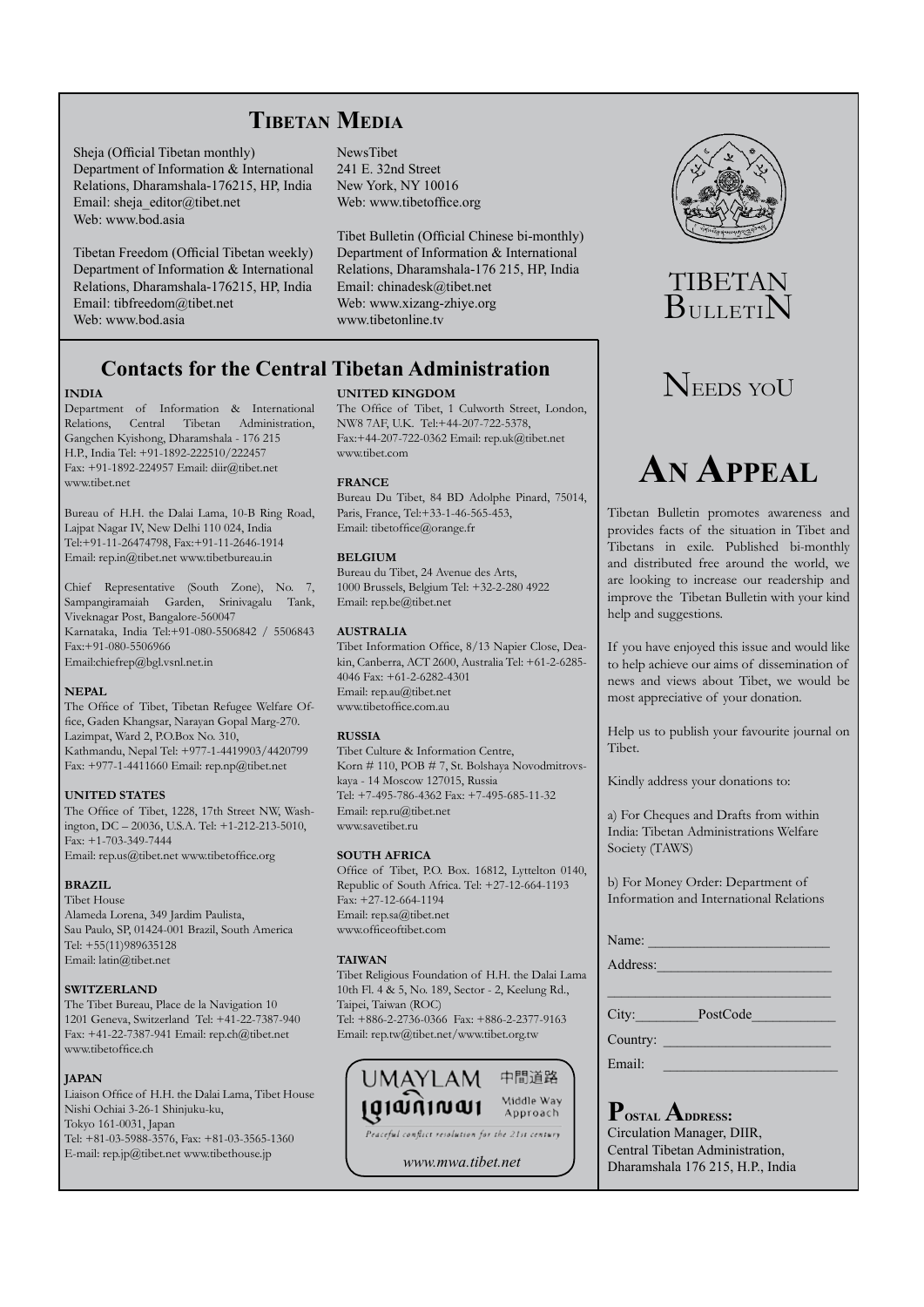### **Tibetan Media**

Sheja (Official Tibetan monthly) Department of Information & International Relations, Dharamshala-176215, HP, India Email: sheja\_editor@tibet.net Web: www.bod.asia

Tibetan Freedom (Official Tibetan weekly) Department of Information & International Relations, Dharamshala-176215, HP, India Email: tibfreedom@tibet.net Web: www.bod.asia

NewsTibet 241 E. 32nd Street New York, NY 10016 Web: www.tibetoffice.org

Tibet Bulletin (Official Chinese bi-monthly) Department of Information & International Relations, Dharamshala-176 215, HP, India Email: chinadesk@tibet.net Web: www.xizang-zhiye.org www.tibetonline.tv

### **Contacts for the Central Tibetan Administration**

#### **INDIA**

Department of Information & International Relations, Central Tibetan Administration, Gangchen Kyishong, Dharamshala - 176 215 H.P., India Tel: +91-1892-222510/222457 Fax: +91-1892-224957 Email: diir@tibet.net www.tibet.net

Bureau of H.H. the Dalai Lama, 10-B Ring Road, Lajpat Nagar IV, New Delhi 110 024, India Tel:+91-11-26474798, Fax:+91-11-2646-1914 Email: rep.in@tibet.net www.tibetbureau.in

Chief Representative (South Zone), No. 7, Sampangiramaiah Garden, Srinivagalu Tank, Viveknagar Post, Bangalore-560047 Karnataka, India Tel:+91-080-5506842 / 5506843 Fax:+91-080-5506966 Email:chiefrep@bgl.vsnl.net.in

#### **NEPAL**

The Office of Tibet, Tibetan Refugee Welfare Office, Gaden Khangsar, Narayan Gopal Marg-270. Lazimpat, Ward 2, P.O.Box No. 310, Kathmandu, Nepal Tel: +977-1-4419903/4420799 Fax: +977-1-4411660 Email: rep.np@tibet.net

#### **UNITED STATES**

The Office of Tibet, 1228, 17th Street NW, Washington, DC – 20036, U.S.A. Tel: +1-212-213-5010, Fax: +1-703-349-7444 Email: rep.us@tibet.net www.tibetoffice.org

#### **BRAZIL**

Tibet House Alameda Lorena, 349 Jardim Paulista, Sau Paulo, SP, 01424-001 Brazil, South America Tel: +55(11)989635128 Email: latin@tibet.net

#### **SWITZERLAND**

The Tibet Bureau, Place de la Navigation 10 1201 Geneva, Switzerland Tel: +41-22-7387-940 Fax: +41-22-7387-941 Email: rep.ch@tibet.net www.tibetoffice.ch

#### **JAPAN**

Liaison Office of H.H. the Dalai Lama, Tibet House Nishi Ochiai 3-26-1 Shinjuku-ku, Tokyo 161-0031, Japan Tel: +81-03-5988-3576, Fax: +81-03-3565-1360 E-mail: rep.jp@tibet.net www.tibethouse.jp

#### **UNITED KINGDOM**

The Office of Tibet, 1 Culworth Street, London, NW8 7AF, U.K. Tel:+44-207-722-5378, Fax:+44-207-722-0362 Email: rep.uk@tibet.net www.tibet.com

#### **FRANCE**

Bureau Du Tibet, 84 BD Adolphe Pinard, 75014, Paris, France, Tel:+33-1-46-565-453, Email: tibetoffice@orange.fr

#### **BELGIUM**

Bureau du Tibet, 24 Avenue des Arts, 1000 Brussels, Belgium Tel: +32-2-280 4922 Email: rep.be@tibet.net

#### **AUSTRALIA**

Tibet Information Office, 8/13 Napier Close, Deakin, Canberra, ACT 2600, Australia Tel: +61-2-6285- 4046 Fax: +61-2-6282-4301 Email: rep.au@tibet.net www.tibetoffice.com.au

#### **RUSSIA**

Tibet Culture & Information Centre, Korn # 110, POB # 7, St. Bolshaya Novodmitrovskaya - 14 Moscow 127015, Russia Tel: +7-495-786-4362 Fax: +7-495-685-11-32 Email: rep.ru@tibet.net www.savetibet.ru

#### **SOUTH AFRICA**

Office of Tibet, P.O. Box. 16812, Lyttelton 0140, Republic of South Africa. Tel: +27-12-664-1193 Fax: +27-12-664-1194 Email: rep.sa@tibet.net www.officeoftibet.com

#### **TAIWAN**

Tibet Religious Foundation of H.H. the Dalai Lama 10th Fl. 4 & 5, No. 189, Sector - 2, Keelung Rd., Taipei, Taiwan (ROC) Tel: +886-2-2736-0366 Fax: +886-2-2377-9163 Email: rep.tw@tibet.net/www.tibet.org.tw



*www.mwa.tibet.net*



# TIBETAN **BULLETIN**

# NEEDS YOU

# **An Appeal**

Tibetan Bulletin promotes awareness and provides facts of the situation in Tibet and Tibetans in exile. Published bi-monthly and distributed free around the world, we are looking to increase our readership and improve the Tibetan Bulletin with your kind help and suggestions.

If you have enjoyed this issue and would like to help achieve our aims of dissemination of news and views about Tibet, we would be most appreciative of your donation.

Help us to publish your favourite journal on Tibet.

Kindly address your donations to:

a) For Cheques and Drafts from within India: Tibetan Administrations Welfare Society (TAWS)

b) For Money Order: Department of Information and International Relations

\_\_\_\_\_\_\_\_\_\_\_\_\_\_\_\_\_\_\_\_\_\_\_\_\_\_\_\_\_\_\_\_

Name:

Address:

City:\_\_\_\_\_\_\_\_\_PostCode\_\_\_\_\_\_\_\_\_\_\_\_

Country:

Email:

P<sub>OSTAL</sub> ADDRESS: Circulation Manager, DIIR, Central Tibetan Administration, Dharamshala 176 215, H.P., India